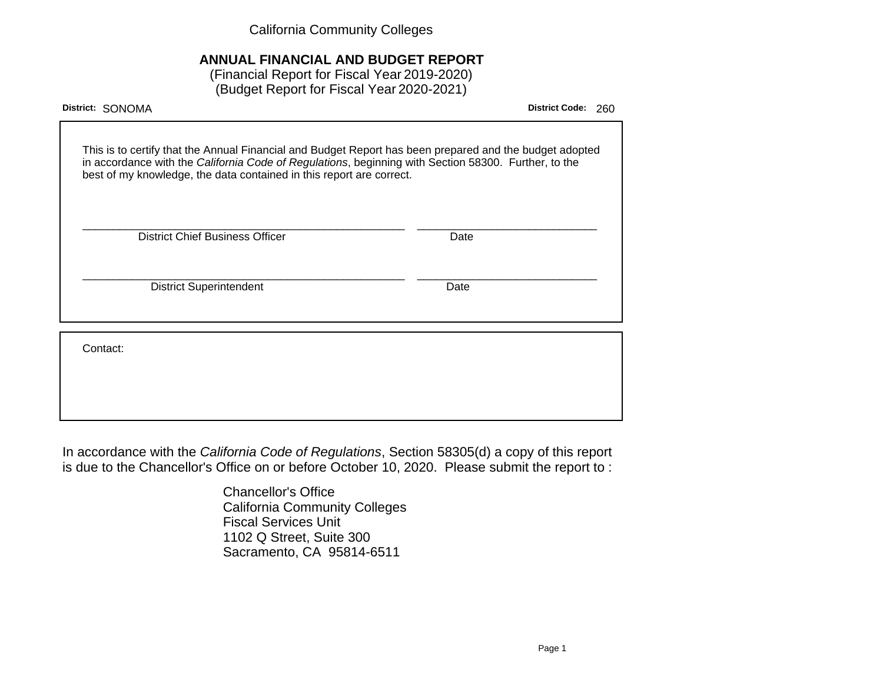California Community Colleges

# **ANNUAL FINANCIAL AND BUDGET REPORT**

(Financial Report for Fiscal Year 2019-2020) (Budget Report for Fiscal Year 2020-2021)

| District: SONOMA                                                                                                                                                                                                                                                                        | <b>District Code:</b><br>260 |
|-----------------------------------------------------------------------------------------------------------------------------------------------------------------------------------------------------------------------------------------------------------------------------------------|------------------------------|
| This is to certify that the Annual Financial and Budget Report has been prepared and the budget adopted<br>in accordance with the California Code of Regulations, beginning with Section 58300. Further, to the<br>best of my knowledge, the data contained in this report are correct. |                              |
| <b>District Chief Business Officer</b>                                                                                                                                                                                                                                                  | Date                         |
| <b>District Superintendent</b>                                                                                                                                                                                                                                                          | Date                         |
| Contact:                                                                                                                                                                                                                                                                                |                              |
|                                                                                                                                                                                                                                                                                         |                              |

In accordance with the California Code of Regulations, Section 58305(d) a copy of this report is due to the Chancellor's Office on or before October 10, 2020. Please submit the report to :

> Chancellor's Office California Community Colleges Fiscal Services Unit 1102 Q Street, Suite 300 Sacramento, CA 95814-6511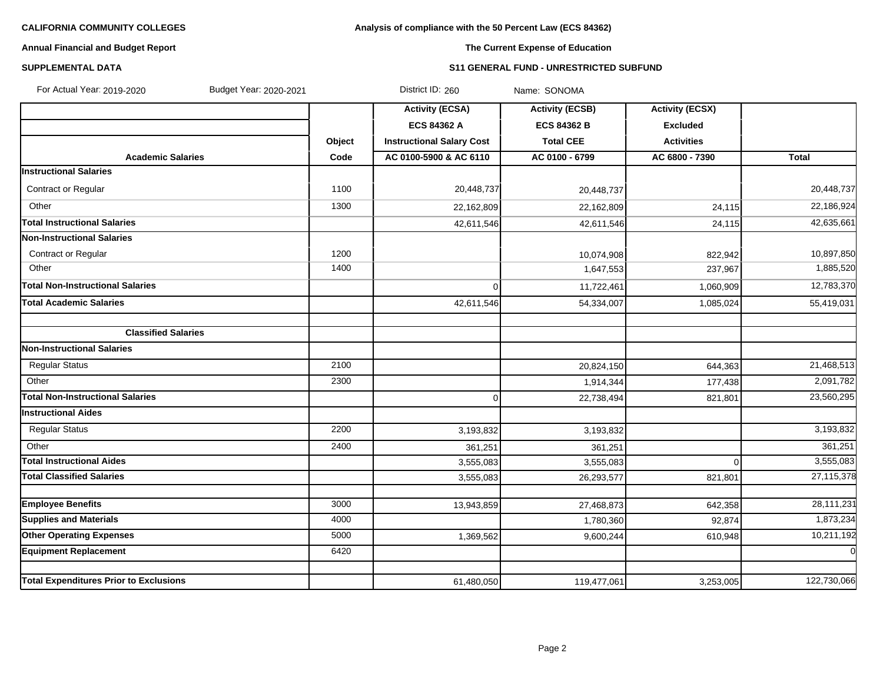# **Analysis of compliance with the 50 Percent Law (ECS 84362)**

# **Annual Financial and Budget Report**

# **The Current Expense of Education**

### **SUPPLEMENTAL DATA S11 GENERAL FUND - UNRESTRICTED SUBFUND**

| For Actual Year: 2019-2020<br>Budget Year: 2020-2021 |        | District ID: 260                 | Name: SONOMA           |                        |              |
|------------------------------------------------------|--------|----------------------------------|------------------------|------------------------|--------------|
|                                                      |        | <b>Activity (ECSA)</b>           | <b>Activity (ECSB)</b> | <b>Activity (ECSX)</b> |              |
|                                                      |        | <b>ECS 84362 A</b>               | <b>ECS 84362 B</b>     | <b>Excluded</b>        |              |
|                                                      | Object | <b>Instructional Salary Cost</b> | <b>Total CEE</b>       | <b>Activities</b>      |              |
| <b>Academic Salaries</b>                             | Code   | AC 0100-5900 & AC 6110           | AC 0100 - 6799         | AC 6800 - 7390         | <b>Total</b> |
| <b>Instructional Salaries</b>                        |        |                                  |                        |                        |              |
| Contract or Regular                                  | 1100   | 20,448,737                       | 20,448,737             |                        | 20,448,737   |
| Other                                                | 1300   | 22,162,809                       | 22,162,809             | 24,115                 | 22,186,924   |
| <b>Total Instructional Salaries</b>                  |        | 42,611,546                       | 42,611,546             | 24,115                 | 42,635,661   |
| <b>Non-Instructional Salaries</b>                    |        |                                  |                        |                        |              |
| Contract or Regular                                  | 1200   |                                  | 10,074,908             | 822,942                | 10,897,850   |
| Other                                                | 1400   |                                  | 1,647,553              | 237,967                | 1,885,520    |
| <b>Total Non-Instructional Salaries</b>              |        | $\Omega$                         | 11,722,461             | 1,060,909              | 12,783,370   |
| <b>Total Academic Salaries</b>                       |        | 42,611,546                       | 54,334,007             | 1,085,024              | 55,419,031   |
|                                                      |        |                                  |                        |                        |              |
| <b>Classified Salaries</b>                           |        |                                  |                        |                        |              |
| <b>Non-Instructional Salaries</b>                    |        |                                  |                        |                        |              |
| <b>Regular Status</b>                                | 2100   |                                  | 20,824,150             | 644,363                | 21,468,513   |
| Other                                                | 2300   |                                  | 1,914,344              | 177,438                | 2,091,782    |
| <b>Total Non-Instructional Salaries</b>              |        | $\Omega$                         | 22,738,494             | 821,801                | 23,560,295   |
| <b>Instructional Aides</b>                           |        |                                  |                        |                        |              |
| <b>Regular Status</b>                                | 2200   | 3,193,832                        | 3,193,832              |                        | 3,193,832    |
| Other                                                | 2400   | 361,251                          | 361,251                |                        | 361,251      |
| <b>Total Instructional Aides</b>                     |        | 3,555,083                        | 3,555,083              | $\Omega$               | 3,555,083    |
| <b>Total Classified Salaries</b>                     |        | 3,555,083                        | 26,293,577             | 821,801                | 27,115,378   |
|                                                      |        |                                  |                        |                        |              |
| <b>Employee Benefits</b>                             | 3000   | 13,943,859                       | 27,468,873             | 642,358                | 28,111,231   |
| <b>Supplies and Materials</b>                        | 4000   |                                  | 1,780,360              | 92,874                 | 1,873,234    |
| <b>Other Operating Expenses</b>                      | 5000   | 1,369,562                        | 9,600,244              | 610,948                | 10,211,192   |
| <b>Equipment Replacement</b>                         | 6420   |                                  |                        |                        | $\Omega$     |
| <b>Total Expenditures Prior to Exclusions</b>        |        | 61,480,050                       | 119,477,061            | 3,253,005              | 122,730,066  |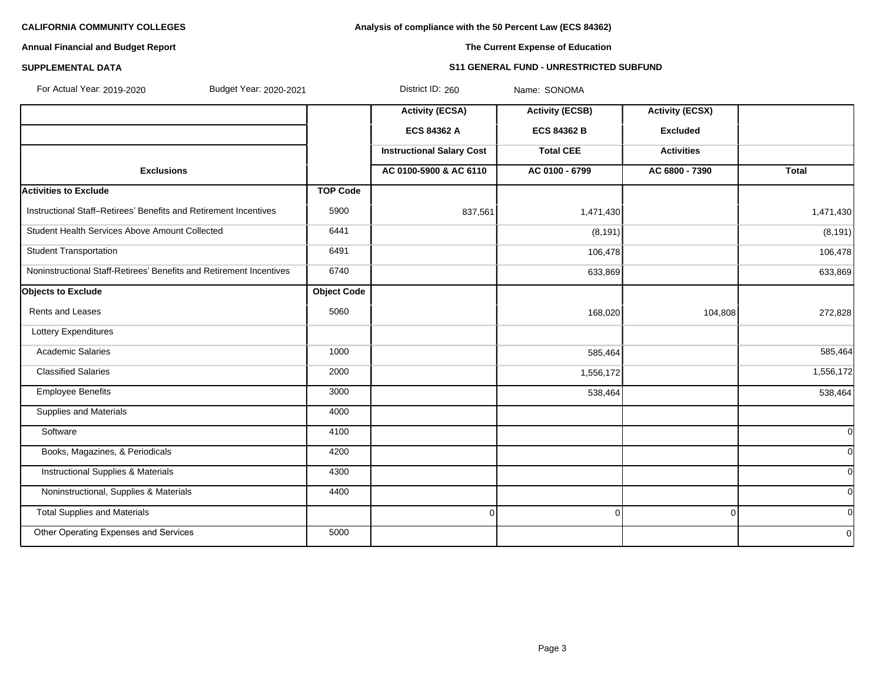**Analysis of compliance with the 50 Percent Law (ECS 84362)**

# **Annual Financial and Budget Report**

## **The Current Expense of Education**

### **SUPPLEMENTAL DATA S11 GENERAL FUND - UNRESTRICTED SUBFUND**

| For Actual Year: 2019-2020<br>Budget Year: 2020-2021                |                    | District ID: 260                 | Name: SONOMA           |                        |              |
|---------------------------------------------------------------------|--------------------|----------------------------------|------------------------|------------------------|--------------|
|                                                                     |                    | <b>Activity (ECSA)</b>           | <b>Activity (ECSB)</b> | <b>Activity (ECSX)</b> |              |
|                                                                     |                    | ECS 84362 A                      | <b>ECS 84362 B</b>     | <b>Excluded</b>        |              |
|                                                                     |                    | <b>Instructional Salary Cost</b> | <b>Total CEE</b>       | <b>Activities</b>      |              |
| <b>Exclusions</b>                                                   |                    | AC 0100-5900 & AC 6110           | AC 0100 - 6799         | AC 6800 - 7390         | <b>Total</b> |
| <b>Activities to Exclude</b>                                        | <b>TOP Code</b>    |                                  |                        |                        |              |
| Instructional Staff-Retirees' Benefits and Retirement Incentives    | 5900               | 837,561                          | 1,471,430              |                        | 1,471,430    |
| Student Health Services Above Amount Collected                      | 6441               |                                  | (8, 191)               |                        | (8, 191)     |
| <b>Student Transportation</b>                                       | 6491               |                                  | 106,478                |                        | 106,478      |
| Noninstructional Staff-Retirees' Benefits and Retirement Incentives | 6740               |                                  | 633,869                |                        | 633,869      |
| <b>Objects to Exclude</b>                                           | <b>Object Code</b> |                                  |                        |                        |              |
| Rents and Leases                                                    | 5060               |                                  | 168,020                | 104,808                | 272,828      |
| Lottery Expenditures                                                |                    |                                  |                        |                        |              |
| <b>Academic Salaries</b>                                            | 1000               |                                  | 585,464                |                        | 585,464      |
| <b>Classified Salaries</b>                                          | 2000               |                                  | 1,556,172              |                        | 1,556,172    |
| <b>Employee Benefits</b>                                            | 3000               |                                  | 538,464                |                        | 538,464      |
| <b>Supplies and Materials</b>                                       | 4000               |                                  |                        |                        |              |
| Software                                                            | 4100               |                                  |                        |                        | $\Omega$     |
| Books, Magazines, & Periodicals                                     | 4200               |                                  |                        |                        | <sup>0</sup> |
| <b>Instructional Supplies &amp; Materials</b>                       | 4300               |                                  |                        |                        | $\Omega$     |
| Noninstructional, Supplies & Materials                              | 4400               |                                  |                        |                        | <sup>0</sup> |
| <b>Total Supplies and Materials</b>                                 |                    | $\mathbf 0$                      | $\Omega$               |                        | <sup>0</sup> |
| Other Operating Expenses and Services                               | 5000               |                                  |                        |                        | $\Omega$     |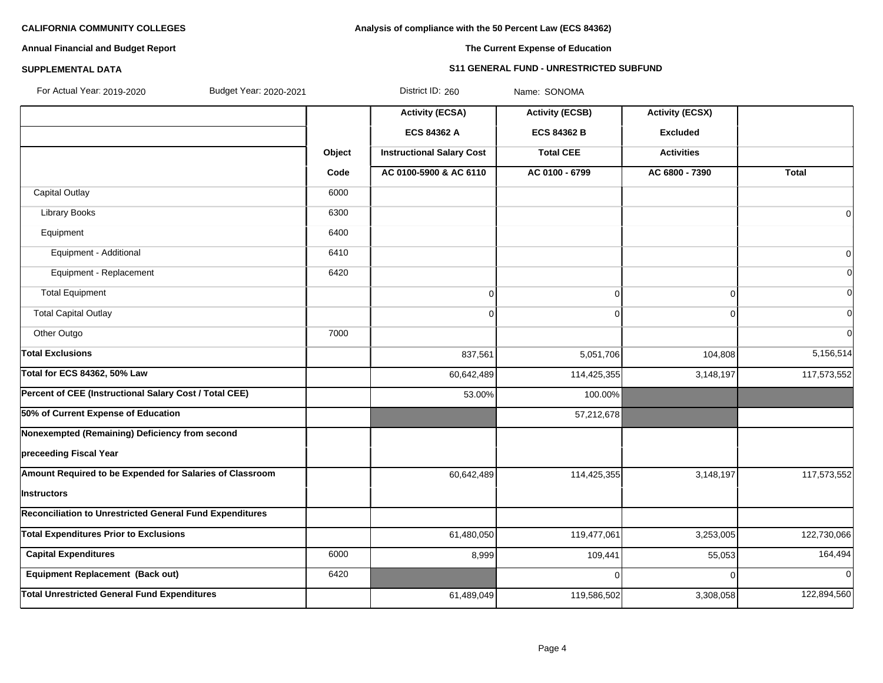# **Analysis of compliance with the 50 Percent Law (ECS 84362)**

# **Annual Financial and Budget Report**

## **The Current Expense of Education**

# **SUPPLEMENTAL DATA S11 GENERAL FUND - UNRESTRICTED SUBFUND**

| For Actual Year: 2019-2020<br>Budget Year: 2020-2021            |        | District ID: 260                 | Name: SONOMA           |                        |                |
|-----------------------------------------------------------------|--------|----------------------------------|------------------------|------------------------|----------------|
|                                                                 |        | <b>Activity (ECSA)</b>           | <b>Activity (ECSB)</b> | <b>Activity (ECSX)</b> |                |
|                                                                 |        | ECS 84362 A                      | <b>ECS 84362 B</b>     | <b>Excluded</b>        |                |
|                                                                 | Object | <b>Instructional Salary Cost</b> | <b>Total CEE</b>       | <b>Activities</b>      |                |
|                                                                 | Code   | AC 0100-5900 & AC 6110           | AC 0100 - 6799         | AC 6800 - 7390         | <b>Total</b>   |
| <b>Capital Outlay</b>                                           | 6000   |                                  |                        |                        |                |
| Library Books                                                   | 6300   |                                  |                        |                        | $\overline{0}$ |
| Equipment                                                       | 6400   |                                  |                        |                        |                |
| Equipment - Additional                                          | 6410   |                                  |                        |                        | $\overline{0}$ |
| Equipment - Replacement                                         | 6420   |                                  |                        |                        | $\overline{0}$ |
| <b>Total Equipment</b>                                          |        | 0                                | 0                      | $\Omega$               | $\Omega$       |
| <b>Total Capital Outlay</b>                                     |        | 0                                | 0                      | $\Omega$               | $\Omega$       |
| Other Outgo                                                     | 7000   |                                  |                        |                        | $\Omega$       |
| <b>Total Exclusions</b>                                         |        | 837,561                          | 5,051,706              | 104,808                | 5,156,514      |
| <b>Total for ECS 84362, 50% Law</b>                             |        | 60,642,489                       | 114,425,355            | 3,148,197              | 117,573,552    |
| Percent of CEE (Instructional Salary Cost / Total CEE)          |        | 53.00%                           | 100.00%                |                        |                |
| 50% of Current Expense of Education                             |        |                                  | 57,212,678             |                        |                |
| Nonexempted (Remaining) Deficiency from second                  |        |                                  |                        |                        |                |
| preceeding Fiscal Year                                          |        |                                  |                        |                        |                |
| Amount Required to be Expended for Salaries of Classroom        |        | 60,642,489                       | 114,425,355            | 3,148,197              | 117,573,552    |
| Instructors                                                     |        |                                  |                        |                        |                |
| <b>Reconciliation to Unrestricted General Fund Expenditures</b> |        |                                  |                        |                        |                |
| <b>Total Expenditures Prior to Exclusions</b>                   |        | 61,480,050                       | 119,477,061            | 3,253,005              | 122,730,066    |
| <b>Capital Expenditures</b>                                     | 6000   | 8,999                            | 109,441                | 55,053                 | 164,494        |
| Equipment Replacement (Back out)                                | 6420   |                                  | 0                      | $\Omega$               | $\overline{0}$ |
| <b>Total Unrestricted General Fund Expenditures</b>             |        | 61,489,049                       | 119,586,502            | 3,308,058              | 122,894,560    |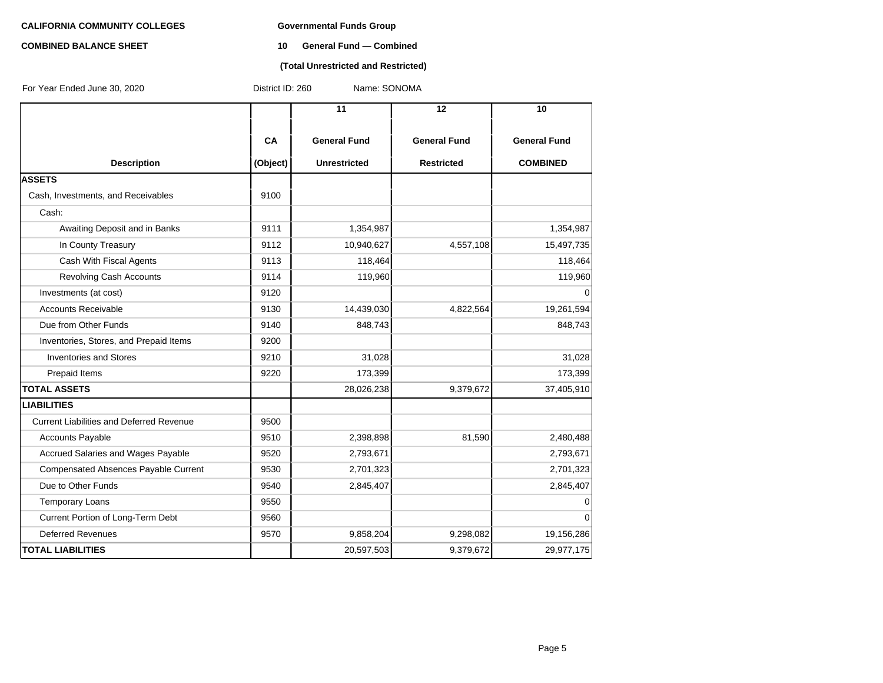# **COMBINED BALANCE SHEET 10 General Fund — Combined**

#### **(Total Unrestricted and Restricted)**

| For Year Ended June 30, 2020                    | District ID: 260 | Name: SONOMA        |                     |                     |
|-------------------------------------------------|------------------|---------------------|---------------------|---------------------|
|                                                 |                  | $\overline{11}$     | 12                  | 10                  |
|                                                 | CA               | <b>General Fund</b> | <b>General Fund</b> | <b>General Fund</b> |
| <b>Description</b>                              | (Object)         | <b>Unrestricted</b> | <b>Restricted</b>   | <b>COMBINED</b>     |
| <b>ASSETS</b>                                   |                  |                     |                     |                     |
| Cash, Investments, and Receivables              | 9100             |                     |                     |                     |
| Cash:                                           |                  |                     |                     |                     |
| Awaiting Deposit and in Banks                   | 9111             | 1,354,987           |                     | 1,354,987           |
| In County Treasury                              | 9112             | 10,940,627          | 4,557,108           | 15,497,735          |
| Cash With Fiscal Agents                         | 9113             | 118,464             |                     | 118,464             |
| <b>Revolving Cash Accounts</b>                  | 9114             | 119,960             |                     | 119,960             |
| Investments (at cost)                           | 9120             |                     |                     | $\Omega$            |
| <b>Accounts Receivable</b>                      | 9130             | 14,439,030          | 4,822,564           | 19,261,594          |
| Due from Other Funds                            | 9140             | 848,743             |                     | 848,743             |
| Inventories, Stores, and Prepaid Items          | 9200             |                     |                     |                     |
| <b>Inventories and Stores</b>                   | 9210             | 31,028              |                     | 31,028              |
| Prepaid Items                                   | 9220             | 173,399             |                     | 173,399             |
| <b>TOTAL ASSETS</b>                             |                  | 28,026,238          | 9,379,672           | 37,405,910          |
| <b>LIABILITIES</b>                              |                  |                     |                     |                     |
| <b>Current Liabilities and Deferred Revenue</b> | 9500             |                     |                     |                     |
| <b>Accounts Payable</b>                         | 9510             | 2,398,898           | 81,590              | 2,480,488           |
| Accrued Salaries and Wages Payable              | 9520             | 2,793,671           |                     | 2,793,671           |
| <b>Compensated Absences Payable Current</b>     | 9530             | 2,701,323           |                     | 2,701,323           |
| Due to Other Funds                              | 9540             | 2,845,407           |                     | 2,845,407           |
| <b>Temporary Loans</b>                          | 9550             |                     |                     | 0                   |
| Current Portion of Long-Term Debt               | 9560             |                     |                     | $\Omega$            |
| <b>Deferred Revenues</b>                        | 9570             | 9,858,204           | 9,298,082           | 19,156,286          |
| <b>TOTAL LIABILITIES</b>                        |                  | 20,597,503          | 9,379,672           | 29,977,175          |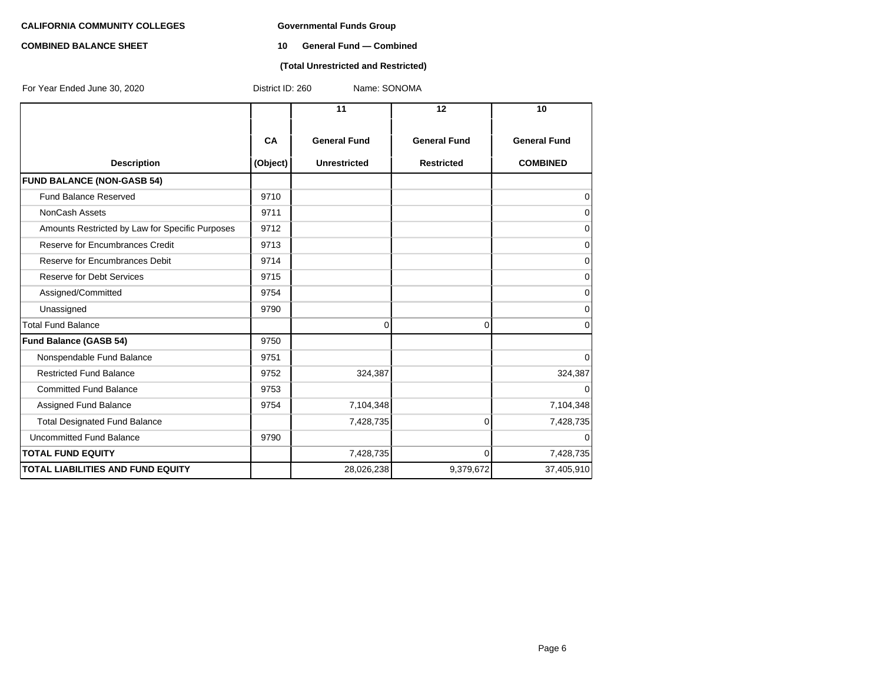#### **COMBINED BALANCE SHEET 10 General Fund — Combined**

### **(Total Unrestricted and Restricted)**

| For Year Ended June 30, 2020                    | District ID: 260<br>Name: SONOMA |                     |                     |                     |  |  |
|-------------------------------------------------|----------------------------------|---------------------|---------------------|---------------------|--|--|
|                                                 |                                  | 11                  | 12                  | 10                  |  |  |
|                                                 | CA                               | <b>General Fund</b> | <b>General Fund</b> | <b>General Fund</b> |  |  |
| <b>Description</b>                              | (Object)                         | <b>Unrestricted</b> | <b>Restricted</b>   | <b>COMBINED</b>     |  |  |
| <b>FUND BALANCE (NON-GASB 54)</b>               |                                  |                     |                     |                     |  |  |
| <b>Fund Balance Reserved</b>                    | 9710                             |                     |                     | 0                   |  |  |
| <b>NonCash Assets</b>                           | 9711                             |                     |                     | $\mathbf 0$         |  |  |
| Amounts Restricted by Law for Specific Purposes | 9712                             |                     |                     | $\mathbf 0$         |  |  |
| Reserve for Encumbrances Credit                 | 9713                             |                     |                     | $\mathbf 0$         |  |  |
| Reserve for Encumbrances Debit                  | 9714                             |                     |                     | $\mathbf 0$         |  |  |
| <b>Reserve for Debt Services</b>                | 9715                             |                     |                     | $\mathbf 0$         |  |  |
| Assigned/Committed                              | 9754                             |                     |                     | $\mathbf 0$         |  |  |
| Unassigned                                      | 9790                             |                     |                     | $\mathbf 0$         |  |  |
| <b>Total Fund Balance</b>                       |                                  | 0                   | $\Omega$            | $\Omega$            |  |  |
| <b>Fund Balance (GASB 54)</b>                   | 9750                             |                     |                     |                     |  |  |
| Nonspendable Fund Balance                       | 9751                             |                     |                     | $\mathbf 0$         |  |  |
| <b>Restricted Fund Balance</b>                  | 9752                             | 324,387             |                     | 324,387             |  |  |
| <b>Committed Fund Balance</b>                   | 9753                             |                     |                     | $\Omega$            |  |  |
| Assigned Fund Balance                           | 9754                             | 7,104,348           |                     | 7,104,348           |  |  |
| <b>Total Designated Fund Balance</b>            |                                  | 7,428,735           | $\overline{0}$      | 7,428,735           |  |  |
| <b>Uncommitted Fund Balance</b>                 | 9790                             |                     |                     | $\Omega$            |  |  |
| <b>TOTAL FUND EQUITY</b>                        |                                  | 7,428,735           | $\Omega$            | 7,428,735           |  |  |
| <b>TOTAL LIABILITIES AND FUND EQUITY</b>        |                                  | 28,026,238          | 9,379,672           | 37,405,910          |  |  |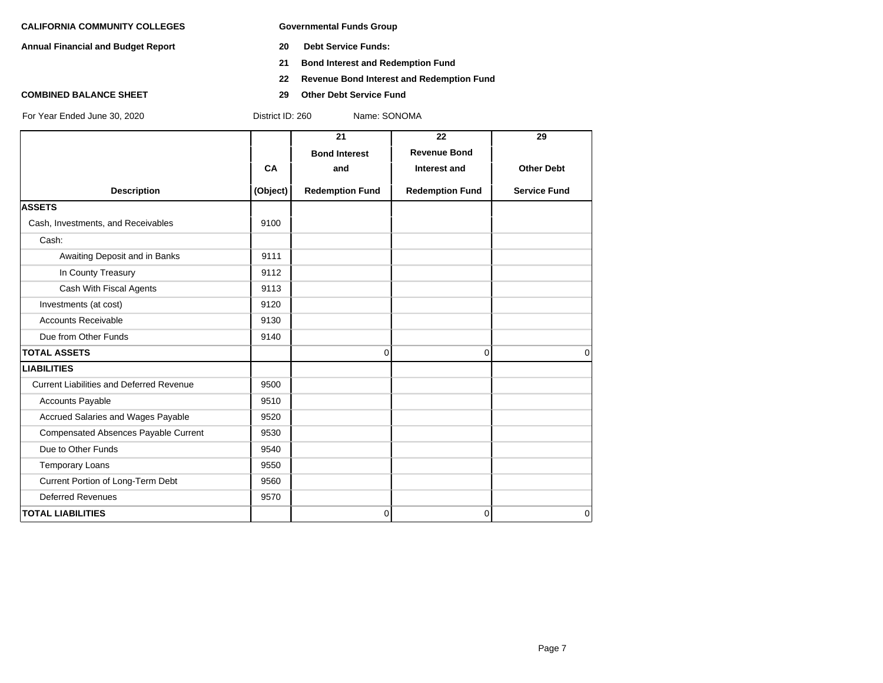**Annual Financial and Budget Report 20 Debt Service Funds:**

- 
- **21 Bond Interest and Redemption Fund**
- **22 Revenue Bond Interest and Redemption Fund**
- **COMBINED BALANCE SHEET 29 Other Debt Service Fund**

|                                                 |           | 21                     | 22                     | 29                  |
|-------------------------------------------------|-----------|------------------------|------------------------|---------------------|
|                                                 |           | <b>Bond Interest</b>   | <b>Revenue Bond</b>    |                     |
|                                                 | <b>CA</b> | and                    | Interest and           | <b>Other Debt</b>   |
| <b>Description</b>                              | (Object)  | <b>Redemption Fund</b> | <b>Redemption Fund</b> | <b>Service Fund</b> |
| <b>ASSETS</b>                                   |           |                        |                        |                     |
| Cash, Investments, and Receivables              | 9100      |                        |                        |                     |
| Cash:                                           |           |                        |                        |                     |
| Awaiting Deposit and in Banks                   | 9111      |                        |                        |                     |
| In County Treasury                              | 9112      |                        |                        |                     |
| Cash With Fiscal Agents                         | 9113      |                        |                        |                     |
| Investments (at cost)                           | 9120      |                        |                        |                     |
| <b>Accounts Receivable</b>                      | 9130      |                        |                        |                     |
| Due from Other Funds                            | 9140      |                        |                        |                     |
| <b>TOTAL ASSETS</b>                             |           | $\Omega$               | 0                      | $\Omega$            |
| <b>LIABILITIES</b>                              |           |                        |                        |                     |
| <b>Current Liabilities and Deferred Revenue</b> | 9500      |                        |                        |                     |
| Accounts Payable                                | 9510      |                        |                        |                     |
| Accrued Salaries and Wages Payable              | 9520      |                        |                        |                     |
| Compensated Absences Payable Current            | 9530      |                        |                        |                     |
| Due to Other Funds                              | 9540      |                        |                        |                     |
| <b>Temporary Loans</b>                          | 9550      |                        |                        |                     |
| Current Portion of Long-Term Debt               | 9560      |                        |                        |                     |
| <b>Deferred Revenues</b>                        | 9570      |                        |                        |                     |
| <b>TOTAL LIABILITIES</b>                        |           | $\overline{0}$         | 0                      | $\Omega$            |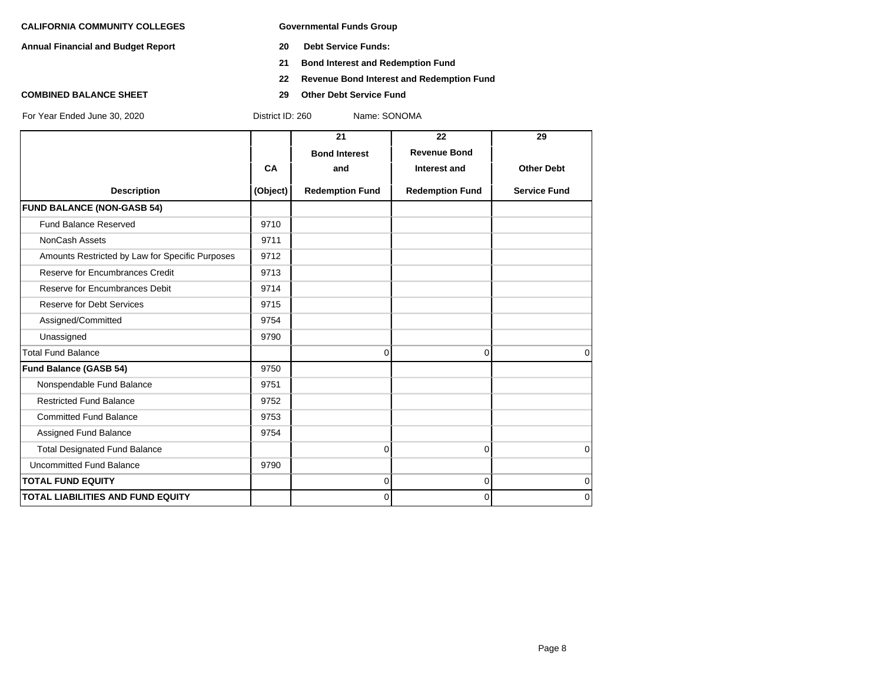**Annual Financial and Budget Report 20 Debt Service Funds:**

- 
- **21 Bond Interest and Redemption Fund**
- **22 Revenue Bond Interest and Redemption Fund**
- **COMBINED BALANCE SHEET 29 Other Debt Service Fund**

|                                                 |           | 21                     | 22                     | 29                  |
|-------------------------------------------------|-----------|------------------------|------------------------|---------------------|
|                                                 |           | <b>Bond Interest</b>   | <b>Revenue Bond</b>    |                     |
|                                                 | <b>CA</b> | and                    | Interest and           | <b>Other Debt</b>   |
| <b>Description</b>                              | (Object)  | <b>Redemption Fund</b> | <b>Redemption Fund</b> | <b>Service Fund</b> |
| <b>FUND BALANCE (NON-GASB 54)</b>               |           |                        |                        |                     |
| <b>Fund Balance Reserved</b>                    | 9710      |                        |                        |                     |
| <b>NonCash Assets</b>                           | 9711      |                        |                        |                     |
| Amounts Restricted by Law for Specific Purposes | 9712      |                        |                        |                     |
| Reserve for Encumbrances Credit                 | 9713      |                        |                        |                     |
| Reserve for Encumbrances Debit                  | 9714      |                        |                        |                     |
| <b>Reserve for Debt Services</b>                | 9715      |                        |                        |                     |
| Assigned/Committed                              | 9754      |                        |                        |                     |
| Unassigned                                      | 9790      |                        |                        |                     |
| <b>Total Fund Balance</b>                       |           | 0                      | 0                      | $\Omega$            |
| <b>Fund Balance (GASB 54)</b>                   | 9750      |                        |                        |                     |
| Nonspendable Fund Balance                       | 9751      |                        |                        |                     |
| <b>Restricted Fund Balance</b>                  | 9752      |                        |                        |                     |
| <b>Committed Fund Balance</b>                   | 9753      |                        |                        |                     |
| Assigned Fund Balance                           | 9754      |                        |                        |                     |
| <b>Total Designated Fund Balance</b>            |           | 0                      | 0                      | $\mathbf 0$         |
| <b>Uncommitted Fund Balance</b>                 | 9790      |                        |                        |                     |
| <b>TOTAL FUND EQUITY</b>                        |           | 0                      | 0                      | $\mathbf 0$         |
| <b>TOTAL LIABILITIES AND FUND EQUITY</b>        |           | 0                      | 0                      | $\mathbf 0$         |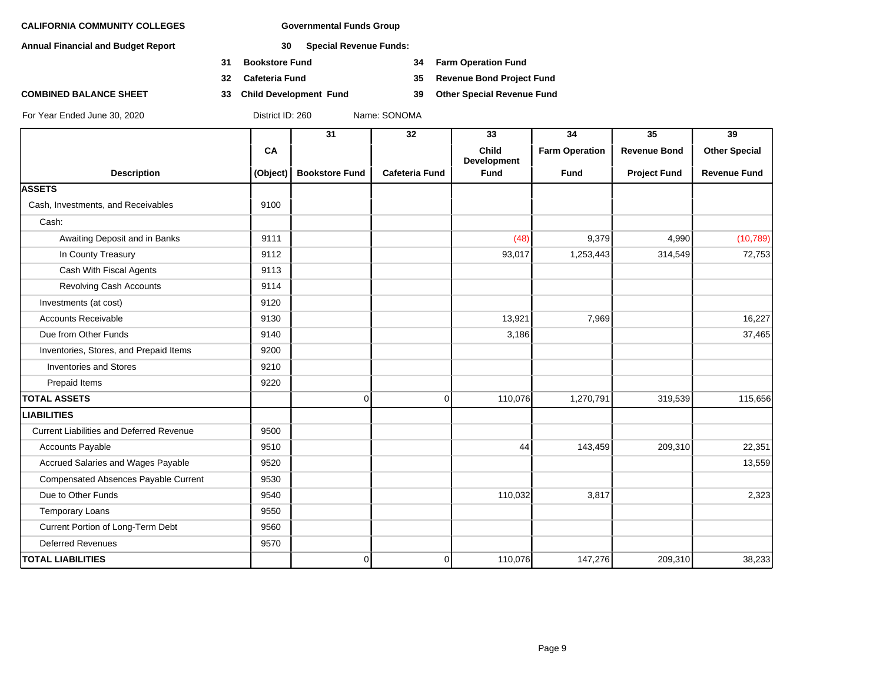**Annual Financial and Budget Report 30 Special Revenue Funds:**

- **31 Bookstore Fund 34 Farm Operation Fund**
- 
- **COMBINED BALANCE SHEET 33 Child Development Fund 39 Other Special Revenue Fund**

**32 Cafeteria Fund 35 Revenue Bond Project Fund**

|                                                 |           | 31                    | 32                    | 33                                 | 34                    | $\overline{35}$     | 39                   |
|-------------------------------------------------|-----------|-----------------------|-----------------------|------------------------------------|-----------------------|---------------------|----------------------|
|                                                 | <b>CA</b> |                       |                       | <b>Child</b><br><b>Development</b> | <b>Farm Operation</b> | <b>Revenue Bond</b> | <b>Other Special</b> |
| <b>Description</b>                              | (Object)  | <b>Bookstore Fund</b> | <b>Cafeteria Fund</b> | Fund                               | <b>Fund</b>           | <b>Project Fund</b> | <b>Revenue Fund</b>  |
| <b>ASSETS</b>                                   |           |                       |                       |                                    |                       |                     |                      |
| Cash, Investments, and Receivables              | 9100      |                       |                       |                                    |                       |                     |                      |
| Cash:                                           |           |                       |                       |                                    |                       |                     |                      |
| Awaiting Deposit and in Banks                   | 9111      |                       |                       | (48)                               | 9,379                 | 4,990               | (10, 789)            |
| In County Treasury                              | 9112      |                       |                       | 93,017                             | 1,253,443             | 314,549             | 72,753               |
| Cash With Fiscal Agents                         | 9113      |                       |                       |                                    |                       |                     |                      |
| <b>Revolving Cash Accounts</b>                  | 9114      |                       |                       |                                    |                       |                     |                      |
| Investments (at cost)                           | 9120      |                       |                       |                                    |                       |                     |                      |
| <b>Accounts Receivable</b>                      | 9130      |                       |                       | 13,921                             | 7,969                 |                     | 16,227               |
| Due from Other Funds                            | 9140      |                       |                       | 3,186                              |                       |                     | 37,465               |
| Inventories, Stores, and Prepaid Items          | 9200      |                       |                       |                                    |                       |                     |                      |
| <b>Inventories and Stores</b>                   | 9210      |                       |                       |                                    |                       |                     |                      |
| Prepaid Items                                   | 9220      |                       |                       |                                    |                       |                     |                      |
| <b>TOTAL ASSETS</b>                             |           | $\overline{0}$        | 0                     | 110,076                            | 1,270,791             | 319,539             | 115,656              |
| <b>LIABILITIES</b>                              |           |                       |                       |                                    |                       |                     |                      |
| <b>Current Liabilities and Deferred Revenue</b> | 9500      |                       |                       |                                    |                       |                     |                      |
| Accounts Payable                                | 9510      |                       |                       | 44                                 | 143,459               | 209,310             | 22,351               |
| Accrued Salaries and Wages Payable              | 9520      |                       |                       |                                    |                       |                     | 13,559               |
| Compensated Absences Payable Current            | 9530      |                       |                       |                                    |                       |                     |                      |
| Due to Other Funds                              | 9540      |                       |                       | 110,032                            | 3,817                 |                     | 2,323                |
| <b>Temporary Loans</b>                          | 9550      |                       |                       |                                    |                       |                     |                      |
| Current Portion of Long-Term Debt               | 9560      |                       |                       |                                    |                       |                     |                      |
| <b>Deferred Revenues</b>                        | 9570      |                       |                       |                                    |                       |                     |                      |
| <b>TOTAL LIABILITIES</b>                        |           | $\overline{0}$        | $\overline{0}$        | 110,076                            | 147,276               | 209,310             | 38,233               |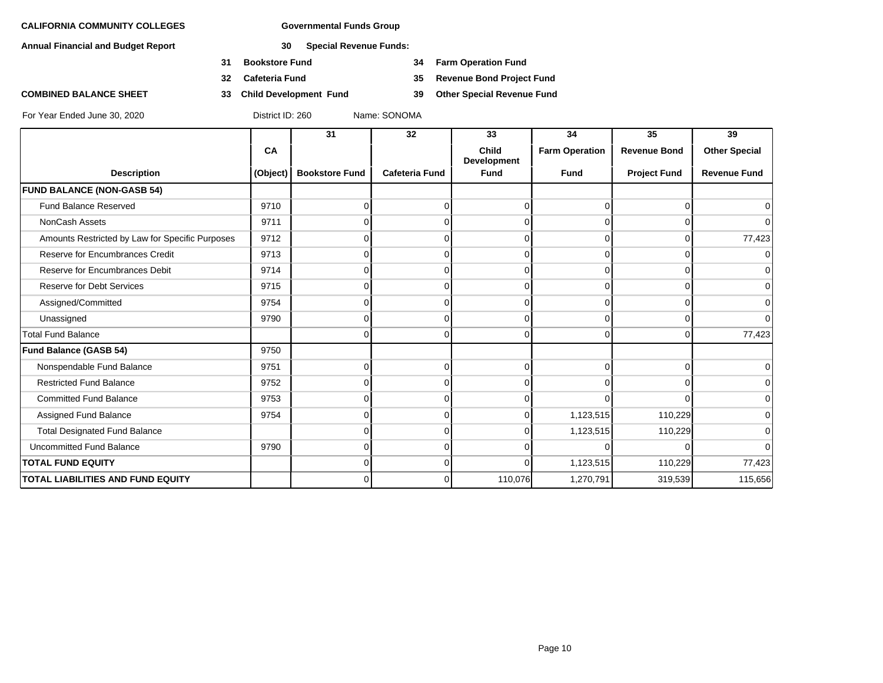**Annual Financial and Budget Report 30 Special Revenue Funds:**

- **31 Bookstore Fund 34 Farm Operation Fund**
- 
- 

**32 Cafeteria Fund 35 Revenue Bond Project Fund**

**COMBINED BALANCE SHEET 33 Child Development Fund 39 Other Special Revenue Fund**

|                                                 |          | 31                    | 32                    | 33                   | 34                    | 35                  | 39                   |
|-------------------------------------------------|----------|-----------------------|-----------------------|----------------------|-----------------------|---------------------|----------------------|
|                                                 | CA       |                       |                       | Child<br>Development | <b>Farm Operation</b> | <b>Revenue Bond</b> | <b>Other Special</b> |
| <b>Description</b>                              | (Object) | <b>Bookstore Fund</b> | <b>Cafeteria Fund</b> | <b>Fund</b>          | <b>Fund</b>           | <b>Project Fund</b> | <b>Revenue Fund</b>  |
| <b>FUND BALANCE (NON-GASB 54)</b>               |          |                       |                       |                      |                       |                     |                      |
| <b>Fund Balance Reserved</b>                    | 9710     |                       | 0                     |                      | $\Omega$              | 0                   | $\overline{0}$       |
| NonCash Assets                                  | 9711     |                       |                       |                      | $\Omega$              |                     | $\overline{0}$       |
| Amounts Restricted by Law for Specific Purposes | 9712     |                       | O                     |                      | $\Omega$              | $\Omega$            | 77,423               |
| Reserve for Encumbrances Credit                 | 9713     |                       | $\Omega$              |                      | $\Omega$              | $\Omega$            | 0                    |
| Reserve for Encumbrances Debit                  | 9714     |                       |                       |                      | $\Omega$              | O                   | $\overline{0}$       |
| <b>Reserve for Debt Services</b>                | 9715     |                       | 0                     |                      | $\Omega$              | $\Omega$            | $\overline{0}$       |
| Assigned/Committed                              | 9754     |                       | $\Omega$              |                      | $\Omega$              | $\Omega$            | $\overline{0}$       |
| Unassigned                                      | 9790     |                       | n                     |                      | $\cap$                |                     | $\overline{0}$       |
| <b>Total Fund Balance</b>                       |          | U                     | $\Omega$              | $\Omega$             | $\Omega$              | $\Omega$            | 77,423               |
| <b>Fund Balance (GASB 54)</b>                   | 9750     |                       |                       |                      |                       |                     |                      |
| Nonspendable Fund Balance                       | 9751     | U                     | 0                     |                      | $\Omega$              | $\Omega$            | $\overline{0}$       |
| <b>Restricted Fund Balance</b>                  | 9752     |                       | n                     |                      | $\Omega$              | $\Omega$            | $\overline{0}$       |
| <b>Committed Fund Balance</b>                   | 9753     | U                     | $\Omega$              |                      | $\Omega$              | $\Omega$            | $\overline{0}$       |
| Assigned Fund Balance                           | 9754     | n                     | 0                     |                      | 1,123,515             | 110,229             | $\overline{0}$       |
| <b>Total Designated Fund Balance</b>            |          |                       | 0                     |                      | 1,123,515             | 110,229             | $\overline{0}$       |
| <b>Uncommitted Fund Balance</b>                 | 9790     | 0                     | $\Omega$              |                      | $\Omega$              | $\Omega$            | $\overline{0}$       |
| <b>TOTAL FUND EQUITY</b>                        |          | 0                     | 0                     | 0                    | 1,123,515             | 110,229             | 77,423               |
| TOTAL LIABILITIES AND FUND EQUITY               |          | U                     | $\Omega$              | 110,076              | 1,270,791             | 319,539             | 115,656              |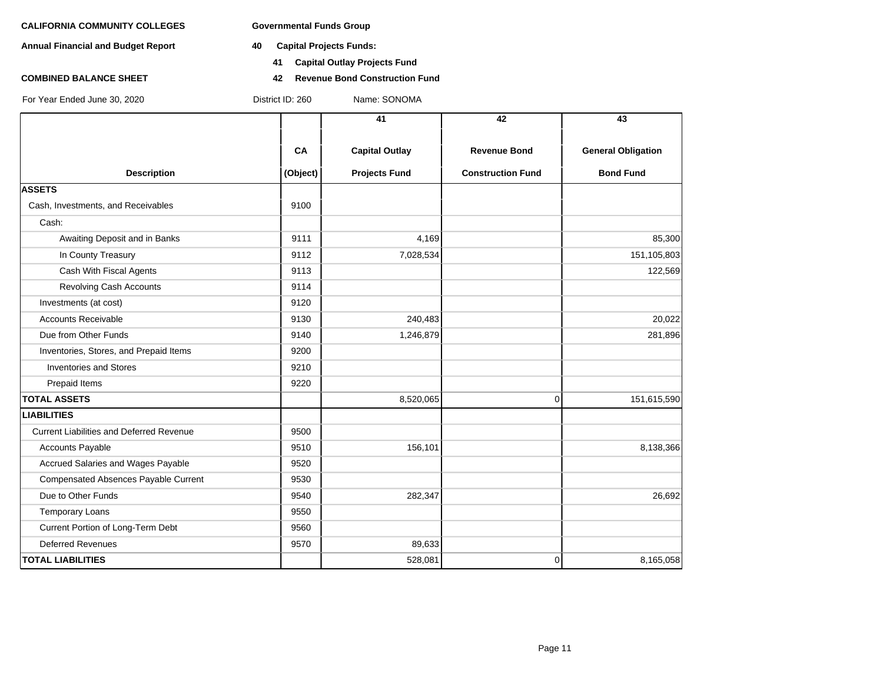**Annual Financial and Budget Report 40 Capital Projects Funds:**

- - **41 Capital Outlay Projects Fund**
- **COMBINED BALANCE SHEET 42 Revenue Bond Construction Fund**

| For Year Ended June 30, 2020 |  |
|------------------------------|--|
|------------------------------|--|

District ID: 260 Name: SONOMA

|                                                 |          | 41                    | 42                       | 43                        |
|-------------------------------------------------|----------|-----------------------|--------------------------|---------------------------|
|                                                 |          |                       |                          |                           |
|                                                 | CA       | <b>Capital Outlay</b> | <b>Revenue Bond</b>      | <b>General Obligation</b> |
| <b>Description</b>                              | (Object) | <b>Projects Fund</b>  | <b>Construction Fund</b> | <b>Bond Fund</b>          |
| <b>ASSETS</b>                                   |          |                       |                          |                           |
| Cash, Investments, and Receivables              | 9100     |                       |                          |                           |
| Cash:                                           |          |                       |                          |                           |
| Awaiting Deposit and in Banks                   | 9111     | 4,169                 |                          | 85,300                    |
| In County Treasury                              | 9112     | 7,028,534             |                          | 151,105,803               |
| Cash With Fiscal Agents                         | 9113     |                       |                          | 122,569                   |
| <b>Revolving Cash Accounts</b>                  | 9114     |                       |                          |                           |
| Investments (at cost)                           | 9120     |                       |                          |                           |
| <b>Accounts Receivable</b>                      | 9130     | 240,483               |                          | 20,022                    |
| Due from Other Funds                            | 9140     | 1,246,879             |                          | 281,896                   |
| Inventories, Stores, and Prepaid Items          | 9200     |                       |                          |                           |
| <b>Inventories and Stores</b>                   | 9210     |                       |                          |                           |
| Prepaid Items                                   | 9220     |                       |                          |                           |
| <b>TOTAL ASSETS</b>                             |          | 8,520,065             | $\mathbf 0$              | 151,615,590               |
| <b>LIABILITIES</b>                              |          |                       |                          |                           |
| <b>Current Liabilities and Deferred Revenue</b> | 9500     |                       |                          |                           |
| <b>Accounts Payable</b>                         | 9510     | 156,101               |                          | 8,138,366                 |
| Accrued Salaries and Wages Payable              | 9520     |                       |                          |                           |
| Compensated Absences Payable Current            | 9530     |                       |                          |                           |
| Due to Other Funds                              | 9540     | 282,347               |                          | 26,692                    |
| <b>Temporary Loans</b>                          | 9550     |                       |                          |                           |
| Current Portion of Long-Term Debt               | 9560     |                       |                          |                           |
| <b>Deferred Revenues</b>                        | 9570     | 89,633                |                          |                           |
| <b>TOTAL LIABILITIES</b>                        |          | 528,081               | $\mathbf 0$              | 8,165,058                 |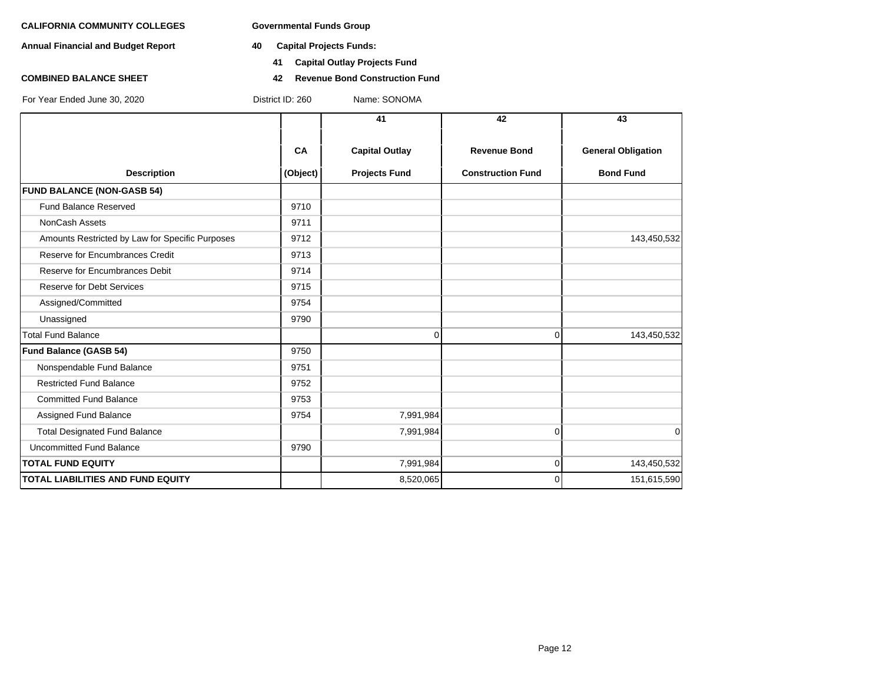**Annual Financial and Budget Report 40 Capital Projects Funds:**

- - **41 Capital Outlay Projects Fund**
- **COMBINED BALANCE SHEET 42 Revenue Bond Construction Fund**

|                                                 |          | 41                    | 42                       | 43                        |
|-------------------------------------------------|----------|-----------------------|--------------------------|---------------------------|
|                                                 | CA       | <b>Capital Outlay</b> | <b>Revenue Bond</b>      | <b>General Obligation</b> |
| <b>Description</b>                              | (Object) | <b>Projects Fund</b>  | <b>Construction Fund</b> | <b>Bond Fund</b>          |
| <b>FUND BALANCE (NON-GASB 54)</b>               |          |                       |                          |                           |
| <b>Fund Balance Reserved</b>                    | 9710     |                       |                          |                           |
| <b>NonCash Assets</b>                           | 9711     |                       |                          |                           |
| Amounts Restricted by Law for Specific Purposes | 9712     |                       |                          | 143,450,532               |
| Reserve for Encumbrances Credit                 | 9713     |                       |                          |                           |
| Reserve for Encumbrances Debit                  | 9714     |                       |                          |                           |
| <b>Reserve for Debt Services</b>                | 9715     |                       |                          |                           |
| Assigned/Committed                              | 9754     |                       |                          |                           |
| Unassigned                                      | 9790     |                       |                          |                           |
| <b>Total Fund Balance</b>                       |          | $\Omega$              | $\Omega$                 | 143,450,532               |
| Fund Balance (GASB 54)                          | 9750     |                       |                          |                           |
| Nonspendable Fund Balance                       | 9751     |                       |                          |                           |
| <b>Restricted Fund Balance</b>                  | 9752     |                       |                          |                           |
| <b>Committed Fund Balance</b>                   | 9753     |                       |                          |                           |
| Assigned Fund Balance                           | 9754     | 7,991,984             |                          |                           |
| <b>Total Designated Fund Balance</b>            |          | 7,991,984             | $\mathbf 0$              | 0                         |
| <b>Uncommitted Fund Balance</b>                 | 9790     |                       |                          |                           |
| <b>TOTAL FUND EQUITY</b>                        |          | 7,991,984             | $\mathbf 0$              | 143,450,532               |
| <b>TOTAL LIABILITIES AND FUND EQUITY</b>        |          | 8,520,065             | $\Omega$                 | 151,615,590               |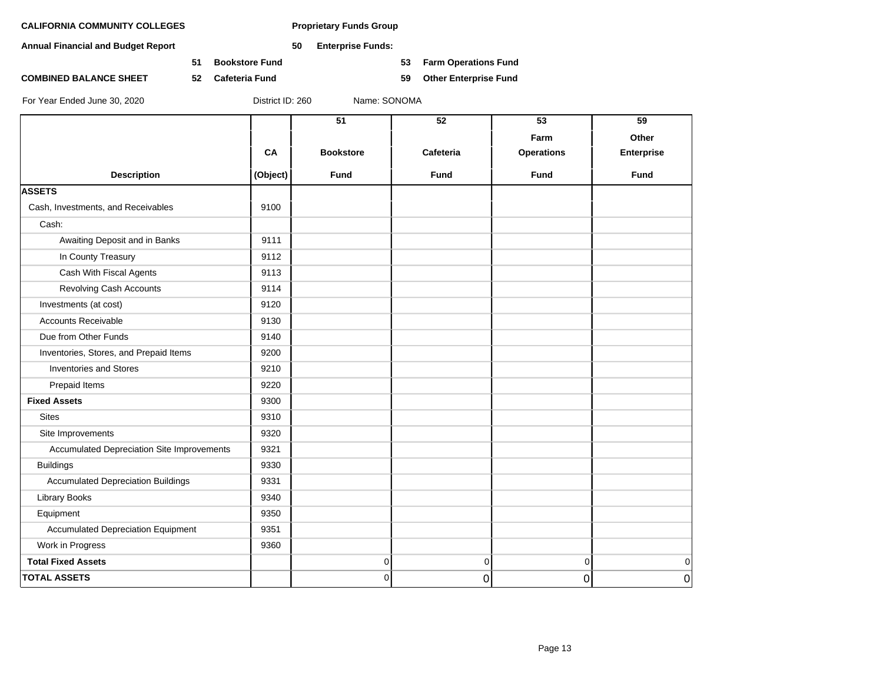**Annual Financial and Budget Report 50 Enterprise Funds:**

**COMBINED BALANCE SHEET 52 Cafeteria Fund 59 Other Enterprise Fund**

**51 Bookstore Fund 53 Farm Operations Fund**

|                                            |          | 51               | 52          | 53                | 59             |
|--------------------------------------------|----------|------------------|-------------|-------------------|----------------|
|                                            |          |                  |             | Farm              | Other          |
|                                            | CA       | <b>Bookstore</b> | Cafeteria   | <b>Operations</b> | Enterprise     |
| <b>Description</b>                         | (Object) | <b>Fund</b>      | <b>Fund</b> | <b>Fund</b>       | <b>Fund</b>    |
| <b>ASSETS</b>                              |          |                  |             |                   |                |
| Cash, Investments, and Receivables         | 9100     |                  |             |                   |                |
| Cash:                                      |          |                  |             |                   |                |
| Awaiting Deposit and in Banks              | 9111     |                  |             |                   |                |
| In County Treasury                         | 9112     |                  |             |                   |                |
| Cash With Fiscal Agents                    | 9113     |                  |             |                   |                |
| Revolving Cash Accounts                    | 9114     |                  |             |                   |                |
| Investments (at cost)                      | 9120     |                  |             |                   |                |
| <b>Accounts Receivable</b>                 | 9130     |                  |             |                   |                |
| Due from Other Funds                       | 9140     |                  |             |                   |                |
| Inventories, Stores, and Prepaid Items     | 9200     |                  |             |                   |                |
| <b>Inventories and Stores</b>              | 9210     |                  |             |                   |                |
| Prepaid Items                              | 9220     |                  |             |                   |                |
| <b>Fixed Assets</b>                        | 9300     |                  |             |                   |                |
| <b>Sites</b>                               | 9310     |                  |             |                   |                |
| Site Improvements                          | 9320     |                  |             |                   |                |
| Accumulated Depreciation Site Improvements | 9321     |                  |             |                   |                |
| <b>Buildings</b>                           | 9330     |                  |             |                   |                |
| <b>Accumulated Depreciation Buildings</b>  | 9331     |                  |             |                   |                |
| Library Books                              | 9340     |                  |             |                   |                |
| Equipment                                  | 9350     |                  |             |                   |                |
| <b>Accumulated Depreciation Equipment</b>  | 9351     |                  |             |                   |                |
| Work in Progress                           | 9360     |                  |             |                   |                |
| <b>Total Fixed Assets</b>                  |          | 0                | $\pmb{0}$   | $\overline{0}$    | $\mathbf 0$    |
| <b>TOTAL ASSETS</b>                        |          | 0                | 0           | $\overline{0}$    | $\overline{0}$ |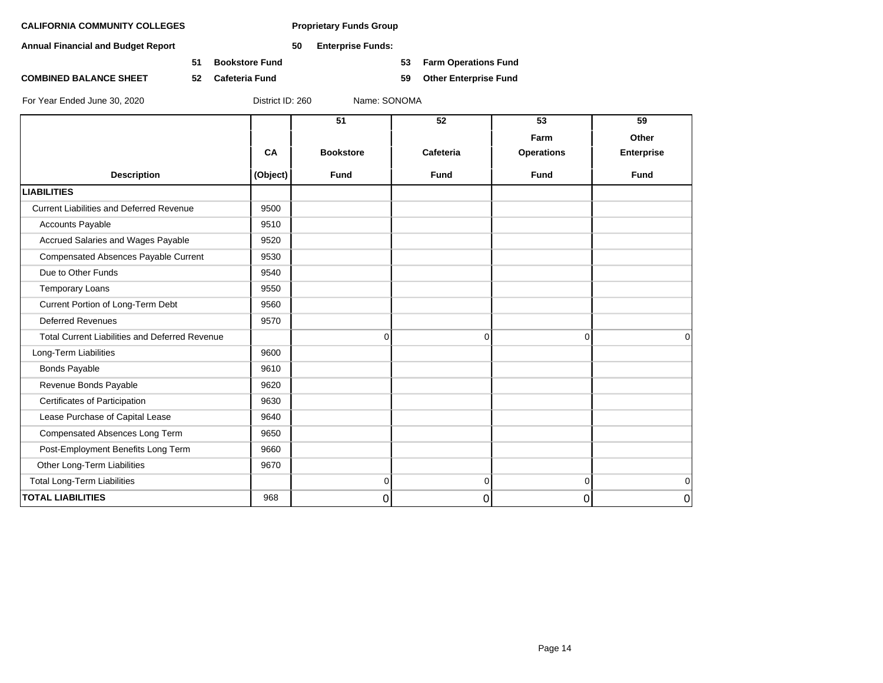**Annual Financial and Budget Report 50 Enterprise Funds:**

**51 Bookstore Fund 53 Farm Operations Fund**

**COMBINED BALANCE SHEET 52 Cafeteria Fund 59 Other Enterprise Fund**

|                                                       |          | 51               | 52          | 53                | 59                |
|-------------------------------------------------------|----------|------------------|-------------|-------------------|-------------------|
|                                                       |          |                  |             | Farm              | Other             |
|                                                       | CA       | <b>Bookstore</b> | Cafeteria   | <b>Operations</b> | <b>Enterprise</b> |
| <b>Description</b>                                    | (Object) | <b>Fund</b>      | <b>Fund</b> | <b>Fund</b>       | <b>Fund</b>       |
| <b>LIABILITIES</b>                                    |          |                  |             |                   |                   |
| <b>Current Liabilities and Deferred Revenue</b>       | 9500     |                  |             |                   |                   |
| <b>Accounts Payable</b>                               | 9510     |                  |             |                   |                   |
| Accrued Salaries and Wages Payable                    | 9520     |                  |             |                   |                   |
| <b>Compensated Absences Payable Current</b>           | 9530     |                  |             |                   |                   |
| Due to Other Funds                                    | 9540     |                  |             |                   |                   |
| <b>Temporary Loans</b>                                | 9550     |                  |             |                   |                   |
| Current Portion of Long-Term Debt                     | 9560     |                  |             |                   |                   |
| <b>Deferred Revenues</b>                              | 9570     |                  |             |                   |                   |
| <b>Total Current Liabilities and Deferred Revenue</b> |          | $\mathbf 0$      | $\Omega$    | $\overline{0}$    | $\Omega$          |
| Long-Term Liabilities                                 | 9600     |                  |             |                   |                   |
| <b>Bonds Payable</b>                                  | 9610     |                  |             |                   |                   |
| Revenue Bonds Payable                                 | 9620     |                  |             |                   |                   |
| Certificates of Participation                         | 9630     |                  |             |                   |                   |
| Lease Purchase of Capital Lease                       | 9640     |                  |             |                   |                   |
| Compensated Absences Long Term                        | 9650     |                  |             |                   |                   |
| Post-Employment Benefits Long Term                    | 9660     |                  |             |                   |                   |
| Other Long-Term Liabilities                           | 9670     |                  |             |                   |                   |
| <b>Total Long-Term Liabilities</b>                    |          | $\mathbf 0$      | 0           | 0                 | $\mathbf 0$       |
| <b>TOTAL LIABILITIES</b>                              | 968      | 0                | $\Omega$    | 0                 | 0                 |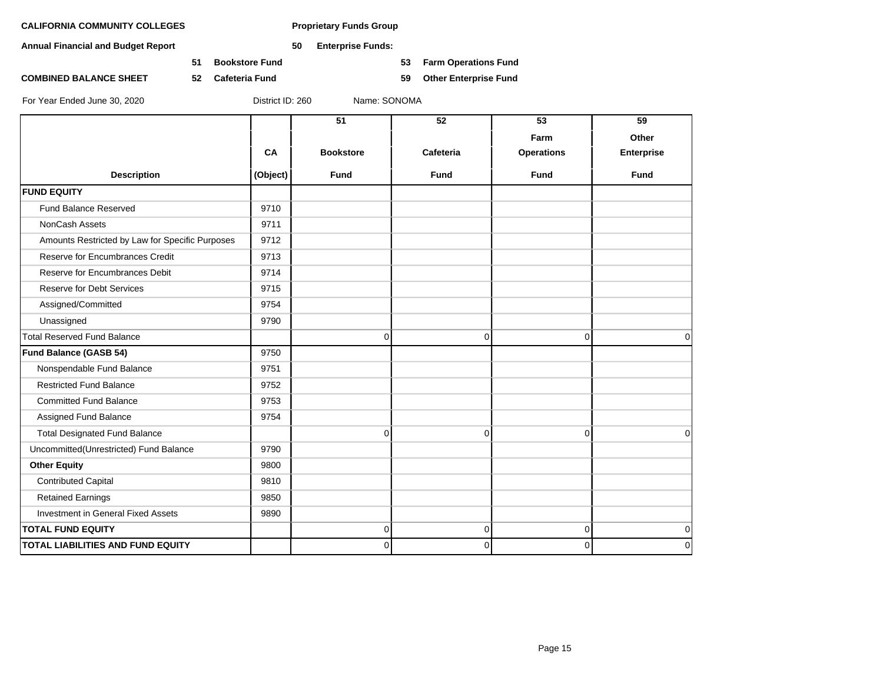**Annual Financial and Budget Report 50 Enterprise Funds:**

**51 Bookstore Fund 53 Farm Operations Fund**

**COMBINED BALANCE SHEET 52 Cafeteria Fund 59 Other Enterprise Fund**

|                                                 |           | 51               | 52          | 53                | 59                |
|-------------------------------------------------|-----------|------------------|-------------|-------------------|-------------------|
|                                                 |           |                  |             | Farm              | Other             |
|                                                 | <b>CA</b> | <b>Bookstore</b> | Cafeteria   | <b>Operations</b> | <b>Enterprise</b> |
| <b>Description</b>                              | (Object)  | <b>Fund</b>      | <b>Fund</b> | <b>Fund</b>       | <b>Fund</b>       |
| <b>FUND EQUITY</b>                              |           |                  |             |                   |                   |
| Fund Balance Reserved                           | 9710      |                  |             |                   |                   |
| NonCash Assets                                  | 9711      |                  |             |                   |                   |
| Amounts Restricted by Law for Specific Purposes | 9712      |                  |             |                   |                   |
| Reserve for Encumbrances Credit                 | 9713      |                  |             |                   |                   |
| Reserve for Encumbrances Debit                  | 9714      |                  |             |                   |                   |
| Reserve for Debt Services                       | 9715      |                  |             |                   |                   |
| Assigned/Committed                              | 9754      |                  |             |                   |                   |
| Unassigned                                      | 9790      |                  |             |                   |                   |
| <b>Total Reserved Fund Balance</b>              |           | $\Omega$         | $\mathbf 0$ | $\mathbf 0$       | 0                 |
| Fund Balance (GASB 54)                          | 9750      |                  |             |                   |                   |
| Nonspendable Fund Balance                       | 9751      |                  |             |                   |                   |
| <b>Restricted Fund Balance</b>                  | 9752      |                  |             |                   |                   |
| <b>Committed Fund Balance</b>                   | 9753      |                  |             |                   |                   |
| Assigned Fund Balance                           | 9754      |                  |             |                   |                   |
| <b>Total Designated Fund Balance</b>            |           | $\Omega$         | $\Omega$    | $\mathbf 0$       | $\Omega$          |
| Uncommitted(Unrestricted) Fund Balance          | 9790      |                  |             |                   |                   |
| <b>Other Equity</b>                             | 9800      |                  |             |                   |                   |
| <b>Contributed Capital</b>                      | 9810      |                  |             |                   |                   |
| <b>Retained Earnings</b>                        | 9850      |                  |             |                   |                   |
| Investment in General Fixed Assets              | 9890      |                  |             |                   |                   |
| <b>TOTAL FUND EQUITY</b>                        |           | $\Omega$         | 0           | 0                 | $\overline{0}$    |
| <b>TOTAL LIABILITIES AND FUND EQUITY</b>        |           | $\Omega$         | $\Omega$    | $\Omega$          | $\Omega$          |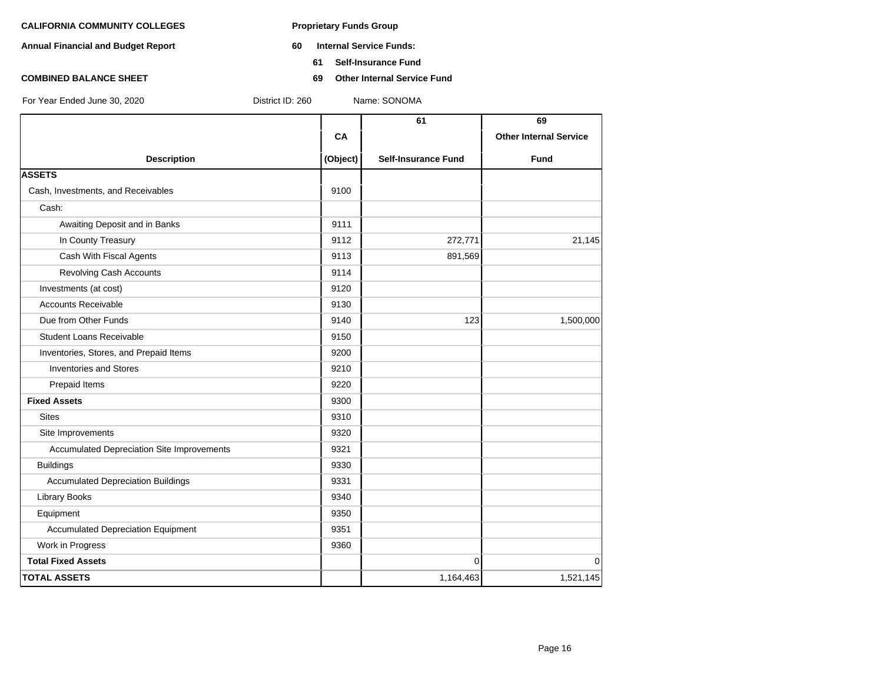- **Annual Financial and Budget Report 60 Internal Service Funds:**
	- **61 Self-Insurance Fund**
- **COMBINED BALANCE SHEET 69 Other Internal Service Fund**

|                                            |          | 61                         | 69                            |
|--------------------------------------------|----------|----------------------------|-------------------------------|
|                                            | CA       |                            | <b>Other Internal Service</b> |
| <b>Description</b>                         | (Object) | <b>Self-Insurance Fund</b> | <b>Fund</b>                   |
| <b>ASSETS</b>                              |          |                            |                               |
| Cash, Investments, and Receivables         | 9100     |                            |                               |
| Cash:                                      |          |                            |                               |
| Awaiting Deposit and in Banks              | 9111     |                            |                               |
| In County Treasury                         | 9112     | 272,771                    | 21,145                        |
| Cash With Fiscal Agents                    | 9113     | 891,569                    |                               |
| <b>Revolving Cash Accounts</b>             | 9114     |                            |                               |
| Investments (at cost)                      | 9120     |                            |                               |
| <b>Accounts Receivable</b>                 | 9130     |                            |                               |
| Due from Other Funds                       | 9140     | 123                        | 1,500,000                     |
| <b>Student Loans Receivable</b>            | 9150     |                            |                               |
| Inventories, Stores, and Prepaid Items     | 9200     |                            |                               |
| <b>Inventories and Stores</b>              | 9210     |                            |                               |
| Prepaid Items                              | 9220     |                            |                               |
| <b>Fixed Assets</b>                        | 9300     |                            |                               |
| <b>Sites</b>                               | 9310     |                            |                               |
| Site Improvements                          | 9320     |                            |                               |
| Accumulated Depreciation Site Improvements | 9321     |                            |                               |
| <b>Buildings</b>                           | 9330     |                            |                               |
| <b>Accumulated Depreciation Buildings</b>  | 9331     |                            |                               |
| <b>Library Books</b>                       | 9340     |                            |                               |
| Equipment                                  | 9350     |                            |                               |
| <b>Accumulated Depreciation Equipment</b>  | 9351     |                            |                               |
| Work in Progress                           | 9360     |                            |                               |
| <b>Total Fixed Assets</b>                  |          | $\Omega$                   | $\mathbf 0$                   |
| <b>TOTAL ASSETS</b>                        |          | 1,164,463                  | 1,521,145                     |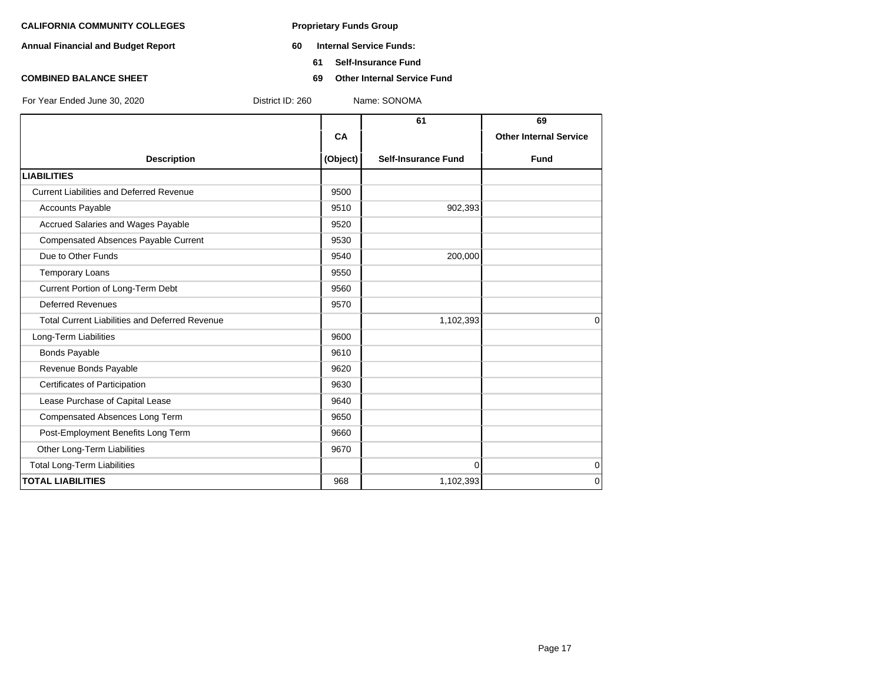- **Annual Financial and Budget Report 60 Internal Service Funds:**
	- **61 Self-Insurance Fund**
- **COMBINED BALANCE SHEET 69 Other Internal Service Fund**

|                                                       |          | 61                         | 69                            |
|-------------------------------------------------------|----------|----------------------------|-------------------------------|
|                                                       | CA       |                            | <b>Other Internal Service</b> |
| <b>Description</b>                                    | (Object) | <b>Self-Insurance Fund</b> | <b>Fund</b>                   |
| <b>LIABILITIES</b>                                    |          |                            |                               |
| <b>Current Liabilities and Deferred Revenue</b>       | 9500     |                            |                               |
| Accounts Payable                                      | 9510     | 902,393                    |                               |
| Accrued Salaries and Wages Payable                    | 9520     |                            |                               |
| Compensated Absences Payable Current                  | 9530     |                            |                               |
| Due to Other Funds                                    | 9540     | 200,000                    |                               |
| <b>Temporary Loans</b>                                | 9550     |                            |                               |
| Current Portion of Long-Term Debt                     | 9560     |                            |                               |
| <b>Deferred Revenues</b>                              | 9570     |                            |                               |
| <b>Total Current Liabilities and Deferred Revenue</b> |          | 1,102,393                  | 0                             |
| Long-Term Liabilities                                 | 9600     |                            |                               |
| <b>Bonds Payable</b>                                  | 9610     |                            |                               |
| Revenue Bonds Payable                                 | 9620     |                            |                               |
| Certificates of Participation                         | 9630     |                            |                               |
| Lease Purchase of Capital Lease                       | 9640     |                            |                               |
| Compensated Absences Long Term                        | 9650     |                            |                               |
| Post-Employment Benefits Long Term                    | 9660     |                            |                               |
| Other Long-Term Liabilities                           | 9670     |                            |                               |
| <b>Total Long-Term Liabilities</b>                    |          | $\Omega$                   | 0                             |
| <b>TOTAL LIABILITIES</b>                              | 968      | 1,102,393                  | 0                             |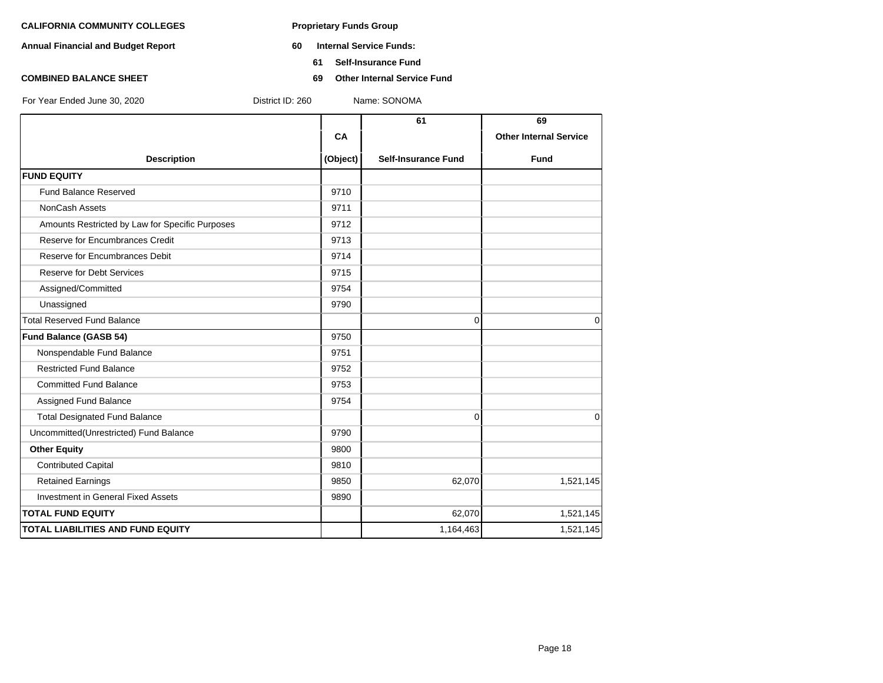- **Annual Financial and Budget Report 60 Internal Service Funds:**
	- **61 Self-Insurance Fund**
- **COMBINED BALANCE SHEET 69 Other Internal Service Fund**

|                                                 |          | 61                         | 69                            |
|-------------------------------------------------|----------|----------------------------|-------------------------------|
|                                                 | CA       |                            | <b>Other Internal Service</b> |
| <b>Description</b>                              | (Object) | <b>Self-Insurance Fund</b> | <b>Fund</b>                   |
| <b>FUND EQUITY</b>                              |          |                            |                               |
| <b>Fund Balance Reserved</b>                    | 9710     |                            |                               |
| NonCash Assets                                  | 9711     |                            |                               |
| Amounts Restricted by Law for Specific Purposes | 9712     |                            |                               |
| Reserve for Encumbrances Credit                 | 9713     |                            |                               |
| Reserve for Encumbrances Debit                  | 9714     |                            |                               |
| Reserve for Debt Services                       | 9715     |                            |                               |
| Assigned/Committed                              | 9754     |                            |                               |
| Unassigned                                      | 9790     |                            |                               |
| <b>Total Reserved Fund Balance</b>              |          | $\Omega$                   | $\Omega$                      |
| <b>Fund Balance (GASB 54)</b>                   | 9750     |                            |                               |
| Nonspendable Fund Balance                       | 9751     |                            |                               |
| <b>Restricted Fund Balance</b>                  | 9752     |                            |                               |
| <b>Committed Fund Balance</b>                   | 9753     |                            |                               |
| Assigned Fund Balance                           | 9754     |                            |                               |
| <b>Total Designated Fund Balance</b>            |          | $\mathbf{0}$               | $\Omega$                      |
| Uncommitted(Unrestricted) Fund Balance          | 9790     |                            |                               |
| <b>Other Equity</b>                             | 9800     |                            |                               |
| <b>Contributed Capital</b>                      | 9810     |                            |                               |
| <b>Retained Earnings</b>                        | 9850     | 62,070                     | 1,521,145                     |
| <b>Investment in General Fixed Assets</b>       | 9890     |                            |                               |
| <b>TOTAL FUND EQUITY</b>                        |          | 62,070                     | 1,521,145                     |
| <b>TOTAL LIABILITIES AND FUND EQUITY</b>        |          | 1,164,463                  | 1,521,145                     |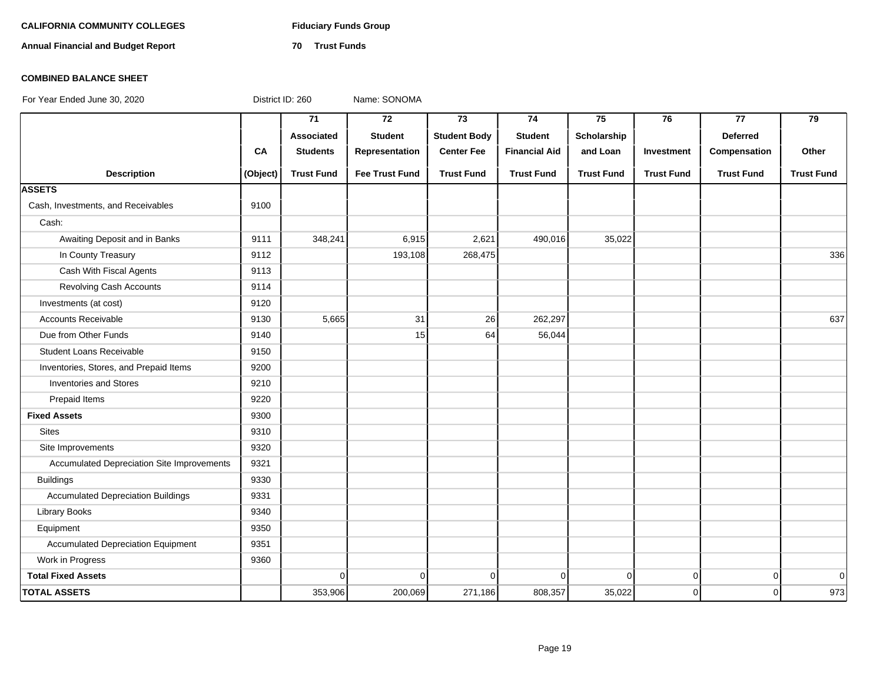#### **CALIFORNIA COMMUNITY COLLEGES Fiduciary Funds Group**

**Annual Financial and Budget Report 70 Trust Funds**

### **COMBINED BALANCE SHEET**

For Year Ended June 30, 2020 District ID: 260 Name: SONOMA

**71 72 73 74 75 76 77 79 Associated Student Student Body Student Scholarship Deferred CA Students Representation Center Fee Financial Aid and Loan Investment Compensation Other Description (Object) Trust Fund Fee Trust Fund Trust Fund Trust Fund Trust Fund Trust Fund Trust Fund Trust Fund ASSETS** Cash, Investments, and Receivables 19100 Cash: Awaiting Deposit and in Banks 9111 348,241 6,915 2,621 490,016 35,022 In County Treasury | 9112 | 268,475 | 336 Cash With Fiscal Agents 19113 Revolving Cash Accounts 19114 Investments (at cost) 19120 Accounts Receivable | 9130 | 5,665 | 31 | 26| 262,297 | | 637 Due from Other Funds **19140** 19140 15 **15 64 56,044** 56,044 Student Loans Receivable **19150** Inventories, Stores, and Prepaid Items 19200 Inventories and Stores **1** 9210 Prepaid Items 8220 **Fixed Assets** 9300 Sites 8. 2010 12:31 12:31 12:31 12:31 12:31 12:31 12:31 12:31 12:31 12:31 12:31 12:31 12:31 12:31 12:31 12:31 1 Site Improvements 2320 Accumulated Depreciation Site Improvements | 9321 Buildings 9330 Accumulated Depreciation Buildings | 9331 Library Books 3340 Equipment 9350 Accumulated Depreciation Equipment | 9351 Work in Progress 2360  **Total Fixed Assets** 0 0 0 0 0 0 0 0 **TOTAL ASSETS 353,906 200,069 271,186 808,357 35,022 0 0 973**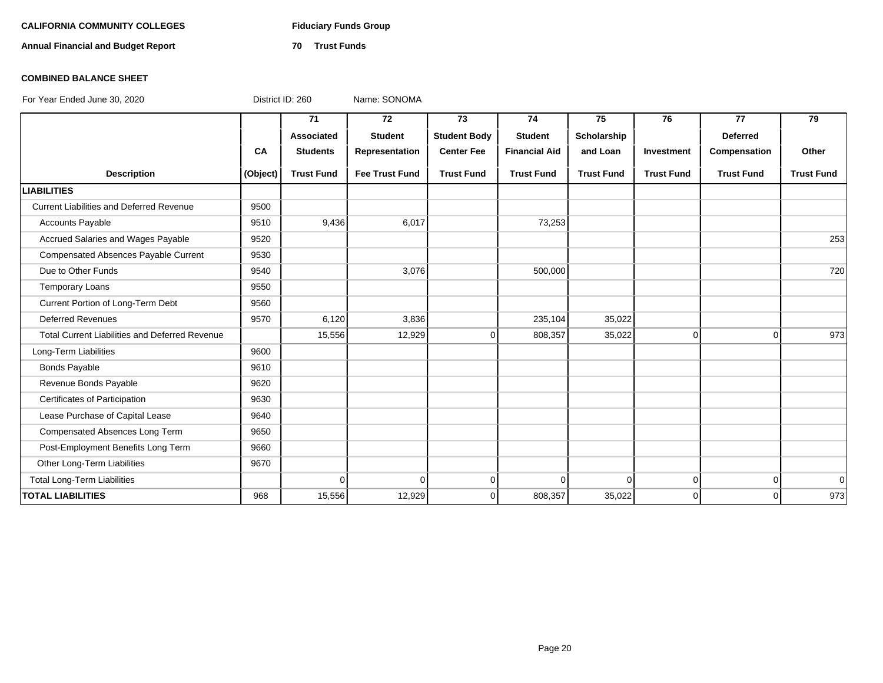# CALIFORNIA COMMUNITY COLLEGES Fiduciary Funds Group

**Annual Financial and Budget Report 70 Trust Funds**

### **COMBINED BALANCE SHEET**

|                                                       |          | 71                | 72                    | 73                  | 74                   | 75                | 76                | 77                | 79                |
|-------------------------------------------------------|----------|-------------------|-----------------------|---------------------|----------------------|-------------------|-------------------|-------------------|-------------------|
|                                                       |          | Associated        | <b>Student</b>        | <b>Student Body</b> | <b>Student</b>       | Scholarship       |                   | <b>Deferred</b>   |                   |
|                                                       | CA       | <b>Students</b>   | Representation        | <b>Center Fee</b>   | <b>Financial Aid</b> | and Loan          | Investment        | Compensation      | Other             |
| <b>Description</b>                                    | (Object) | <b>Trust Fund</b> | <b>Fee Trust Fund</b> | <b>Trust Fund</b>   | <b>Trust Fund</b>    | <b>Trust Fund</b> | <b>Trust Fund</b> | <b>Trust Fund</b> | <b>Trust Fund</b> |
| <b>LIABILITIES</b>                                    |          |                   |                       |                     |                      |                   |                   |                   |                   |
| <b>Current Liabilities and Deferred Revenue</b>       | 9500     |                   |                       |                     |                      |                   |                   |                   |                   |
| <b>Accounts Payable</b>                               | 9510     | 9,436             | 6,017                 |                     | 73,253               |                   |                   |                   |                   |
| Accrued Salaries and Wages Payable                    | 9520     |                   |                       |                     |                      |                   |                   |                   | 253               |
| Compensated Absences Payable Current                  | 9530     |                   |                       |                     |                      |                   |                   |                   |                   |
| Due to Other Funds                                    | 9540     |                   | 3,076                 |                     | 500,000              |                   |                   |                   | 720               |
| <b>Temporary Loans</b>                                | 9550     |                   |                       |                     |                      |                   |                   |                   |                   |
| Current Portion of Long-Term Debt                     | 9560     |                   |                       |                     |                      |                   |                   |                   |                   |
| <b>Deferred Revenues</b>                              | 9570     | 6,120             | 3,836                 |                     | 235,104              | 35,022            |                   |                   |                   |
| <b>Total Current Liabilities and Deferred Revenue</b> |          | 15,556            | 12,929                | $\Omega$            | 808,357              | 35,022            | $\Omega$          | $\Omega$          | 973               |
| Long-Term Liabilities                                 | 9600     |                   |                       |                     |                      |                   |                   |                   |                   |
| <b>Bonds Payable</b>                                  | 9610     |                   |                       |                     |                      |                   |                   |                   |                   |
| Revenue Bonds Payable                                 | 9620     |                   |                       |                     |                      |                   |                   |                   |                   |
| Certificates of Participation                         | 9630     |                   |                       |                     |                      |                   |                   |                   |                   |
| Lease Purchase of Capital Lease                       | 9640     |                   |                       |                     |                      |                   |                   |                   |                   |
| Compensated Absences Long Term                        | 9650     |                   |                       |                     |                      |                   |                   |                   |                   |
| Post-Employment Benefits Long Term                    | 9660     |                   |                       |                     |                      |                   |                   |                   |                   |
| Other Long-Term Liabilities                           | 9670     |                   |                       |                     |                      |                   |                   |                   |                   |
| <b>Total Long-Term Liabilities</b>                    |          | $\Omega$          | $\Omega$              | 0                   | $\Omega$             | 0                 | $\overline{0}$    | $\overline{0}$    | $\Omega$          |
| <b>TOTAL LIABILITIES</b>                              | 968      | 15,556            | 12,929                | $\Omega$            | 808,357              | 35,022            | $\Omega$          | $\Omega$          | 973               |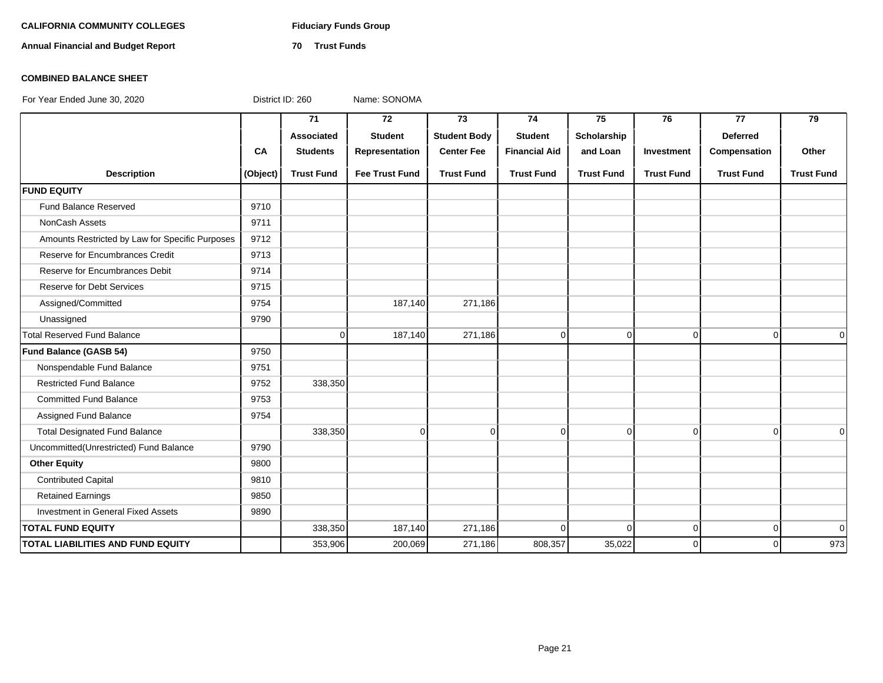# CALIFORNIA COMMUNITY COLLEGES Fiduciary Funds Group

**Annual Financial and Budget Report 70 Trust Funds**

### **COMBINED BALANCE SHEET**

|                                                 |          | 71                | 72                    | 73                  | 74                   | 75                | 76                | 77                | 79                |
|-------------------------------------------------|----------|-------------------|-----------------------|---------------------|----------------------|-------------------|-------------------|-------------------|-------------------|
|                                                 |          | Associated        | <b>Student</b>        | <b>Student Body</b> | <b>Student</b>       | Scholarship       |                   | <b>Deferred</b>   |                   |
|                                                 | CA       | <b>Students</b>   | Representation        | <b>Center Fee</b>   | <b>Financial Aid</b> | and Loan          | Investment        | Compensation      | Other             |
| <b>Description</b>                              | (Object) | <b>Trust Fund</b> | <b>Fee Trust Fund</b> | <b>Trust Fund</b>   | <b>Trust Fund</b>    | <b>Trust Fund</b> | <b>Trust Fund</b> | <b>Trust Fund</b> | <b>Trust Fund</b> |
| <b>FUND EQUITY</b>                              |          |                   |                       |                     |                      |                   |                   |                   |                   |
| Fund Balance Reserved                           | 9710     |                   |                       |                     |                      |                   |                   |                   |                   |
| <b>NonCash Assets</b>                           | 9711     |                   |                       |                     |                      |                   |                   |                   |                   |
| Amounts Restricted by Law for Specific Purposes | 9712     |                   |                       |                     |                      |                   |                   |                   |                   |
| Reserve for Encumbrances Credit                 | 9713     |                   |                       |                     |                      |                   |                   |                   |                   |
| Reserve for Encumbrances Debit                  | 9714     |                   |                       |                     |                      |                   |                   |                   |                   |
| <b>Reserve for Debt Services</b>                | 9715     |                   |                       |                     |                      |                   |                   |                   |                   |
| Assigned/Committed                              | 9754     |                   | 187,140               | 271,186             |                      |                   |                   |                   |                   |
| Unassigned                                      | 9790     |                   |                       |                     |                      |                   |                   |                   |                   |
| <b>Total Reserved Fund Balance</b>              |          | $\Omega$          | 187,140               | 271,186             | $\overline{0}$       | $\mathbf 0$       | $\mathbf 0$       | $\Omega$          | $\Omega$          |
| Fund Balance (GASB 54)                          | 9750     |                   |                       |                     |                      |                   |                   |                   |                   |
| Nonspendable Fund Balance                       | 9751     |                   |                       |                     |                      |                   |                   |                   |                   |
| <b>Restricted Fund Balance</b>                  | 9752     | 338,350           |                       |                     |                      |                   |                   |                   |                   |
| <b>Committed Fund Balance</b>                   | 9753     |                   |                       |                     |                      |                   |                   |                   |                   |
| Assigned Fund Balance                           | 9754     |                   |                       |                     |                      |                   |                   |                   |                   |
| <b>Total Designated Fund Balance</b>            |          | 338,350           | $\Omega$              | $\Omega$            | $\Omega$             | $\Omega$          | $\Omega$          | $\Omega$          | $\Omega$          |
| Uncommitted(Unrestricted) Fund Balance          | 9790     |                   |                       |                     |                      |                   |                   |                   |                   |
| <b>Other Equity</b>                             | 9800     |                   |                       |                     |                      |                   |                   |                   |                   |
| <b>Contributed Capital</b>                      | 9810     |                   |                       |                     |                      |                   |                   |                   |                   |
| <b>Retained Earnings</b>                        | 9850     |                   |                       |                     |                      |                   |                   |                   |                   |
| Investment in General Fixed Assets              | 9890     |                   |                       |                     |                      |                   |                   |                   |                   |
| <b>TOTAL FUND EQUITY</b>                        |          | 338,350           | 187,140               | 271,186             | $\Omega$             | $\Omega$          | $\Omega$          | $\Omega$          | $\overline{0}$    |
| <b>TOTAL LIABILITIES AND FUND EQUITY</b>        |          | 353,906           | 200,069               | 271,186             | 808,357              | 35,022            | $\Omega$          | $\Omega$          | 973               |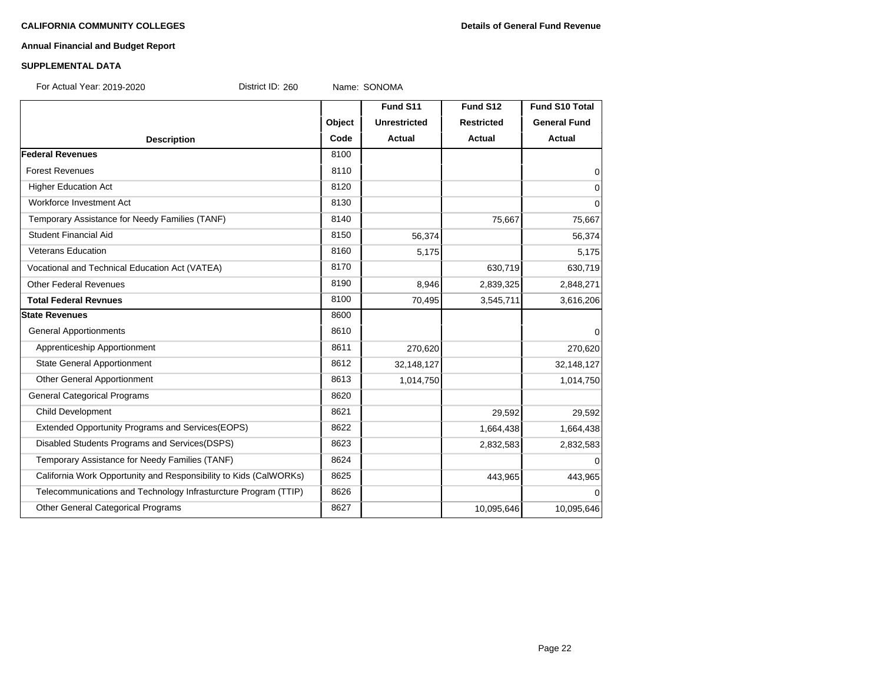#### **CALIFORNIA COMMUNITY COLLEGES Details of General Fund Revenue**

# **Annual Financial and Budget Report**

### **SUPPLEMENTAL DATA**

For Actual Year: 2019-2020 District ID: 260 Name: SONOMA

|                                                                   |        | Fund S11            | Fund S12          | <b>Fund S10 Total</b> |
|-------------------------------------------------------------------|--------|---------------------|-------------------|-----------------------|
|                                                                   | Object | <b>Unrestricted</b> | <b>Restricted</b> | <b>General Fund</b>   |
| <b>Description</b>                                                | Code   | <b>Actual</b>       | <b>Actual</b>     | <b>Actual</b>         |
| <b>Federal Revenues</b>                                           | 8100   |                     |                   |                       |
| <b>Forest Revenues</b>                                            | 8110   |                     |                   | $\overline{0}$        |
| <b>Higher Education Act</b>                                       | 8120   |                     |                   | $\overline{0}$        |
| Workforce Investment Act                                          | 8130   |                     |                   | 0                     |
| Temporary Assistance for Needy Families (TANF)                    | 8140   |                     | 75,667            | 75,667                |
| Student Financial Aid                                             | 8150   | 56,374              |                   | 56,374                |
| <b>Veterans Education</b>                                         | 8160   | 5,175               |                   | 5,175                 |
| Vocational and Technical Education Act (VATEA)                    | 8170   |                     | 630,719           | 630,719               |
| <b>Other Federal Revenues</b>                                     | 8190   | 8,946               | 2,839,325         | 2,848,271             |
| <b>Total Federal Revnues</b>                                      | 8100   | 70,495              | 3,545,711         | 3,616,206             |
| <b>State Revenues</b>                                             | 8600   |                     |                   |                       |
| <b>General Apportionments</b>                                     | 8610   |                     |                   | $\overline{0}$        |
| Apprenticeship Apportionment                                      | 8611   | 270,620             |                   | 270,620               |
| <b>State General Apportionment</b>                                | 8612   | 32,148,127          |                   | 32, 148, 127          |
| Other General Apportionment                                       | 8613   | 1,014,750           |                   | 1,014,750             |
| <b>General Categorical Programs</b>                               | 8620   |                     |                   |                       |
| <b>Child Development</b>                                          | 8621   |                     | 29,592            | 29,592                |
| Extended Opportunity Programs and Services(EOPS)                  | 8622   |                     | 1,664,438         | 1,664,438             |
| Disabled Students Programs and Services(DSPS)                     | 8623   |                     | 2,832,583         | 2,832,583             |
| Temporary Assistance for Needy Families (TANF)                    | 8624   |                     |                   | $\Omega$              |
| California Work Opportunity and Responsibility to Kids (CalWORKs) | 8625   |                     | 443,965           | 443,965               |
| Telecommunications and Technology Infrasturcture Program (TTIP)   | 8626   |                     |                   | $\Omega$              |
| Other General Categorical Programs                                | 8627   |                     | 10,095,646        | 10,095,646            |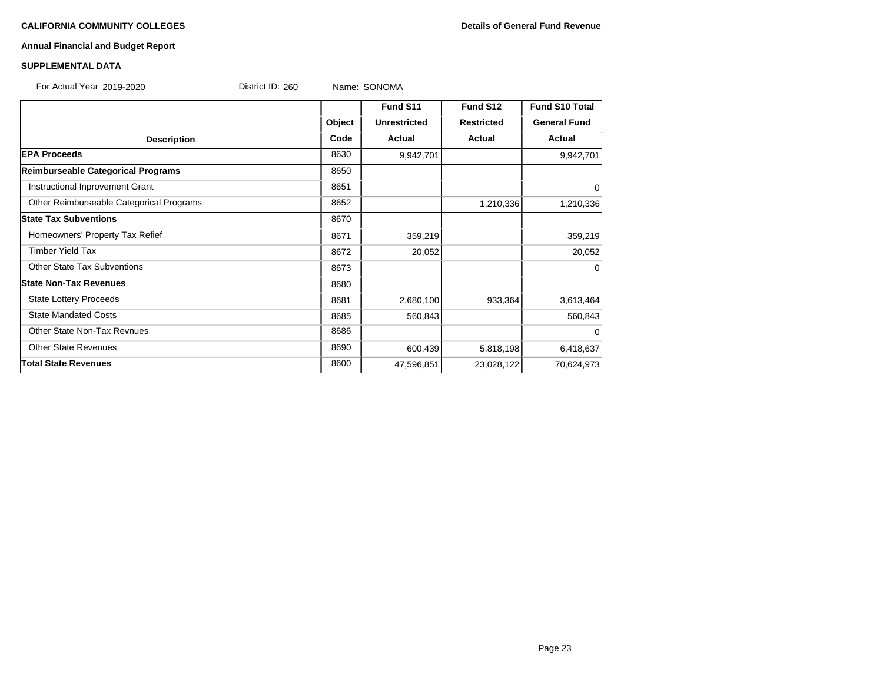# **CALIFORNIA COMMUNITY COLLEGES Details of General Fund Revenue**

# **Annual Financial and Budget Report**

# **SUPPLEMENTAL DATA**

| For Actual Year: 2019-2020               | District ID: 260 | Name: SONOMA        |                   |                       |
|------------------------------------------|------------------|---------------------|-------------------|-----------------------|
|                                          |                  | Fund S11            | Fund S12          | <b>Fund S10 Total</b> |
|                                          | Object           | <b>Unrestricted</b> | <b>Restricted</b> | <b>General Fund</b>   |
| <b>Description</b>                       | Code             | Actual              | <b>Actual</b>     | Actual                |
| <b>EPA Proceeds</b>                      | 8630             | 9,942,701           |                   | 9,942,701             |
| Reimburseable Categorical Programs       | 8650             |                     |                   |                       |
| Instructional Inprovement Grant          | 8651             |                     |                   | 0                     |
| Other Reimburseable Categorical Programs | 8652             |                     | 1,210,336         | 1,210,336             |
| <b>State Tax Subventions</b>             | 8670             |                     |                   |                       |
| Homeowners' Property Tax Refief          | 8671             | 359,219             |                   | 359,219               |
| <b>Timber Yield Tax</b>                  | 8672             | 20,052              |                   | 20,052                |
| <b>Other State Tax Subventions</b>       | 8673             |                     |                   | 0                     |
| <b>State Non-Tax Revenues</b>            | 8680             |                     |                   |                       |
| <b>State Lottery Proceeds</b>            | 8681             | 2,680,100           | 933,364           | 3,613,464             |
| <b>State Mandated Costs</b>              | 8685             | 560,843             |                   | 560,843               |
| Other State Non-Tax Revnues              | 8686             |                     |                   | 0                     |
| <b>Other State Revenues</b>              | 8690             | 600,439             | 5,818,198         | 6,418,637             |
| <b>Total State Revenues</b>              | 8600             | 47,596,851          | 23,028,122        | 70,624,973            |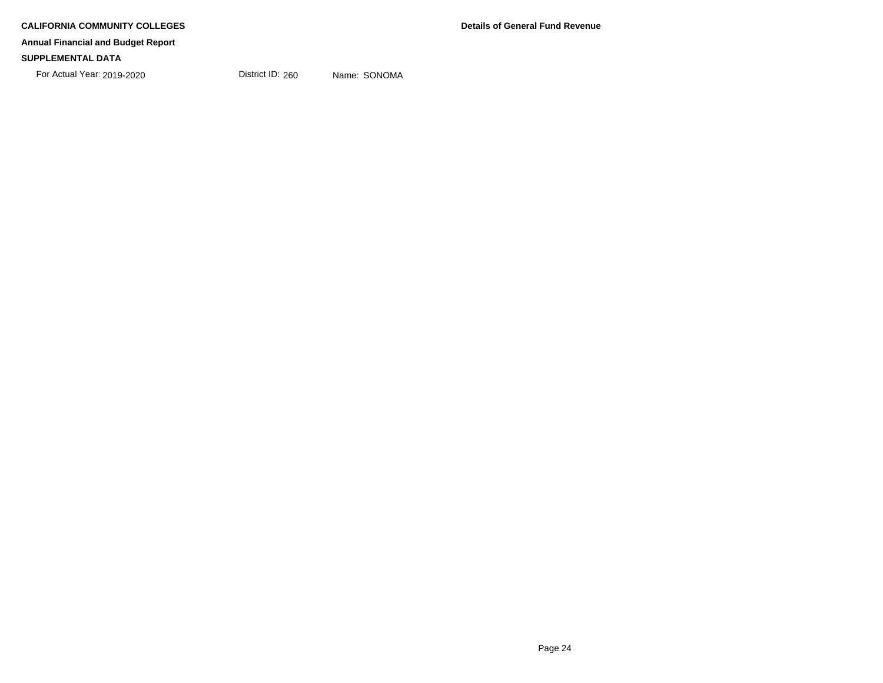# **SUPPLEMENTAL DATA**

For Actual Year: 2019-2020 District ID: 260 Name: SONOMA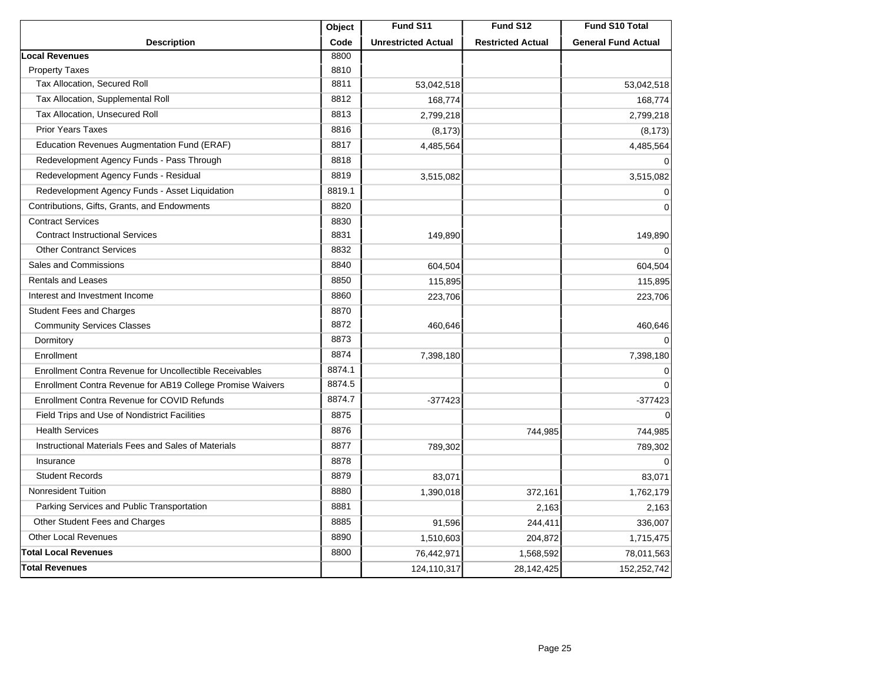|                                                            | Object | Fund S11                   | Fund S12                 | Fund S10 Total             |
|------------------------------------------------------------|--------|----------------------------|--------------------------|----------------------------|
| <b>Description</b>                                         | Code   | <b>Unrestricted Actual</b> | <b>Restricted Actual</b> | <b>General Fund Actual</b> |
| <b>Local Revenues</b>                                      | 8800   |                            |                          |                            |
| <b>Property Taxes</b>                                      | 8810   |                            |                          |                            |
| Tax Allocation, Secured Roll                               | 8811   | 53,042,518                 |                          | 53,042,518                 |
| Tax Allocation, Supplemental Roll                          | 8812   | 168,774                    |                          | 168,774                    |
| Tax Allocation, Unsecured Roll                             | 8813   | 2,799,218                  |                          | 2,799,218                  |
| <b>Prior Years Taxes</b>                                   | 8816   | (8, 173)                   |                          | (8, 173)                   |
| Education Revenues Augmentation Fund (ERAF)                | 8817   | 4,485,564                  |                          | 4,485,564                  |
| Redevelopment Agency Funds - Pass Through                  | 8818   |                            |                          | $\mathbf 0$                |
| Redevelopment Agency Funds - Residual                      | 8819   | 3,515,082                  |                          | 3,515,082                  |
| Redevelopment Agency Funds - Asset Liquidation             | 8819.1 |                            |                          | $\Omega$                   |
| Contributions, Gifts, Grants, and Endowments               | 8820   |                            |                          | $\mathbf 0$                |
| <b>Contract Services</b>                                   | 8830   |                            |                          |                            |
| <b>Contract Instructional Services</b>                     | 8831   | 149,890                    |                          | 149,890                    |
| <b>Other Contranct Services</b>                            | 8832   |                            |                          | $\Omega$                   |
| Sales and Commissions                                      | 8840   | 604,504                    |                          | 604,504                    |
| <b>Rentals and Leases</b>                                  | 8850   | 115,895                    |                          | 115,895                    |
| Interest and Investment Income                             | 8860   | 223,706                    |                          | 223,706                    |
| <b>Student Fees and Charges</b>                            | 8870   |                            |                          |                            |
| <b>Community Services Classes</b>                          | 8872   | 460,646                    |                          | 460,646                    |
| Dormitory                                                  | 8873   |                            |                          | $\Omega$                   |
| Enrollment                                                 | 8874   | 7,398,180                  |                          | 7,398,180                  |
| Enrollment Contra Revenue for Uncollectible Receivables    | 8874.1 |                            |                          | 0                          |
| Enrollment Contra Revenue for AB19 College Promise Waivers | 8874.5 |                            |                          | $\Omega$                   |
| Enrollment Contra Revenue for COVID Refunds                | 8874.7 | $-377423$                  |                          | $-377423$                  |
| Field Trips and Use of Nondistrict Facilities              | 8875   |                            |                          | $\mathbf 0$                |
| <b>Health Services</b>                                     | 8876   |                            | 744,985                  | 744,985                    |
| Instructional Materials Fees and Sales of Materials        | 8877   | 789,302                    |                          | 789,302                    |
| Insurance                                                  | 8878   |                            |                          | $\Omega$                   |
| <b>Student Records</b>                                     | 8879   | 83,071                     |                          | 83,071                     |
| <b>Nonresident Tuition</b>                                 | 8880   | 1,390,018                  | 372,161                  | 1,762,179                  |
| Parking Services and Public Transportation                 | 8881   |                            | 2,163                    | 2,163                      |
| Other Student Fees and Charges                             | 8885   | 91,596                     | 244,411                  | 336,007                    |
| <b>Other Local Revenues</b>                                | 8890   | 1,510,603                  | 204,872                  | 1,715,475                  |
| <b>Total Local Revenues</b>                                | 8800   | 76,442,971                 | 1,568,592                | 78,011,563                 |
| <b>Total Revenues</b>                                      |        | 124,110,317                | 28,142,425               | 152,252,742                |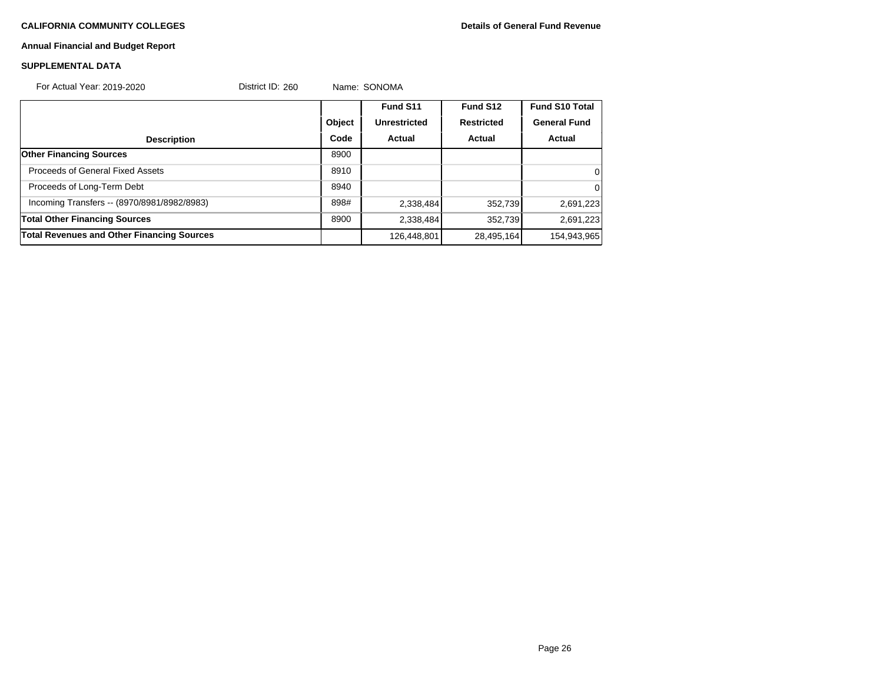# **CALIFORNIA COMMUNITY COLLEGES Details of General Fund Revenue**

# **Annual Financial and Budget Report**

# **SUPPLEMENTAL DATA**

| For Actual Year: 2019-2020                  | District ID: 260 |        | Name: SONOMA        |                   |                       |
|---------------------------------------------|------------------|--------|---------------------|-------------------|-----------------------|
|                                             |                  |        | Fund S11            | Fund S12          | <b>Fund S10 Total</b> |
|                                             |                  | Object | <b>Unrestricted</b> | <b>Restricted</b> | <b>General Fund</b>   |
| <b>Description</b>                          |                  | Code   | Actual              | Actual            | Actual                |
| <b>Other Financing Sources</b>              |                  | 8900   |                     |                   |                       |
| Proceeds of General Fixed Assets            |                  | 8910   |                     |                   | 0                     |
| Proceeds of Long-Term Debt                  |                  | 8940   |                     |                   | 0                     |
| Incoming Transfers -- (8970/8981/8982/8983) |                  | 898#   | 2,338,484           | 352,739           | 2,691,223             |
| <b>Total Other Financing Sources</b>        |                  | 8900   | 2,338,484           | 352,739           | 2,691,223             |
| Total Revenues and Other Financing Sources  |                  |        | 126,448,801         | 28,495,164        | 154,943,965           |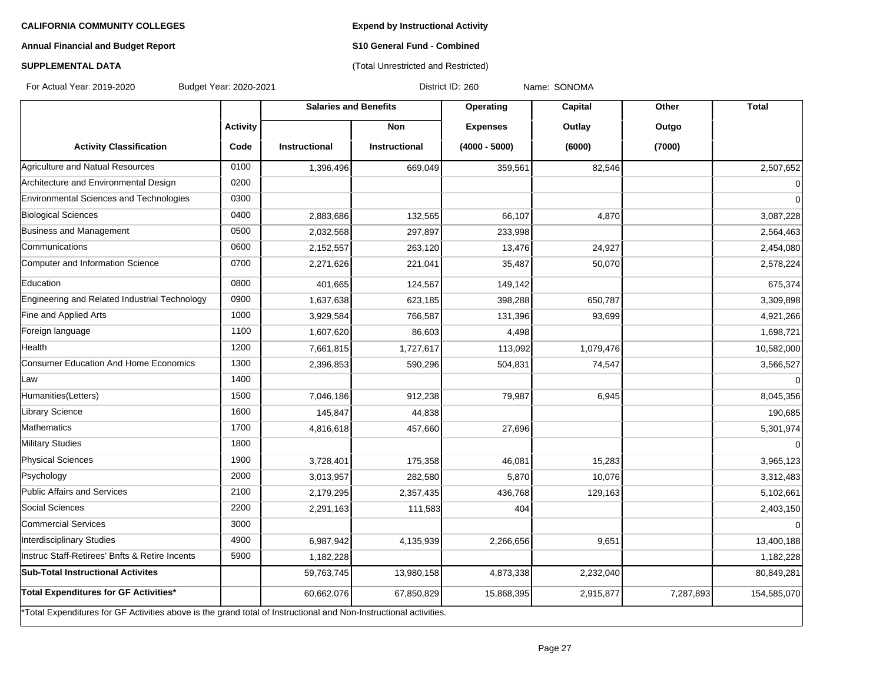**Expend by Instructional Activity**

# **Annual Financial and Budget Report**

# **S10 General Fund - Combined** (Total Unrestricted and Restricted)

# **SUPPLEMENTAL DATA**

For Actual Year: 2019-2020 Budget Year: 2020-2021 District ID: 260 Name: SONOMA

|                                                                                                                   |                 | <b>Salaries and Benefits</b> |               | Operating       | Capital   | Other     | <b>Total</b> |
|-------------------------------------------------------------------------------------------------------------------|-----------------|------------------------------|---------------|-----------------|-----------|-----------|--------------|
|                                                                                                                   | <b>Activity</b> |                              | <b>Non</b>    | <b>Expenses</b> | Outlay    | Outgo     |              |
| <b>Activity Classification</b>                                                                                    | Code            | Instructional                | Instructional | $(4000 - 5000)$ | (6000)    | (7000)    |              |
| Agriculture and Natual Resources                                                                                  | 0100            | 1,396,496                    | 669,049       | 359,561         | 82,546    |           | 2,507,652    |
| Architecture and Environmental Design                                                                             | 0200            |                              |               |                 |           |           | 0            |
| Environmental Sciences and Technologies                                                                           | 0300            |                              |               |                 |           |           | $\Omega$     |
| <b>Biological Sciences</b>                                                                                        | 0400            | 2,883,686                    | 132,565       | 66,107          | 4,870     |           | 3,087,228    |
| Business and Management                                                                                           | 0500            | 2,032,568                    | 297,897       | 233,998         |           |           | 2,564,463    |
| Communications                                                                                                    | 0600            | 2,152,557                    | 263,120       | 13,476          | 24,927    |           | 2,454,080    |
| Computer and Information Science                                                                                  | 0700            | 2,271,626                    | 221,041       | 35,487          | 50,070    |           | 2,578,224    |
| Education                                                                                                         | 0800            | 401,665                      | 124,567       | 149,142         |           |           | 675,374      |
| Engineering and Related Industrial Technology                                                                     | 0900            | 1,637,638                    | 623,185       | 398,288         | 650,787   |           | 3,309,898    |
| Fine and Applied Arts                                                                                             | 1000            | 3,929,584                    | 766,587       | 131,396         | 93,699    |           | 4,921,266    |
| Foreign language                                                                                                  | 1100            | 1,607,620                    | 86,603        | 4,498           |           |           | 1,698,721    |
| Health                                                                                                            | 1200            | 7,661,815                    | 1,727,617     | 113,092         | 1,079,476 |           | 10,582,000   |
| <b>Consumer Education And Home Economics</b>                                                                      | 1300            | 2,396,853                    | 590,296       | 504,831         | 74,547    |           | 3,566,527    |
| Law                                                                                                               | 1400            |                              |               |                 |           |           | $\mathbf 0$  |
| Humanities(Letters)                                                                                               | 1500            | 7,046,186                    | 912,238       | 79,987          | 6,945     |           | 8,045,356    |
| <b>Library Science</b>                                                                                            | 1600            | 145,847                      | 44,838        |                 |           |           | 190,685      |
| Mathematics                                                                                                       | 1700            | 4,816,618                    | 457,660       | 27,696          |           |           | 5,301,974    |
| Military Studies                                                                                                  | 1800            |                              |               |                 |           |           | $\Omega$     |
| Physical Sciences                                                                                                 | 1900            | 3,728,401                    | 175,358       | 46,081          | 15,283    |           | 3,965,123    |
| Psychology                                                                                                        | 2000            | 3,013,957                    | 282,580       | 5,870           | 10,076    |           | 3,312,483    |
| Public Affairs and Services                                                                                       | 2100            | 2,179,295                    | 2,357,435     | 436,768         | 129,163   |           | 5,102,661    |
| Social Sciences                                                                                                   | 2200            | 2,291,163                    | 111,583       | 404             |           |           | 2,403,150    |
| Commercial Services                                                                                               | 3000            |                              |               |                 |           |           | $\Omega$     |
| Interdisciplinary Studies                                                                                         | 4900            | 6,987,942                    | 4,135,939     | 2,266,656       | 9,651     |           | 13,400,188   |
| Instruc Staff-Retirees' Bnfts & Retire Incents                                                                    | 5900            | 1,182,228                    |               |                 |           |           | 1,182,228    |
| <b>Sub-Total Instructional Activites</b>                                                                          |                 | 59,763,745                   | 13,980,158    | 4,873,338       | 2,232,040 |           | 80,849,281   |
| Total Expenditures for GF Activities*                                                                             |                 | 60,662,076                   | 67,850,829    | 15,868,395      | 2,915,877 | 7,287,893 | 154,585,070  |
| *Total Expenditures for GF Activities above is the grand total of Instructional and Non-Instructional activities. |                 |                              |               |                 |           |           |              |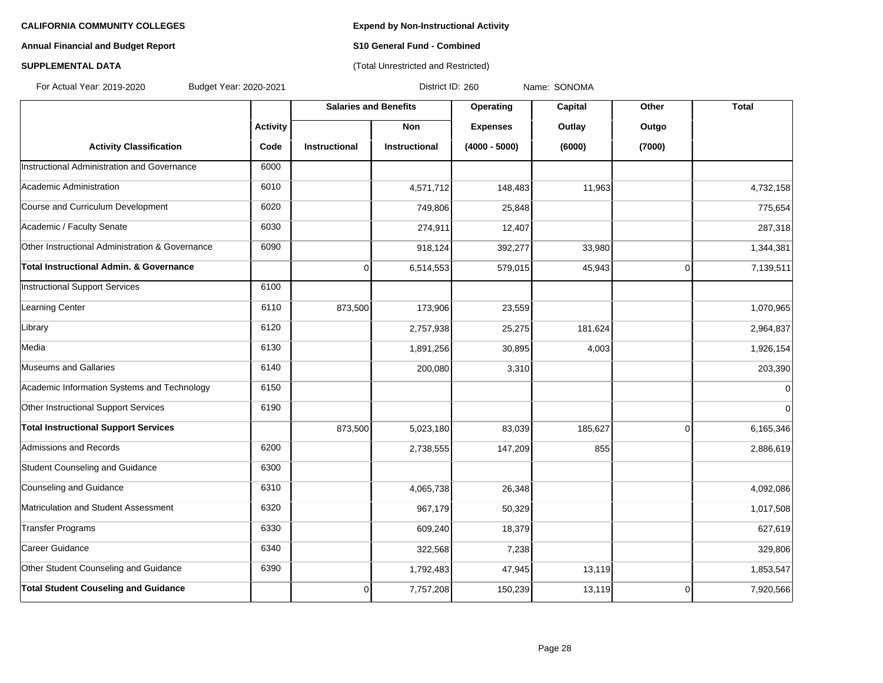# **Annual Financial and Budget Report S10 General Fund - Combined**

# **SUPPLEMENTAL DATA CONSUMPTER ACCOUNT ACCOUNT ACCOUNT ACCOUNT ACCOUNT ACCOUNT ACCOUNT ACCOUNT ACCOUNT ACCOUNT ACCOUNT ACCOUNT ACCOUNT ACCOUNT ACCOUNT ACCOUNT ACCOUNT ACCOUNT ACCOUNT ACCOUNT ACCOUNT ACCOUNT ACCOUNT ACCOUN**

For Actual Year: 2019-2020 Budget Year: 2020-2021 District ID: 260 Name: SONOMA

|                                                 |                 | <b>Salaries and Benefits</b> |                      | <b>Operating</b> | Capital | Other          | <b>Total</b>   |
|-------------------------------------------------|-----------------|------------------------------|----------------------|------------------|---------|----------------|----------------|
|                                                 | <b>Activity</b> |                              | <b>Non</b>           | <b>Expenses</b>  | Outlay  | Outgo          |                |
| <b>Activity Classification</b>                  | Code            | <b>Instructional</b>         | <b>Instructional</b> | $(4000 - 5000)$  | (6000)  | (7000)         |                |
| Instructional Administration and Governance     | 6000            |                              |                      |                  |         |                |                |
| Academic Administration                         | 6010            |                              | 4,571,712            | 148,483          | 11,963  |                | 4,732,158      |
| Course and Curriculum Development               | 6020            |                              | 749,806              | 25,848           |         |                | 775,654        |
| Academic / Faculty Senate                       | 6030            |                              | 274,911              | 12,407           |         |                | 287,318        |
| Other Instructional Administration & Governance | 6090            |                              | 918,124              | 392,277          | 33,980  |                | 1,344,381      |
| Total Instructional Admin. & Governance         |                 | $\pmb{0}$                    | 6,514,553            | 579,015          | 45,943  | $\overline{0}$ | 7,139,511      |
| Instructional Support Services                  | 6100            |                              |                      |                  |         |                |                |
| Learning Center                                 | 6110            | 873,500                      | 173,906              | 23,559           |         |                | 1,070,965      |
| Library                                         | 6120            |                              | 2,757,938            | 25,275           | 181,624 |                | 2,964,837      |
| Media                                           | 6130            |                              | 1,891,256            | 30,895           | 4,003   |                | 1,926,154      |
| Museums and Gallaries                           | 6140            |                              | 200,080              | 3,310            |         |                | 203,390        |
| Academic Information Systems and Technology     | 6150            |                              |                      |                  |         |                | $\overline{0}$ |
| Other Instructional Support Services            | 6190            |                              |                      |                  |         |                | $\Omega$       |
| <b>Total Instructional Support Services</b>     |                 | 873,500                      | 5,023,180            | 83,039           | 185,627 | $\Omega$       | 6,165,346      |
| Admissions and Records                          | 6200            |                              | 2,738,555            | 147,209          | 855     |                | 2,886,619      |
| Student Counseling and Guidance                 | 6300            |                              |                      |                  |         |                |                |
| Counseling and Guidance                         | 6310            |                              | 4,065,738            | 26,348           |         |                | 4,092,086      |
| Matriculation and Student Assessment            | 6320            |                              | 967,179              | 50,329           |         |                | 1,017,508      |
| Transfer Programs                               | 6330            |                              | 609,240              | 18,379           |         |                | 627,619        |
| Career Guidance                                 | 6340            |                              | 322,568              | 7,238            |         |                | 329,806        |
| Other Student Counseling and Guidance           | 6390            |                              | 1,792,483            | 47,945           | 13,119  |                | 1,853,547      |
| <b>Total Student Couseling and Guidance</b>     |                 | $\mathbf 0$                  | 7,757,208            | 150,239          | 13,119  | $\overline{0}$ | 7,920,566      |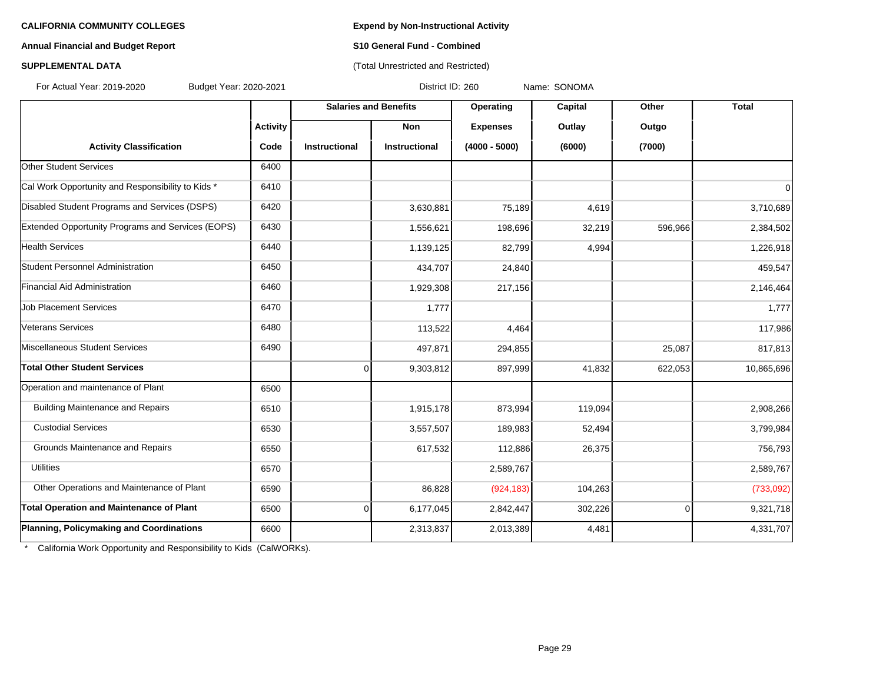## **Annual Financial and Budget Report S10 General Fund - Combined**

# **SUPPLEMENTAL DATA CONSERVATION CONSERVATION** (Total Unrestricted and Restricted)

For Actual Year: 2019-2020 Budget Year: 2020-2021 District ID: 260 Name: SONOMA

|                                                   |                 | <b>Salaries and Benefits</b> |                      | Operating       | Capital | Other          | <b>Total</b> |
|---------------------------------------------------|-----------------|------------------------------|----------------------|-----------------|---------|----------------|--------------|
|                                                   | <b>Activity</b> |                              | <b>Non</b>           | <b>Expenses</b> | Outlay  | Outgo          |              |
| <b>Activity Classification</b>                    | Code            | Instructional                | <b>Instructional</b> | $(4000 - 5000)$ | (6000)  | (7000)         |              |
| <b>Other Student Services</b>                     | 6400            |                              |                      |                 |         |                |              |
| Cal Work Opportunity and Responsibility to Kids * | 6410            |                              |                      |                 |         |                | $\mathbf 0$  |
| Disabled Student Programs and Services (DSPS)     | 6420            |                              | 3,630,881            | 75,189          | 4,619   |                | 3,710,689    |
| Extended Opportunity Programs and Services (EOPS) | 6430            |                              | 1,556,621            | 198,696         | 32,219  | 596,966        | 2,384,502    |
| <b>Health Services</b>                            | 6440            |                              | 1,139,125            | 82,799          | 4,994   |                | 1,226,918    |
| Student Personnel Administration                  | 6450            |                              | 434,707              | 24,840          |         |                | 459,547      |
| Financial Aid Administration                      | 6460            |                              | 1,929,308            | 217,156         |         |                | 2,146,464    |
| <b>Job Placement Services</b>                     | 6470            |                              | 1,777                |                 |         |                | 1,777        |
| Veterans Services                                 | 6480            |                              | 113,522              | 4,464           |         |                | 117,986      |
| Miscellaneous Student Services                    | 6490            |                              | 497,871              | 294,855         |         | 25,087         | 817,813      |
| <b>Total Other Student Services</b>               |                 | 0                            | 9,303,812            | 897,999         | 41,832  | 622,053        | 10,865,696   |
| Operation and maintenance of Plant                | 6500            |                              |                      |                 |         |                |              |
| <b>Building Maintenance and Repairs</b>           | 6510            |                              | 1,915,178            | 873,994         | 119,094 |                | 2,908,266    |
| <b>Custodial Services</b>                         | 6530            |                              | 3,557,507            | 189,983         | 52,494  |                | 3,799,984    |
| Grounds Maintenance and Repairs                   | 6550            |                              | 617,532              | 112,886         | 26,375  |                | 756,793      |
| <b>Utilities</b>                                  | 6570            |                              |                      | 2,589,767       |         |                | 2,589,767    |
| Other Operations and Maintenance of Plant         | 6590            |                              | 86,828               | (924, 183)      | 104,263 |                | (733,092)    |
| <b>Total Operation and Maintenance of Plant</b>   | 6500            | 0                            | 6,177,045            | 2,842,447       | 302,226 | $\overline{0}$ | 9,321,718    |
| Planning, Policymaking and Coordinations          | 6600            |                              | 2,313,837            | 2,013,389       | 4,481   |                | 4,331,707    |

\* California Work Opportunity and Responsibility to Kids (CalWORKs).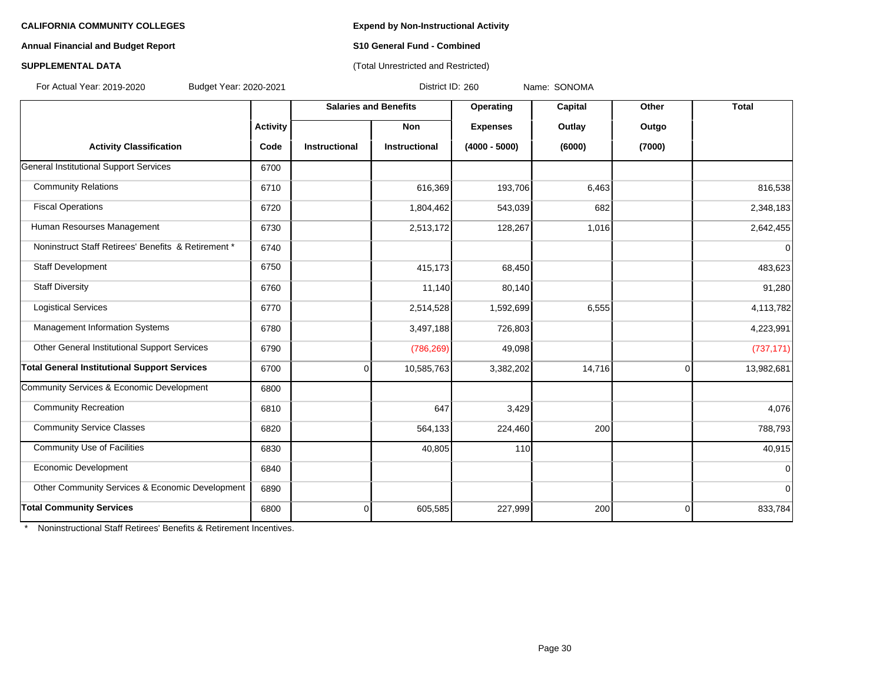### **Annual Financial and Budget Report S10 General Fund - Combined**

# **SUPPLEMENTAL DATA CONSERVATION CONSERVATION** (Total Unrestricted and Restricted)

For Actual Year: 2019-2020 Budget Year: 2020-2021 District ID: 260 Name: SONOMA

|                                                     |                 | <b>Salaries and Benefits</b> |                      | Operating       | Capital | Other          | <b>Total</b> |
|-----------------------------------------------------|-----------------|------------------------------|----------------------|-----------------|---------|----------------|--------------|
|                                                     | <b>Activity</b> |                              | <b>Non</b>           | <b>Expenses</b> | Outlay  | Outgo          |              |
| <b>Activity Classification</b>                      | Code            | <b>Instructional</b>         | <b>Instructional</b> | $(4000 - 5000)$ | (6000)  | (7000)         |              |
| General Institutional Support Services              | 6700            |                              |                      |                 |         |                |              |
| <b>Community Relations</b>                          | 6710            |                              | 616,369              | 193,706         | 6,463   |                | 816,538      |
| <b>Fiscal Operations</b>                            | 6720            |                              | 1,804,462            | 543,039         | 682     |                | 2,348,183    |
| Human Resourses Management                          | 6730            |                              | 2,513,172            | 128,267         | 1,016   |                | 2,642,455    |
| Noninstruct Staff Retirees' Benefits & Retirement * | 6740            |                              |                      |                 |         |                | $\mathbf 0$  |
| Staff Development                                   | 6750            |                              | 415,173              | 68,450          |         |                | 483,623      |
| <b>Staff Diversity</b>                              | 6760            |                              | 11,140               | 80,140          |         |                | 91,280       |
| <b>Logistical Services</b>                          | 6770            |                              | 2,514,528            | 1,592,699       | 6,555   |                | 4,113,782    |
| Management Information Systems                      | 6780            |                              | 3,497,188            | 726,803         |         |                | 4,223,991    |
| Other General Institutional Support Services        | 6790            |                              | (786, 269)           | 49,098          |         |                | (737, 171)   |
| <b>Total General Institutional Support Services</b> | 6700            | $\overline{0}$               | 10,585,763           | 3,382,202       | 14,716  | $\overline{0}$ | 13,982,681   |
| Community Services & Economic Development           | 6800            |                              |                      |                 |         |                |              |
| <b>Community Recreation</b>                         | 6810            |                              | 647                  | 3,429           |         |                | 4,076        |
| <b>Community Service Classes</b>                    | 6820            |                              | 564,133              | 224,460         | 200     |                | 788,793      |
| <b>Community Use of Facilities</b>                  | 6830            |                              | 40,805               | 110             |         |                | 40,915       |
| Economic Development                                | 6840            |                              |                      |                 |         |                | $\Omega$     |
| Other Community Services & Economic Development     | 6890            |                              |                      |                 |         |                | $\Omega$     |
| <b>Total Community Services</b>                     | 6800            | $\overline{0}$               | 605,585              | 227,999         | 200     | 0              | 833,784      |

\* Noninstructional Staff Retirees' Benefits & Retirement Incentives.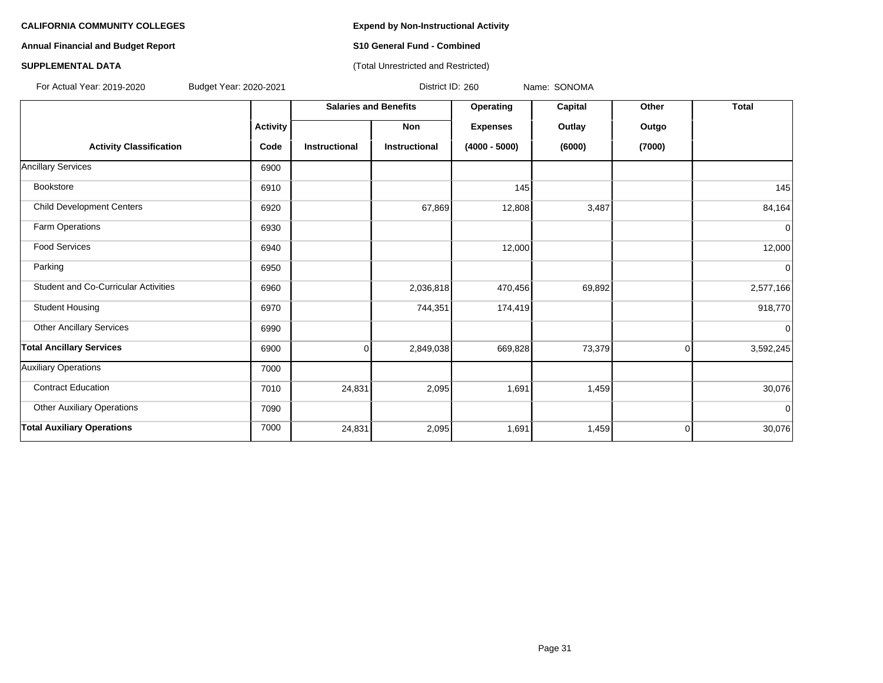# **Annual Financial and Budget Report S10 General Fund - Combined**

**SUPPLEMENTAL DATA CONSUMPTER ACCOUNT ACCOUNT ACCOUNT ACCOUNT ACCOUNT ACCOUNT ACCOUNT ACCOUNT ACCOUNT ACCOUNT ACCOUNT ACCOUNT ACCOUNT ACCOUNT ACCOUNT ACCOUNT ACCOUNT ACCOUNT ACCOUNT ACCOUNT ACCOUNT ACCOUNT ACCOUNT ACCOUN** 

|                                             |                 | <b>Salaries and Benefits</b> |                      | Operating       | Capital | Other          | <b>Total</b> |
|---------------------------------------------|-----------------|------------------------------|----------------------|-----------------|---------|----------------|--------------|
|                                             | <b>Activity</b> |                              | Non                  | <b>Expenses</b> | Outlay  | Outgo          |              |
| <b>Activity Classification</b>              | Code            | <b>Instructional</b>         | <b>Instructional</b> | $(4000 - 5000)$ | (6000)  | (7000)         |              |
| <b>Ancillary Services</b>                   | 6900            |                              |                      |                 |         |                |              |
| Bookstore                                   | 6910            |                              |                      | 145             |         |                | 145          |
| <b>Child Development Centers</b>            | 6920            |                              | 67,869               | 12,808          | 3,487   |                | 84,164       |
| Farm Operations                             | 6930            |                              |                      |                 |         |                | $\mathbf 0$  |
| <b>Food Services</b>                        | 6940            |                              |                      | 12,000          |         |                | 12,000       |
| Parking                                     | 6950            |                              |                      |                 |         |                | $\mathbf 0$  |
| <b>Student and Co-Curricular Activities</b> | 6960            |                              | 2,036,818            | 470,456         | 69,892  |                | 2,577,166    |
| <b>Student Housing</b>                      | 6970            |                              | 744,351              | 174,419         |         |                | 918,770      |
| <b>Other Ancillary Services</b>             | 6990            |                              |                      |                 |         |                | $\mathbf 0$  |
| <b>Total Ancillary Services</b>             | 6900            | $\Omega$                     | 2,849,038            | 669,828         | 73,379  | $\Omega$       | 3,592,245    |
| <b>Auxiliary Operations</b>                 | 7000            |                              |                      |                 |         |                |              |
| <b>Contract Education</b>                   | 7010            | 24,831                       | 2,095                | 1,691           | 1,459   |                | 30,076       |
| <b>Other Auxiliary Operations</b>           | 7090            |                              |                      |                 |         |                | $\mathbf 0$  |
| <b>Total Auxiliary Operations</b>           | 7000            | 24,831                       | 2,095                | 1,691           | 1,459   | $\overline{0}$ | 30,076       |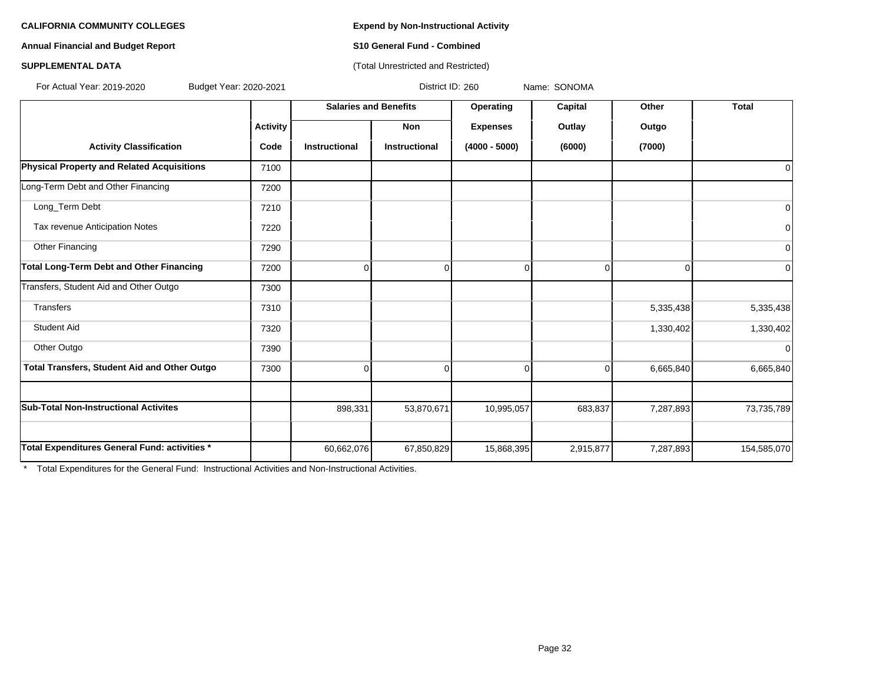**Annual Financial and Budget Report S10 General Fund - Combined**

## **SUPPLEMENTAL DATA CONSUMPTER ACCOUNT ACCOUNT ACCOUNT ACCOUNT ACCOUNT ACCOUNT ACCOUNT ACCOUNT ACCOUNT ACCOUNT ACCOUNT ACCOUNT ACCOUNT ACCOUNT ACCOUNT ACCOUNT ACCOUNT ACCOUNT ACCOUNT ACCOUNT ACCOUNT ACCOUNT ACCOUNT ACCOUN**

For Actual Year: 2019-2020 Budget Year: 2020-2021 District ID: 260 Name: SONOMA

|                                                     |                 |                      | <b>Salaries and Benefits</b> | Operating       | Capital   | Other     | <b>Total</b>   |
|-----------------------------------------------------|-----------------|----------------------|------------------------------|-----------------|-----------|-----------|----------------|
|                                                     | <b>Activity</b> |                      | Non                          | <b>Expenses</b> | Outlay    | Outgo     |                |
| <b>Activity Classification</b>                      | Code            | <b>Instructional</b> | Instructional                | $(4000 - 5000)$ | (6000)    | (7000)    |                |
| Physical Property and Related Acquisitions          | 7100            |                      |                              |                 |           |           | 0              |
| Long-Term Debt and Other Financing                  | 7200            |                      |                              |                 |           |           |                |
| Long_Term Debt                                      | 7210            |                      |                              |                 |           |           | 0              |
| Tax revenue Anticipation Notes                      | 7220            |                      |                              |                 |           |           | $\overline{0}$ |
| Other Financing                                     | 7290            |                      |                              |                 |           |           | $\Omega$       |
| <b>Total Long-Term Debt and Other Financing</b>     | 7200            | O                    | Ωl                           | $\Omega$        | 0         | 0         | $\Omega$       |
| Transfers, Student Aid and Other Outgo              | 7300            |                      |                              |                 |           |           |                |
| <b>Transfers</b>                                    | 7310            |                      |                              |                 |           | 5,335,438 | 5,335,438      |
| <b>Student Aid</b>                                  | 7320            |                      |                              |                 |           | 1,330,402 | 1,330,402      |
| Other Outgo                                         | 7390            |                      |                              |                 |           |           | $\Omega$       |
| <b>Total Transfers, Student Aid and Other Outgo</b> | 7300            | 0                    | $\Omega$                     | 0               | 0         | 6,665,840 | 6,665,840      |
|                                                     |                 |                      |                              |                 |           |           |                |
| <b>Sub-Total Non-Instructional Activites</b>        |                 | 898,331              | 53,870,671                   | 10,995,057      | 683,837   | 7,287,893 | 73,735,789     |
|                                                     |                 |                      |                              |                 |           |           |                |
| Total Expenditures General Fund: activities *       |                 | 60,662,076           | 67,850,829                   | 15,868,395      | 2,915,877 | 7,287,893 | 154,585,070    |

\* Total Expenditures for the General Fund: Instructional Activities and Non-Instructional Activities.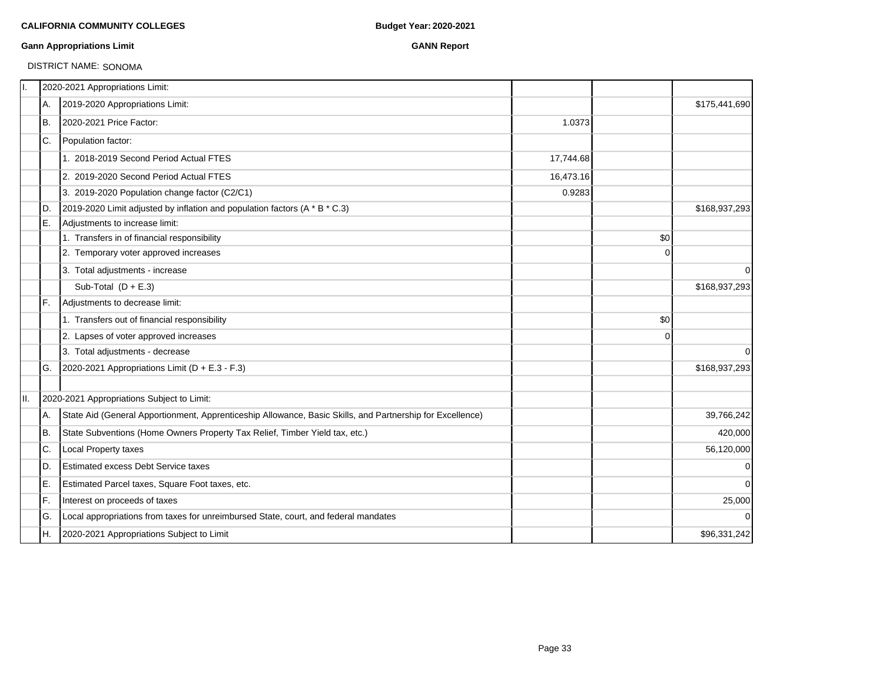### **Gann Appropriations Limit GANN Report**

# DISTRICT NAME: SONOMA

| 11. |     | 2020-2021 Appropriations Limit:                                                                           |           |             |               |
|-----|-----|-----------------------------------------------------------------------------------------------------------|-----------|-------------|---------------|
|     | А.  | 2019-2020 Appropriations Limit:                                                                           |           |             | \$175,441,690 |
|     | Iв. | 2020-2021 Price Factor:                                                                                   | 1.0373    |             |               |
|     | IC. | Population factor:                                                                                        |           |             |               |
|     |     | 1. 2018-2019 Second Period Actual FTES                                                                    | 17,744.68 |             |               |
|     |     | 2. 2019-2020 Second Period Actual FTES                                                                    | 16,473.16 |             |               |
|     |     | 3. 2019-2020 Population change factor (C2/C1)                                                             | 0.9283    |             |               |
|     | ID. | 2019-2020 Limit adjusted by inflation and population factors (A * B * C.3)                                |           |             | \$168,937,293 |
|     | E.  | Adjustments to increase limit:                                                                            |           |             |               |
|     |     | 1. Transfers in of financial responsibility                                                               |           | \$0         |               |
|     |     | 2. Temporary voter approved increases                                                                     |           | $\Omega$    |               |
|     |     | 3. Total adjustments - increase                                                                           |           |             | $\mathbf 0$   |
|     |     | Sub-Total $(D + E.3)$                                                                                     |           |             | \$168,937,293 |
|     | IF. | Adjustments to decrease limit:                                                                            |           |             |               |
|     |     | 1. Transfers out of financial responsibility                                                              |           | \$0         |               |
|     |     | 2. Lapses of voter approved increases                                                                     |           | $\mathbf 0$ |               |
|     |     | 3. Total adjustments - decrease                                                                           |           |             | $\Omega$      |
|     | IG. | 2020-2021 Appropriations Limit ( $D + E.3 - F.3$ )                                                        |           |             | \$168,937,293 |
| II. |     | 2020-2021 Appropriations Subject to Limit:                                                                |           |             |               |
|     | A.  | State Aid (General Apportionment, Apprenticeship Allowance, Basic Skills, and Partnership for Excellence) |           |             | 39,766,242    |
|     | B.  | State Subventions (Home Owners Property Tax Relief, Timber Yield tax, etc.)                               |           |             | 420,000       |
|     | IC. | Local Property taxes                                                                                      |           |             | 56,120,000    |
|     | ID. | <b>Estimated excess Debt Service taxes</b>                                                                |           |             | $\mathbf 0$   |
|     | ΙE. | Estimated Parcel taxes, Square Foot taxes, etc.                                                           |           |             | $\Omega$      |
|     | lF. | Interest on proceeds of taxes                                                                             |           |             | 25,000        |
|     | lG. | Local appropriations from taxes for unreimbursed State, court, and federal mandates                       |           |             | $\Omega$      |
|     | IH. | 2020-2021 Appropriations Subject to Limit                                                                 |           |             | \$96,331,242  |
|     |     |                                                                                                           |           |             |               |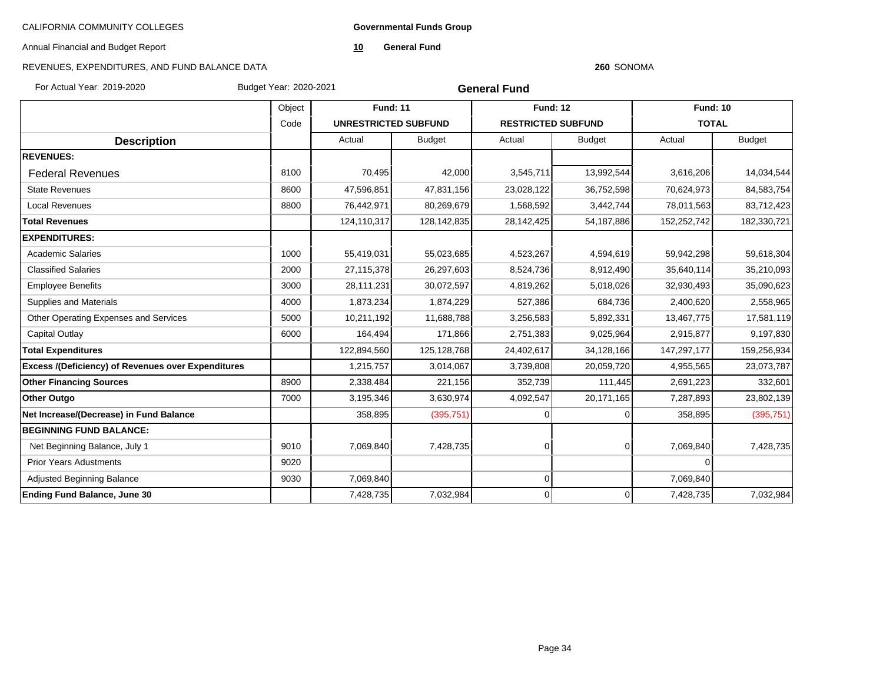**Governmental Funds Group**

Annual Financial and Budget Report

**10 General Fund**

#### **260** SONOMA

| For Actual Year, 2019-2020                         | Budget Year: 2020-2021 |                             | <b>General Fund</b> |                           |                |                 |               |  |  |
|----------------------------------------------------|------------------------|-----------------------------|---------------------|---------------------------|----------------|-----------------|---------------|--|--|
|                                                    | Object                 | <b>Fund: 11</b>             |                     | <b>Fund: 12</b>           |                | <b>Fund: 10</b> |               |  |  |
|                                                    | Code                   | <b>UNRESTRICTED SUBFUND</b> |                     | <b>RESTRICTED SUBFUND</b> |                | <b>TOTAL</b>    |               |  |  |
| <b>Description</b>                                 |                        | Actual                      | <b>Budget</b>       | Actual                    | <b>Budget</b>  | Actual          | <b>Budget</b> |  |  |
| <b>REVENUES:</b>                                   |                        |                             |                     |                           |                |                 |               |  |  |
| <b>Federal Revenues</b>                            | 8100                   | 70,495                      | 42,000              | 3,545,711                 | 13,992,544     | 3,616,206       | 14,034,544    |  |  |
| <b>State Revenues</b>                              | 8600                   | 47,596,851                  | 47,831,156          | 23,028,122                | 36,752,598     | 70,624,973      | 84,583,754    |  |  |
| <b>Local Revenues</b>                              | 8800                   | 76,442,971                  | 80,269,679          | 1,568,592                 | 3,442,744      | 78,011,563      | 83,712,423    |  |  |
| <b>Total Revenues</b>                              |                        | 124,110,317                 | 128, 142, 835       | 28, 142, 425              | 54,187,886     | 152,252,742     | 182,330,721   |  |  |
| <b>EXPENDITURES:</b>                               |                        |                             |                     |                           |                |                 |               |  |  |
| <b>Academic Salaries</b>                           | 1000                   | 55,419,031                  | 55,023,685          | 4,523,267                 | 4,594,619      | 59,942,298      | 59,618,304    |  |  |
| <b>Classified Salaries</b>                         | 2000                   | 27, 115, 378                | 26,297,603          | 8,524,736                 | 8,912,490      | 35,640,114      | 35,210,093    |  |  |
| <b>Employee Benefits</b>                           | 3000                   | 28,111,231                  | 30,072,597          | 4,819,262                 | 5,018,026      | 32,930,493      | 35,090,623    |  |  |
| <b>Supplies and Materials</b>                      | 4000                   | 1,873,234                   | 1,874,229           | 527,386                   | 684,736        | 2,400,620       | 2,558,965     |  |  |
| Other Operating Expenses and Services              | 5000                   | 10,211,192                  | 11,688,788          | 3,256,583                 | 5,892,331      | 13,467,775      | 17,581,119    |  |  |
| Capital Outlay                                     | 6000                   | 164,494                     | 171,866             | 2,751,383                 | 9,025,964      | 2,915,877       | 9,197,830     |  |  |
| <b>Total Expenditures</b>                          |                        | 122,894,560                 | 125, 128, 768       | 24,402,617                | 34,128,166     | 147,297,177     | 159,256,934   |  |  |
| Excess /(Deficiency) of Revenues over Expenditures |                        | 1,215,757                   | 3,014,067           | 3,739,808                 | 20,059,720     | 4,955,565       | 23,073,787    |  |  |
| <b>Other Financing Sources</b>                     | 8900                   | 2,338,484                   | 221,156             | 352,739                   | 111,445        | 2,691,223       | 332,601       |  |  |
| <b>Other Outgo</b>                                 | 7000                   | 3,195,346                   | 3,630,974           | 4,092,547                 | 20,171,165     | 7,287,893       | 23,802,139    |  |  |
| Net Increase/(Decrease) in Fund Balance            |                        | 358,895                     | (395, 751)          |                           |                | 358,895         | (395, 751)    |  |  |
| <b>BEGINNING FUND BALANCE:</b>                     |                        |                             |                     |                           |                |                 |               |  |  |
| Net Beginning Balance, July 1                      | 9010                   | 7,069,840                   | 7,428,735           | $\Omega$                  | $\overline{0}$ | 7,069,840       | 7,428,735     |  |  |
| <b>Prior Years Adustments</b>                      | 9020                   |                             |                     |                           |                | $\overline{0}$  |               |  |  |
| Adjusted Beginning Balance                         | 9030                   | 7,069,840                   |                     | $\Omega$                  |                | 7,069,840       |               |  |  |
| <b>Ending Fund Balance, June 30</b>                |                        | 7,428,735                   | 7,032,984           | $\Omega$                  | 0              | 7,428,735       | 7,032,984     |  |  |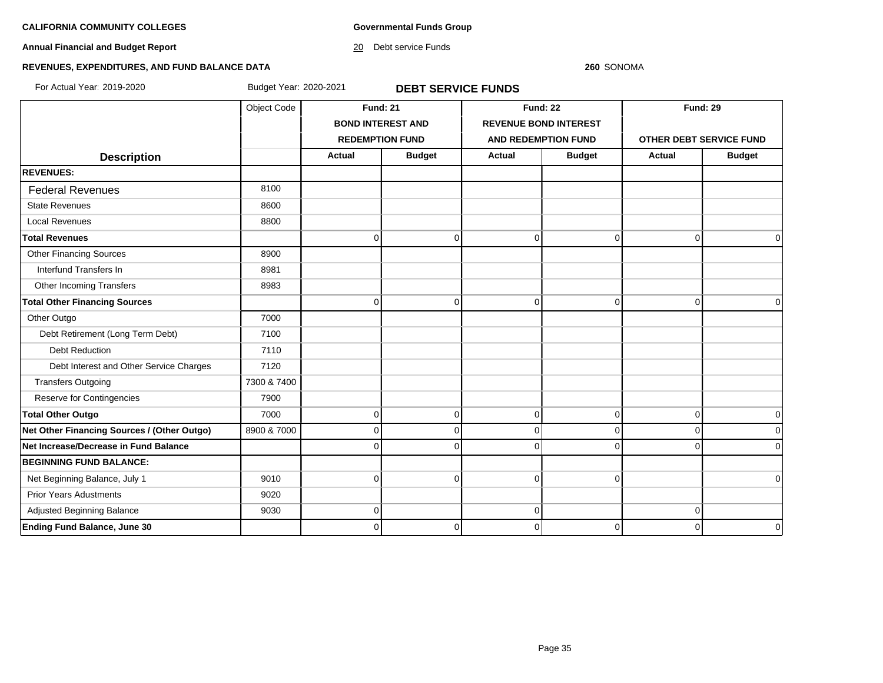**Governmental Funds Group**

**Annual Financial and Budget Report**

20 Debt service Funds

#### **260** SONOMA

# **REVENUES, EXPENDITURES, AND FUND BALANCE DATA**

For Actual Year: 2019-2020 Budget Year: 2020-2021 **DEBT SERVICE FUNDS**

|                                             | Object Code | <b>Fund: 21</b> |                          | <b>Fund: 22</b>              |                | <b>Fund: 29</b>         |               |
|---------------------------------------------|-------------|-----------------|--------------------------|------------------------------|----------------|-------------------------|---------------|
|                                             |             |                 | <b>BOND INTEREST AND</b> | <b>REVENUE BOND INTEREST</b> |                |                         |               |
|                                             |             |                 | <b>REDEMPTION FUND</b>   | AND REDEMPTION FUND          |                | OTHER DEBT SERVICE FUND |               |
| <b>Description</b>                          |             | <b>Actual</b>   | <b>Budget</b>            | <b>Actual</b>                | <b>Budget</b>  | <b>Actual</b>           | <b>Budget</b> |
| <b>REVENUES:</b>                            |             |                 |                          |                              |                |                         |               |
| <b>Federal Revenues</b>                     | 8100        |                 |                          |                              |                |                         |               |
| <b>State Revenues</b>                       | 8600        |                 |                          |                              |                |                         |               |
| <b>Local Revenues</b>                       | 8800        |                 |                          |                              |                |                         |               |
| <b>Total Revenues</b>                       |             | $\Omega$        | $\mathbf 0$              | $\mathbf 0$                  | $\overline{0}$ | $\mathbf 0$             | $\Omega$      |
| <b>Other Financing Sources</b>              | 8900        |                 |                          |                              |                |                         |               |
| Interfund Transfers In                      | 8981        |                 |                          |                              |                |                         |               |
| Other Incoming Transfers                    | 8983        |                 |                          |                              |                |                         |               |
| <b>Total Other Financing Sources</b>        |             | $\Omega$        | $\Omega$                 | $\mathbf 0$                  | $\overline{0}$ | $\overline{0}$          | $\Omega$      |
| Other Outgo                                 | 7000        |                 |                          |                              |                |                         |               |
| Debt Retirement (Long Term Debt)            | 7100        |                 |                          |                              |                |                         |               |
| <b>Debt Reduction</b>                       | 7110        |                 |                          |                              |                |                         |               |
| Debt Interest and Other Service Charges     | 7120        |                 |                          |                              |                |                         |               |
| <b>Transfers Outgoing</b>                   | 7300 & 7400 |                 |                          |                              |                |                         |               |
| Reserve for Contingencies                   | 7900        |                 |                          |                              |                |                         |               |
| <b>Total Other Outgo</b>                    | 7000        | $\Omega$        | $\mathbf 0$              | $\mathbf 0$                  | $\Omega$       | $\overline{0}$          | 0             |
| Net Other Financing Sources / (Other Outgo) | 8900 & 7000 | $\Omega$        | $\Omega$                 | $\mathbf 0$                  | $\overline{0}$ | $\overline{0}$          |               |
| Net Increase/Decrease in Fund Balance       |             |                 | O                        | $\mathbf 0$                  |                | $\Omega$                | $\Omega$      |
| <b>BEGINNING FUND BALANCE:</b>              |             |                 |                          |                              |                |                         |               |
| Net Beginning Balance, July 1               | 9010        | <sup>0</sup>    | $\Omega$                 | $\mathbf 0$                  | $\Omega$       |                         | $\Omega$      |
| <b>Prior Years Adustments</b>               | 9020        |                 |                          |                              |                |                         |               |
| Adjusted Beginning Balance                  | 9030        | $\Omega$        |                          | $\mathbf 0$                  |                | 0                       |               |
| <b>Ending Fund Balance, June 30</b>         |             | 0               | $\Omega$                 | $\mathbf 0$                  | 0              | $\Omega$                | $\mathbf 0$   |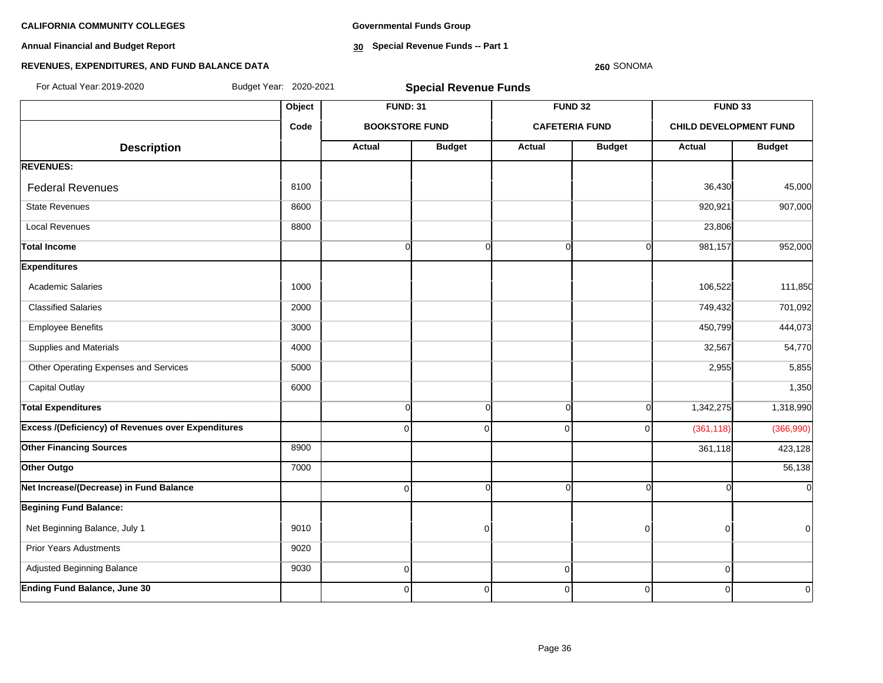**Annual Financial and Budget Report**

**Governmental Funds Group**

**30 Special Revenue Funds -- Part 1**

#### **260** SONOMA

| For Actual Year: 2019-2020                                | Budget Year: 2020-2021 | <b>Special Revenue Funds</b> |               |                |                       |                               |                |  |  |  |  |
|-----------------------------------------------------------|------------------------|------------------------------|---------------|----------------|-----------------------|-------------------------------|----------------|--|--|--|--|
|                                                           | Object                 | <b>FUND: 31</b>              |               |                | <b>FUND 32</b>        | FUND 33                       |                |  |  |  |  |
|                                                           | Code                   | <b>BOOKSTORE FUND</b>        |               |                | <b>CAFETERIA FUND</b> | <b>CHILD DEVELOPMENT FUND</b> |                |  |  |  |  |
| <b>Description</b>                                        |                        | Actual                       | <b>Budget</b> | Actual         | <b>Budget</b>         | Actual                        | <b>Budget</b>  |  |  |  |  |
| <b>REVENUES:</b>                                          |                        |                              |               |                |                       |                               |                |  |  |  |  |
| <b>Federal Revenues</b>                                   | 8100                   |                              |               |                |                       | 36,430                        | 45,000         |  |  |  |  |
| <b>State Revenues</b>                                     | 8600                   |                              |               |                |                       | 920,921                       | 907,000        |  |  |  |  |
| <b>Local Revenues</b>                                     | 8800                   |                              |               |                |                       | 23,806                        |                |  |  |  |  |
| <b>Total Income</b>                                       |                        | $\overline{0}$               | $\mathbf 0$   | $\Omega$       | $\Omega$              | 981,157                       | 952,000        |  |  |  |  |
| <b>Expenditures</b>                                       |                        |                              |               |                |                       |                               |                |  |  |  |  |
| <b>Academic Salaries</b>                                  | 1000                   |                              |               |                |                       | 106,522                       | 111,850        |  |  |  |  |
| <b>Classified Salaries</b>                                | 2000                   |                              |               |                |                       | 749,432                       | 701,092        |  |  |  |  |
| <b>Employee Benefits</b>                                  | 3000                   |                              |               |                |                       | 450,799                       | 444,073        |  |  |  |  |
| Supplies and Materials                                    | 4000                   |                              |               |                |                       | 32,567                        | 54,770         |  |  |  |  |
| Other Operating Expenses and Services                     | 5000                   |                              |               |                |                       | 2,955                         | 5,855          |  |  |  |  |
| <b>Capital Outlay</b>                                     | 6000                   |                              |               |                |                       |                               | 1,350          |  |  |  |  |
| <b>Total Expenditures</b>                                 |                        | $\overline{0}$               | $\mathbf 0$   | $\Omega$       | $\Omega$              | 1,342,275                     | 1,318,990      |  |  |  |  |
| <b>Excess /(Deficiency) of Revenues over Expenditures</b> |                        | $\overline{0}$               | $\mathbf 0$   | $\overline{0}$ | $\Omega$              | (361, 118)                    | (366,990)      |  |  |  |  |
| <b>Other Financing Sources</b>                            | 8900                   |                              |               |                |                       | 361,118                       | 423,128        |  |  |  |  |
| Other Outgo                                               | 7000                   |                              |               |                |                       |                               | 56,138         |  |  |  |  |
| Net Increase/(Decrease) in Fund Balance                   |                        | $\overline{0}$               | $\Omega$      | $\Omega$       | $\Omega$              |                               | $\overline{0}$ |  |  |  |  |
| <b>Begining Fund Balance:</b>                             |                        |                              |               |                |                       |                               |                |  |  |  |  |
| Net Beginning Balance, July 1                             | 9010                   |                              | $\mathbf 0$   |                | $\Omega$              | 0                             | $\overline{0}$ |  |  |  |  |
| <b>Prior Years Adustments</b>                             | 9020                   |                              |               |                |                       |                               |                |  |  |  |  |
| Adjusted Beginning Balance                                | 9030                   | $\overline{0}$               |               | $\mathbf 0$    |                       | $\Omega$                      |                |  |  |  |  |
| <b>Ending Fund Balance, June 30</b>                       |                        | $\Omega$                     | $\mathbf 0$   | $\Omega$       | $\Omega$              | $\Omega$                      | $\overline{0}$ |  |  |  |  |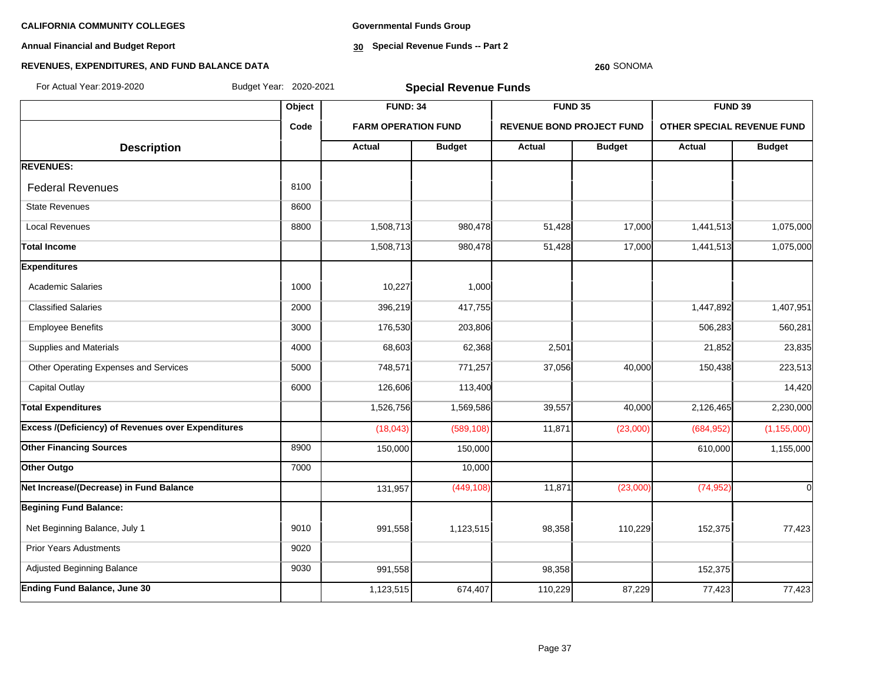**Annual Financial and Budget Report**

**Governmental Funds Group**

**30 Special Revenue Funds -- Part 2**

# **260** SONOMA

| For Actual Year: 2019-2020                         | Budget Year: 2020-2021 | <b>Special Revenue Funds</b> |               |                                  |               |                                   |               |  |
|----------------------------------------------------|------------------------|------------------------------|---------------|----------------------------------|---------------|-----------------------------------|---------------|--|
|                                                    | Object                 | <b>FUND: 34</b>              |               | <b>FUND 35</b>                   |               | <b>FUND 39</b>                    |               |  |
|                                                    | Code                   | <b>FARM OPERATION FUND</b>   |               | <b>REVENUE BOND PROJECT FUND</b> |               | <b>OTHER SPECIAL REVENUE FUND</b> |               |  |
| <b>Description</b>                                 |                        | Actual                       | <b>Budget</b> | <b>Actual</b>                    | <b>Budget</b> | <b>Actual</b>                     | <b>Budget</b> |  |
| <b>REVENUES:</b>                                   |                        |                              |               |                                  |               |                                   |               |  |
| <b>Federal Revenues</b>                            | 8100                   |                              |               |                                  |               |                                   |               |  |
| <b>State Revenues</b>                              | 8600                   |                              |               |                                  |               |                                   |               |  |
| <b>Local Revenues</b>                              | 8800                   | 1,508,713                    | 980,478       | 51,428                           | 17,000        | 1,441,513                         | 1,075,000     |  |
| <b>Total Income</b>                                |                        | 1,508,713                    | 980,478       | 51,428                           | 17,000        | 1,441,513                         | 1,075,000     |  |
| <b>Expenditures</b>                                |                        |                              |               |                                  |               |                                   |               |  |
| <b>Academic Salaries</b>                           | 1000                   | 10,227                       | 1,000         |                                  |               |                                   |               |  |
| <b>Classified Salaries</b>                         | 2000                   | 396,219                      | 417,755       |                                  |               | 1,447,892                         | 1,407,951     |  |
| <b>Employee Benefits</b>                           | 3000                   | 176,530                      | 203,806       |                                  |               | 506,283                           | 560,281       |  |
| Supplies and Materials                             | 4000                   | 68,603                       | 62,368        | 2,501                            |               | 21,852                            | 23,835        |  |
| Other Operating Expenses and Services              | 5000                   | 748,571                      | 771,257       | 37,056                           | 40,000        | 150,438                           | 223,513       |  |
| <b>Capital Outlay</b>                              | 6000                   | 126,606                      | 113,400       |                                  |               |                                   | 14,420        |  |
| <b>Total Expenditures</b>                          |                        | 1,526,756                    | 1,569,586     | 39,557                           | 40,000        | 2,126,465                         | 2,230,000     |  |
| Excess /(Deficiency) of Revenues over Expenditures |                        | (18, 043)                    | (589, 108)    | 11,871                           | (23,000)      | (684, 952)                        | (1, 155, 000) |  |
| <b>Other Financing Sources</b>                     | 8900                   | 150,000                      | 150,000       |                                  |               | 610,000                           | 1,155,000     |  |
| Other Outgo                                        | 7000                   |                              | 10,000        |                                  |               |                                   |               |  |
| Net Increase/(Decrease) in Fund Balance            |                        | 131,957                      | (449, 108)    | 11,871                           | (23,000)      | (74, 952)                         | $\Omega$      |  |
| <b>Begining Fund Balance:</b>                      |                        |                              |               |                                  |               |                                   |               |  |
| Net Beginning Balance, July 1                      | 9010                   | 991,558                      | 1,123,515     | 98,358                           | 110,229       | 152,375                           | 77,423        |  |
| <b>Prior Years Adustments</b>                      | 9020                   |                              |               |                                  |               |                                   |               |  |
| <b>Adjusted Beginning Balance</b>                  | 9030                   | 991,558                      |               | 98,358                           |               | 152,375                           |               |  |
| <b>Ending Fund Balance, June 30</b>                |                        | 1,123,515                    | 674,407       | 110,229                          | 87,229        | 77,423                            | 77,423        |  |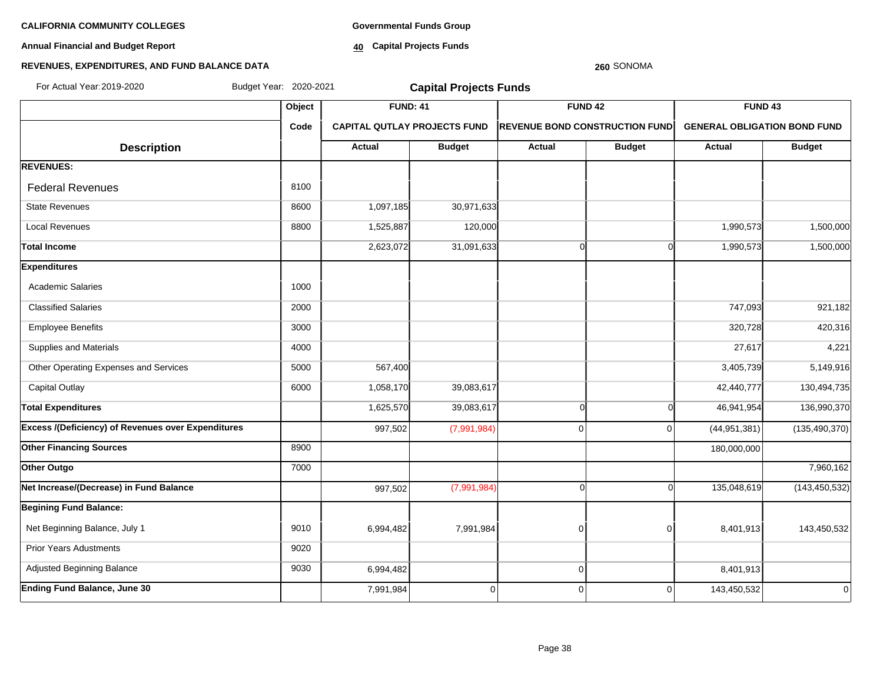**Annual Financial and Budget Report**

**Governmental Funds Group**

**40 Capital Projects Funds**

#### **REVENUES, EXPENDITURES, AND FUND BALANCE DATA**

# **Object FUND: 41 FUND 42 FUND 43 Code CAPITAL QUTLAY PROJECTS FUND REVENUE BOND CONSTRUCTION FUND GENERAL OBLIGATION BOND FUND**  $\begin{array}{|c|c|c|c|c|c|}\n\hline\n\textbf{A} & \textbf{A} & \textbf{B} & \textbf{B} & \textbf{B} & \textbf{B} & \textbf{B} & \textbf{B} & \textbf{B} & \textbf{B} & \textbf{B} & \textbf{B} & \textbf{B} & \textbf{B} & \textbf{B} & \textbf{B} & \textbf{B} & \textbf{B} & \textbf{B} & \textbf{B} & \textbf{B} & \textbf{B} & \textbf{B} & \textbf{B} & \textbf{B} & \textbf{B} & \textbf{B} & \textbf{B} & \$ **REVENUES:** Federal Revenues 8100 State Revenues 8600 1,097,185 30,971,633 Local Revenues 1,525,887 120,000 1,990,573 1,500,000 **Total Income** 2,623,072 31,091,633 0 0 1,990,573 1,500,000 **Expenditures** Academic Salaries 1000 and 1000 Classified Salaries 2000 2000 2000 2000 2000 2000 201,182 2000 21,182 2000 21,182 Employee Benefits 3000 320,728 420,316 Supplies and Materials **1990** 27,617 4,221 4,221 4,221 4,221 4,221 4,221 4,221 4,221 4,221 4,221 4,221 4,221 4,221 Other Operating Expenses and Services **5000 567,400** 567,400 567,400 5,149,916 Capital Outlay 1,058,170| 39,083,617| 130,494,735 Total Expenditures 1,625,570| 39,083,617| 0 136,990,370 **Excess /(Deficiency) of Revenues over Expenditures** (1.997,502 (7,991,984) 0 0 0 (44,951,381) (135,490,370) (135,490,370) **Other Financing Sources 8900 180,000,000 180,000,000 180,000,000 180,000,000 180,000,000 180,000,000 Other Outgo** 7000 7,960,162 **Net Increase/(Decrease) in Fund Balance 12.3.450,532** (7,991,984) **135,048,619** 0 135,048,619 (143,450,532) 135,048,619 (143,450,532) **Begining Fund Balance:** Net Beginning Balance, July 1 9010 | 9010 | 6,994,482 7,991,984 | 0 0 0 8,401,913 | 143,450,532 Prior Years Adustments **19020**  Adjusted Beginning Balance 9030 6,994,482 0 8,401,913 **Ending Fund Balance, June 30 143.450.532 143.450.532 143.450.532 143.450.532** For Actual Year:2019-2020 Budget Year: 2020-2021 **Capital Projects Funds**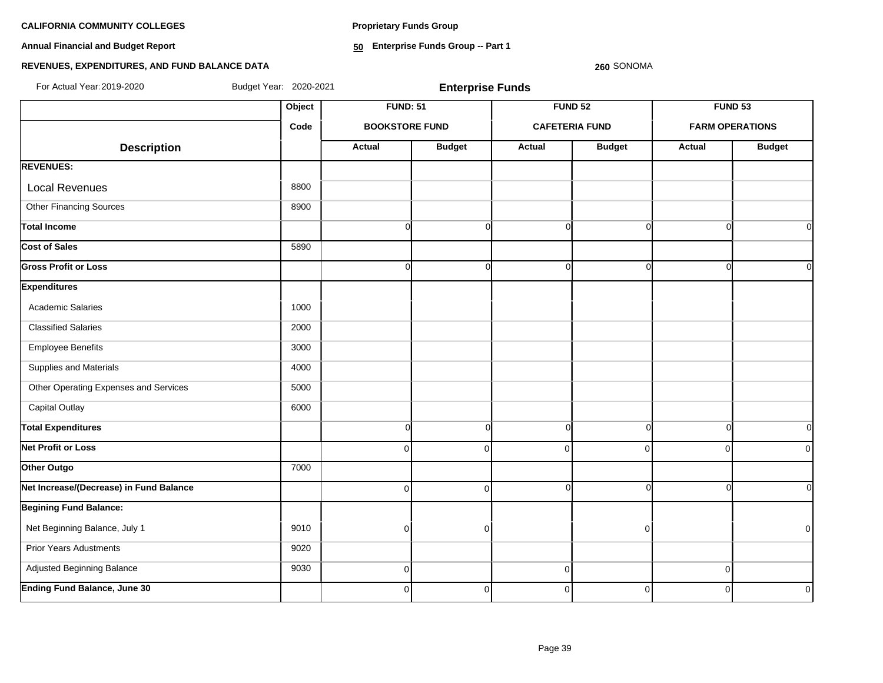**Proprietary Funds Group**

**Annual Financial and Budget Report**

**50 Enterprise Funds Group -- Part 1**

# **REVENUES, EXPENDITURES, AND FUND BALANCE DATA**

| For Actual Year: 2019-2020              | Budget Year: 2020-2021 |                       | <b>Enterprise Funds</b> |                       |                |          | <b>FUND 53</b><br><b>FARM OPERATIONS</b><br><b>Budget</b><br>Actual<br>$\Omega$<br>$\overline{0}$<br>$\Omega$<br>n |  |  |
|-----------------------------------------|------------------------|-----------------------|-------------------------|-----------------------|----------------|----------|--------------------------------------------------------------------------------------------------------------------|--|--|
|                                         | Object                 | <b>FUND: 51</b>       |                         |                       | <b>FUND 52</b> |          |                                                                                                                    |  |  |
|                                         | Code                   | <b>BOOKSTORE FUND</b> |                         | <b>CAFETERIA FUND</b> |                |          |                                                                                                                    |  |  |
| <b>Description</b>                      |                        | Actual                | <b>Budget</b>           | <b>Actual</b>         | <b>Budget</b>  |          |                                                                                                                    |  |  |
| <b>REVENUES:</b>                        |                        |                       |                         |                       |                |          |                                                                                                                    |  |  |
| <b>Local Revenues</b>                   | 8800                   |                       |                         |                       |                |          |                                                                                                                    |  |  |
| <b>Other Financing Sources</b>          | 8900                   |                       |                         |                       |                |          |                                                                                                                    |  |  |
| <b>Total Income</b>                     |                        | $\Omega$              | $\overline{0}$          | $\overline{0}$        | $\Omega$       |          |                                                                                                                    |  |  |
| <b>Cost of Sales</b>                    | 5890                   |                       |                         |                       |                |          |                                                                                                                    |  |  |
| <b>Gross Profit or Loss</b>             |                        | $\Omega$              | $\Omega$                | $\Omega$              |                |          |                                                                                                                    |  |  |
| <b>Expenditures</b>                     |                        |                       |                         |                       |                |          |                                                                                                                    |  |  |
| <b>Academic Salaries</b>                | 1000                   |                       |                         |                       |                |          |                                                                                                                    |  |  |
| <b>Classified Salaries</b>              | 2000                   |                       |                         |                       |                |          |                                                                                                                    |  |  |
| <b>Employee Benefits</b>                | 3000                   |                       |                         |                       |                |          |                                                                                                                    |  |  |
| Supplies and Materials                  | 4000                   |                       |                         |                       |                |          |                                                                                                                    |  |  |
| Other Operating Expenses and Services   | 5000                   |                       |                         |                       |                |          |                                                                                                                    |  |  |
| Capital Outlay                          | 6000                   |                       |                         |                       |                |          |                                                                                                                    |  |  |
| <b>Total Expenditures</b>               |                        | $\Omega$              | $\overline{0}$          | $\overline{0}$        | $\Omega$       | $\Omega$ | $\Omega$                                                                                                           |  |  |
| <b>Net Profit or Loss</b>               |                        | $\mathbf 0$           | $\Omega$                | $\overline{0}$        | 0              | 0        | 0                                                                                                                  |  |  |
| Other Outgo                             | 7000                   |                       |                         |                       |                |          |                                                                                                                    |  |  |
| Net Increase/(Decrease) in Fund Balance |                        | $\Omega$              | $\Omega$                | $\overline{0}$        |                | $\Omega$ | $\Omega$                                                                                                           |  |  |
| <b>Begining Fund Balance:</b>           |                        |                       |                         |                       |                |          |                                                                                                                    |  |  |
| Net Beginning Balance, July 1           | 9010                   | 0                     | $\Omega$                |                       | O              |          | $\pmb{0}$                                                                                                          |  |  |
| <b>Prior Years Adustments</b>           | 9020                   |                       |                         |                       |                |          |                                                                                                                    |  |  |
| Adjusted Beginning Balance              | 9030                   | $\mathbf 0$           |                         | $\Omega$              |                | 0        |                                                                                                                    |  |  |
| <b>Ending Fund Balance, June 30</b>     |                        | $\Omega$              | $\mathbf{0}$            | $\Omega$              | $\overline{0}$ | $\Omega$ | $\mathbf 0$                                                                                                        |  |  |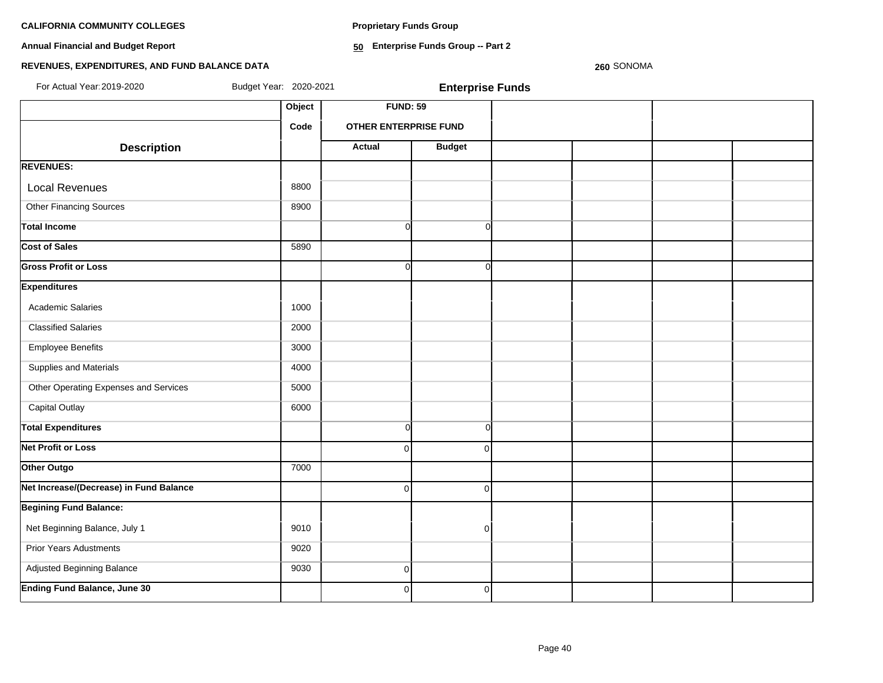**Proprietary Funds Group**

**Annual Financial and Budget Report**

**50 Enterprise Funds Group -- Part 2**

# **REVENUES, EXPENDITURES, AND FUND BALANCE DATA**

| For Actual Year: 2019-2020              | Budget Year: 2020-2021 |                              | <b>Enterprise Funds</b> |  |  |
|-----------------------------------------|------------------------|------------------------------|-------------------------|--|--|
|                                         | Object                 | <b>FUND: 59</b>              |                         |  |  |
|                                         | Code                   | <b>OTHER ENTERPRISE FUND</b> |                         |  |  |
| <b>Description</b>                      |                        | <b>Actual</b>                | <b>Budget</b>           |  |  |
| <b>REVENUES:</b>                        |                        |                              |                         |  |  |
| <b>Local Revenues</b>                   | 8800                   |                              |                         |  |  |
| <b>Other Financing Sources</b>          | 8900                   |                              |                         |  |  |
| <b>Total Income</b>                     |                        | $\overline{0}$               | $\circ$                 |  |  |
| Cost of Sales                           | 5890                   |                              |                         |  |  |
| <b>Gross Profit or Loss</b>             |                        | $\overline{0}$               | $\circ$                 |  |  |
| <b>Expenditures</b>                     |                        |                              |                         |  |  |
| <b>Academic Salaries</b>                | 1000                   |                              |                         |  |  |
| <b>Classified Salaries</b>              | 2000                   |                              |                         |  |  |
| <b>Employee Benefits</b>                | 3000                   |                              |                         |  |  |
| Supplies and Materials                  | 4000                   |                              |                         |  |  |
| Other Operating Expenses and Services   | 5000                   |                              |                         |  |  |
| <b>Capital Outlay</b>                   | 6000                   |                              |                         |  |  |
| <b>Total Expenditures</b>               |                        | $\overline{0}$               | $\overline{0}$          |  |  |
| <b>Net Profit or Loss</b>               |                        | $\Omega$                     | $\overline{0}$          |  |  |
| Other Outgo                             | 7000                   |                              |                         |  |  |
| Net Increase/(Decrease) in Fund Balance |                        | $\Omega$                     | $\overline{0}$          |  |  |
| <b>Begining Fund Balance:</b>           |                        |                              |                         |  |  |
| Net Beginning Balance, July 1           | 9010                   |                              | $\overline{0}$          |  |  |
| <b>Prior Years Adustments</b>           | 9020                   |                              |                         |  |  |
| Adjusted Beginning Balance              | 9030                   | $\Omega$                     |                         |  |  |
| <b>Ending Fund Balance, June 30</b>     |                        | $\overline{0}$               | $\overline{0}$          |  |  |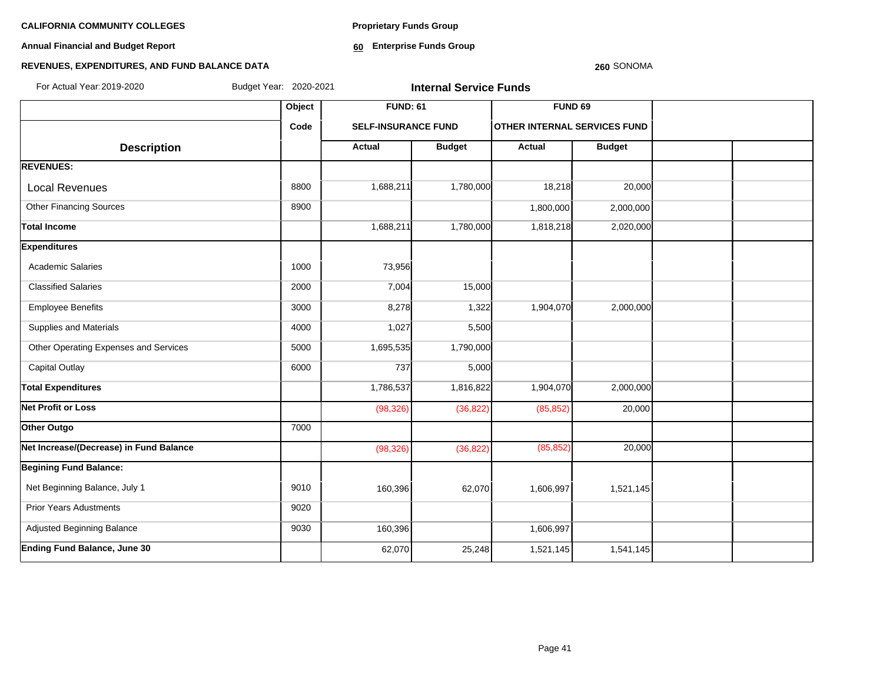**Annual Financial and Budget Report**

**Proprietary Funds Group**

**60 Enterprise Funds Group** 

# **REVENUES, EXPENDITURES, AND FUND BALANCE DATA**

| Budget Year: 2020-2021<br>For Actual Year: 2019-2020 |        |                            | <b>Internal Service Funds</b> |                              |               |  |
|------------------------------------------------------|--------|----------------------------|-------------------------------|------------------------------|---------------|--|
|                                                      | Object | <b>FUND: 61</b>            |                               | <b>FUND 69</b>               |               |  |
|                                                      | Code   | <b>SELF-INSURANCE FUND</b> |                               | OTHER INTERNAL SERVICES FUND |               |  |
| <b>Description</b>                                   |        | <b>Actual</b>              | <b>Budget</b>                 | Actual                       | <b>Budget</b> |  |
| <b>REVENUES:</b>                                     |        |                            |                               |                              |               |  |
| <b>Local Revenues</b>                                | 8800   | 1,688,211                  | 1,780,000                     | 18,218                       | 20,000        |  |
| <b>Other Financing Sources</b>                       | 8900   |                            |                               | 1,800,000                    | 2,000,000     |  |
| <b>Total Income</b>                                  |        | 1,688,211                  | 1,780,000                     | 1,818,218                    | 2,020,000     |  |
| <b>Expenditures</b>                                  |        |                            |                               |                              |               |  |
| <b>Academic Salaries</b>                             | 1000   | 73,956                     |                               |                              |               |  |
| <b>Classified Salaries</b>                           | 2000   | 7,004                      | 15,000                        |                              |               |  |
| <b>Employee Benefits</b>                             | 3000   | 8,278                      | 1,322                         | 1,904,070                    | 2,000,000     |  |
| Supplies and Materials                               | 4000   | 1,027                      | 5,500                         |                              |               |  |
| Other Operating Expenses and Services                | 5000   | 1,695,535                  | 1,790,000                     |                              |               |  |
| <b>Capital Outlay</b>                                | 6000   | 737                        | 5,000                         |                              |               |  |
| <b>Total Expenditures</b>                            |        | 1,786,537                  | 1,816,822                     | 1,904,070                    | 2,000,000     |  |
| <b>Net Profit or Loss</b>                            |        | (98, 326)                  | (36, 822)                     | (85, 852)                    | 20,000        |  |
| Other Outgo                                          | 7000   |                            |                               |                              |               |  |
| Net Increase/(Decrease) in Fund Balance              |        | (98, 326)                  | (36, 822)                     | (85, 852)                    | 20,000        |  |
| <b>Begining Fund Balance:</b>                        |        |                            |                               |                              |               |  |
| Net Beginning Balance, July 1                        | 9010   | 160,396                    | 62,070                        | 1,606,997                    | 1,521,145     |  |
| <b>Prior Years Adustments</b>                        | 9020   |                            |                               |                              |               |  |
| Adjusted Beginning Balance                           | 9030   | 160,396                    |                               | 1,606,997                    |               |  |
| <b>Ending Fund Balance, June 30</b>                  |        | 62,070                     | 25,248                        | 1,521,145                    | 1,541,145     |  |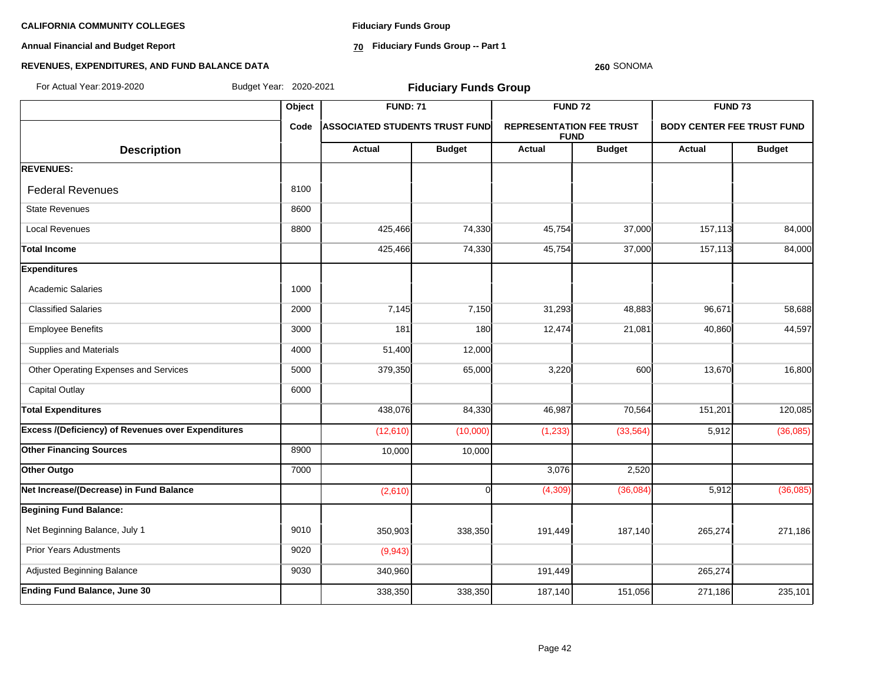**Annual Financial and Budget Report**

**Fiduciary Funds Group**

**70 Fiduciary Funds Group -- Part 1**

#### **260** SONOMA

| For Actual Year: 2019-2020                                | Budget Year: 2020-2021 |                                        | <b>Fiduciary Funds Group</b> |                                                |               |                                                                                                                                                                                                                                                                            |         |
|-----------------------------------------------------------|------------------------|----------------------------------------|------------------------------|------------------------------------------------|---------------|----------------------------------------------------------------------------------------------------------------------------------------------------------------------------------------------------------------------------------------------------------------------------|---------|
|                                                           | Object                 | <b>FUND: 71</b>                        |                              | <b>FUND 72</b>                                 |               |                                                                                                                                                                                                                                                                            |         |
|                                                           | Code                   | <b> ASSOCIATED STUDENTS TRUST FUND</b> |                              | <b>REPRESENTATION FEE TRUST</b><br><b>FUND</b> |               |                                                                                                                                                                                                                                                                            |         |
| <b>Description</b>                                        |                        | <b>Actual</b>                          | <b>Budget</b>                | <b>Actual</b>                                  | <b>Budget</b> | <b>FUND 73</b><br><b>BODY CENTER FEE TRUST FUND</b><br><b>Budget</b><br>Actual<br>157,113<br>84,000<br>84,000<br>157,113<br>58,688<br>96,671<br>44,597<br>40,860<br>13,670<br>16,800<br>151,201<br>120,085<br>5,912<br>(36,085)<br>(36,085)<br>5,912<br>265,274<br>271,186 |         |
| <b>REVENUES:</b>                                          |                        |                                        |                              |                                                |               |                                                                                                                                                                                                                                                                            |         |
| <b>Federal Revenues</b>                                   | 8100                   |                                        |                              |                                                |               |                                                                                                                                                                                                                                                                            |         |
| <b>State Revenues</b>                                     | 8600                   |                                        |                              |                                                |               |                                                                                                                                                                                                                                                                            |         |
| <b>Local Revenues</b>                                     | 8800                   | 425,466                                | 74,330                       | 45,754                                         | 37,000        |                                                                                                                                                                                                                                                                            |         |
| <b>Total Income</b>                                       |                        | 425,466                                | 74,330                       | 45,754                                         | 37,000        |                                                                                                                                                                                                                                                                            |         |
| <b>Expenditures</b>                                       |                        |                                        |                              |                                                |               |                                                                                                                                                                                                                                                                            |         |
| <b>Academic Salaries</b>                                  | 1000                   |                                        |                              |                                                |               |                                                                                                                                                                                                                                                                            |         |
| <b>Classified Salaries</b>                                | 2000                   | 7,145                                  | 7,150                        | 31,293                                         | 48,883        |                                                                                                                                                                                                                                                                            |         |
| <b>Employee Benefits</b>                                  | 3000                   | 181                                    | 180                          | 12,474                                         | 21,081        |                                                                                                                                                                                                                                                                            |         |
| Supplies and Materials                                    | 4000                   | 51,400                                 | 12,000                       |                                                |               |                                                                                                                                                                                                                                                                            |         |
| Other Operating Expenses and Services                     | 5000                   | 379,350                                | 65,000                       | 3,220                                          | 600           |                                                                                                                                                                                                                                                                            |         |
| <b>Capital Outlay</b>                                     | 6000                   |                                        |                              |                                                |               |                                                                                                                                                                                                                                                                            |         |
| <b>Total Expenditures</b>                                 |                        | 438,076                                | 84,330                       | 46,987                                         | 70,564        |                                                                                                                                                                                                                                                                            |         |
| <b>Excess /(Deficiency) of Revenues over Expenditures</b> |                        | (12,610)                               | (10,000)                     | (1, 233)                                       | (33, 564)     |                                                                                                                                                                                                                                                                            |         |
| <b>Other Financing Sources</b>                            | 8900                   | 10,000                                 | 10,000                       |                                                |               |                                                                                                                                                                                                                                                                            |         |
| Other Outgo                                               | 7000                   |                                        |                              | 3,076                                          | 2,520         |                                                                                                                                                                                                                                                                            |         |
| Net Increase/(Decrease) in Fund Balance                   |                        | (2,610)                                | ∩                            | (4, 309)                                       | (36,084)      |                                                                                                                                                                                                                                                                            |         |
| <b>Begining Fund Balance:</b>                             |                        |                                        |                              |                                                |               |                                                                                                                                                                                                                                                                            |         |
| Net Beginning Balance, July 1                             | 9010                   | 350,903                                | 338,350                      | 191,449                                        | 187,140       |                                                                                                                                                                                                                                                                            |         |
| <b>Prior Years Adustments</b>                             | 9020                   | (9,943)                                |                              |                                                |               |                                                                                                                                                                                                                                                                            |         |
| Adjusted Beginning Balance                                | 9030                   | 340,960                                |                              | 191,449                                        |               | 265,274                                                                                                                                                                                                                                                                    |         |
| <b>Ending Fund Balance, June 30</b>                       |                        | 338,350                                | 338,350                      | 187,140                                        | 151,056       | 271,186                                                                                                                                                                                                                                                                    | 235,101 |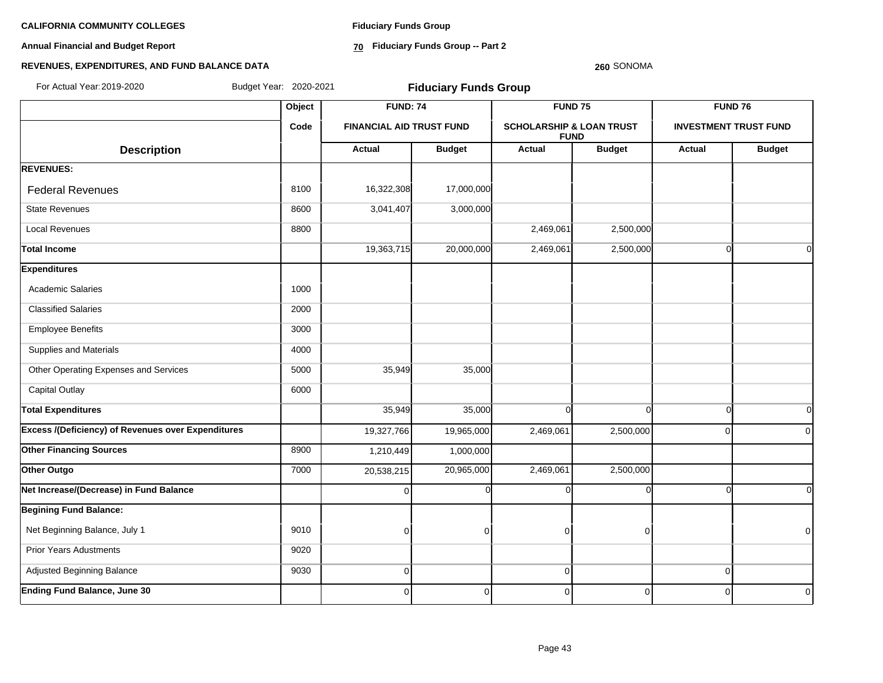**Annual Financial and Budget Report**

**Fiduciary Funds Group**

**70 Fiduciary Funds Group -- Part 2**

#### **260** SONOMA

| For Actual Year: 2019-2020                                | Budget Year: 2020-2021 |                                 | <b>Fiduciary Funds Group</b> |                                     |                    |             |                                                                                                                                  |  |  |
|-----------------------------------------------------------|------------------------|---------------------------------|------------------------------|-------------------------------------|--------------------|-------------|----------------------------------------------------------------------------------------------------------------------------------|--|--|
|                                                           | Object                 | <b>FUND: 74</b>                 |                              |                                     | FUND <sub>75</sub> |             |                                                                                                                                  |  |  |
|                                                           | Code                   | <b>FINANCIAL AID TRUST FUND</b> |                              | <b>SCHOLARSHIP &amp; LOAN TRUST</b> | <b>FUND</b>        |             |                                                                                                                                  |  |  |
| <b>Description</b>                                        |                        | <b>Actual</b>                   | <b>Budget</b>                | <b>Actual</b>                       | <b>Budget</b>      | Actual      | FUND 76<br><b>INVESTMENT TRUST FUND</b><br><b>Budget</b><br>$\Omega$<br>$\Omega$<br>$\Omega$<br>$\Omega$<br>$\Omega$<br>$\Omega$ |  |  |
| <b>REVENUES:</b>                                          |                        |                                 |                              |                                     |                    |             |                                                                                                                                  |  |  |
| <b>Federal Revenues</b>                                   | 8100                   | 16,322,308                      | 17,000,000                   |                                     |                    |             |                                                                                                                                  |  |  |
| <b>State Revenues</b>                                     | 8600                   | 3,041,407                       | 3,000,000                    |                                     |                    |             |                                                                                                                                  |  |  |
| <b>Local Revenues</b>                                     | 8800                   |                                 |                              | 2,469,061                           | 2,500,000          |             |                                                                                                                                  |  |  |
| Total Income                                              |                        | 19,363,715                      | 20,000,000                   | 2,469,061                           | 2,500,000          |             |                                                                                                                                  |  |  |
| <b>Expenditures</b>                                       |                        |                                 |                              |                                     |                    |             |                                                                                                                                  |  |  |
| <b>Academic Salaries</b>                                  | 1000                   |                                 |                              |                                     |                    |             |                                                                                                                                  |  |  |
| <b>Classified Salaries</b>                                | 2000                   |                                 |                              |                                     |                    |             |                                                                                                                                  |  |  |
| <b>Employee Benefits</b>                                  | 3000                   |                                 |                              |                                     |                    |             |                                                                                                                                  |  |  |
| Supplies and Materials                                    | 4000                   |                                 |                              |                                     |                    |             |                                                                                                                                  |  |  |
| Other Operating Expenses and Services                     | 5000                   | 35,949                          | 35,000                       |                                     |                    |             |                                                                                                                                  |  |  |
| <b>Capital Outlay</b>                                     | 6000                   |                                 |                              |                                     |                    |             |                                                                                                                                  |  |  |
| <b>Total Expenditures</b>                                 |                        | 35,949                          | 35,000                       | $\Omega$                            | $\Omega$           |             |                                                                                                                                  |  |  |
| <b>Excess /(Deficiency) of Revenues over Expenditures</b> |                        | 19,327,766                      | 19,965,000                   | 2,469,061                           | 2,500,000          |             |                                                                                                                                  |  |  |
| <b>Other Financing Sources</b>                            | 8900                   | 1,210,449                       | 1,000,000                    |                                     |                    |             |                                                                                                                                  |  |  |
| Other Outgo                                               | 7000                   | 20,538,215                      | 20,965,000                   | 2,469,061                           | 2,500,000          |             |                                                                                                                                  |  |  |
| Net Increase/(Decrease) in Fund Balance                   |                        | $\Omega$                        | $\Omega$                     | ∩                                   |                    | ſ           | $\Omega$                                                                                                                         |  |  |
| <b>Begining Fund Balance:</b>                             |                        |                                 |                              |                                     |                    |             |                                                                                                                                  |  |  |
| Net Beginning Balance, July 1                             | 9010                   | $\mathbf 0$                     | $\Omega$                     | 0                                   | $\Omega$           |             | $\Omega$                                                                                                                         |  |  |
| <b>Prior Years Adustments</b>                             | 9020                   |                                 |                              |                                     |                    |             |                                                                                                                                  |  |  |
| Adjusted Beginning Balance                                | 9030                   | $\mathbf 0$                     |                              | 0                                   |                    | $\mathbf 0$ |                                                                                                                                  |  |  |
| <b>Ending Fund Balance, June 30</b>                       |                        | 0                               | $\Omega$                     | 0                                   | $\mathbf 0$        | ∩           | $\overline{0}$                                                                                                                   |  |  |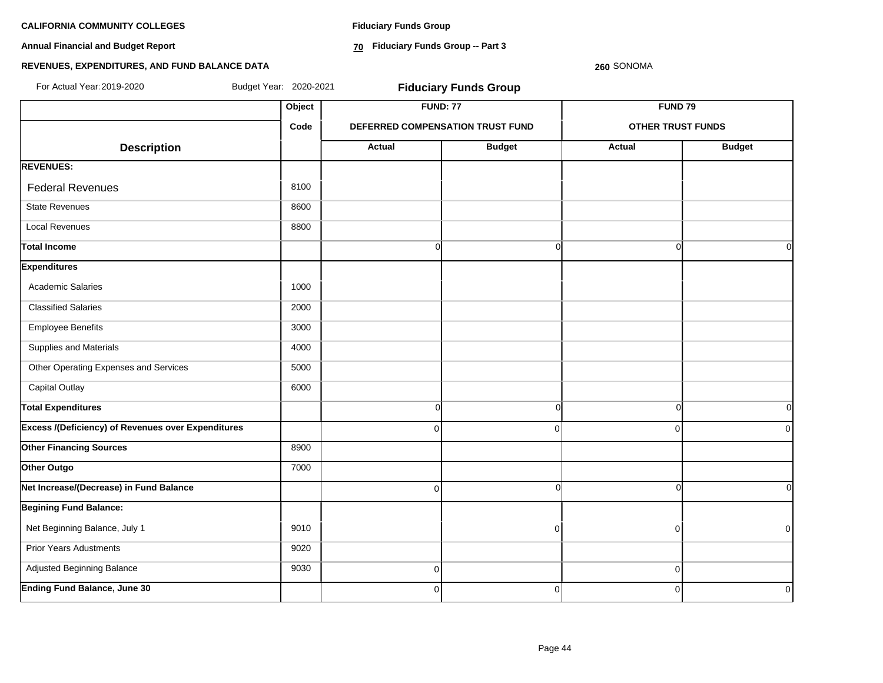**Annual Financial and Budget Report**

**Fiduciary Funds Group**

**70 Fiduciary Funds Group -- Part 3**

**260** SONOMA

| For Actual Year: 2019-2020                                | Budget Year: 2020-2021 |                | <b>Fiduciary Funds Group</b>     |                          |                |
|-----------------------------------------------------------|------------------------|----------------|----------------------------------|--------------------------|----------------|
|                                                           | Object                 |                | <b>FUND: 77</b>                  | FUND <sub>79</sub>       |                |
|                                                           | Code                   |                | DEFERRED COMPENSATION TRUST FUND | <b>OTHER TRUST FUNDS</b> |                |
| <b>Description</b>                                        |                        | Actual         | <b>Budget</b>                    | <b>Actual</b>            | <b>Budget</b>  |
| <b>REVENUES:</b>                                          |                        |                |                                  |                          |                |
| <b>Federal Revenues</b>                                   | 8100                   |                |                                  |                          |                |
| <b>State Revenues</b>                                     | 8600                   |                |                                  |                          |                |
| <b>Local Revenues</b>                                     | 8800                   |                |                                  |                          |                |
| <b>Total Income</b>                                       |                        | $\overline{0}$ | $\Omega$                         | $\Omega$                 | 0l             |
| <b>Expenditures</b>                                       |                        |                |                                  |                          |                |
| <b>Academic Salaries</b>                                  | 1000                   |                |                                  |                          |                |
| <b>Classified Salaries</b>                                | 2000                   |                |                                  |                          |                |
| <b>Employee Benefits</b>                                  | 3000                   |                |                                  |                          |                |
| Supplies and Materials                                    | 4000                   |                |                                  |                          |                |
| Other Operating Expenses and Services                     | 5000                   |                |                                  |                          |                |
| <b>Capital Outlay</b>                                     | 6000                   |                |                                  |                          |                |
| <b>Total Expenditures</b>                                 |                        | $\overline{0}$ | $\overline{0}$                   | $\Omega$                 | 0              |
| <b>Excess /(Deficiency) of Revenues over Expenditures</b> |                        | $\Omega$       | $\Omega$                         | $\mathbf 0$              | $\overline{0}$ |
| <b>Other Financing Sources</b>                            | 8900                   |                |                                  |                          |                |
| Other Outgo                                               | 7000                   |                |                                  |                          |                |
| Net Increase/(Decrease) in Fund Balance                   |                        | $\Omega$       | $\Omega$                         | $\Omega$                 | οI             |
| <b>Begining Fund Balance:</b>                             |                        |                |                                  |                          |                |
| Net Beginning Balance, July 1                             | 9010                   |                | $\Omega$                         | $\overline{0}$           | $\overline{0}$ |
| <b>Prior Years Adustments</b>                             | 9020                   |                |                                  |                          |                |
| Adjusted Beginning Balance                                | 9030                   | $\mathbf 0$    |                                  | $\mathbf 0$              |                |
| <b>Ending Fund Balance, June 30</b>                       |                        | $\overline{0}$ | $\Omega$                         | $\mathbf 0$              | $\mathbf 0$    |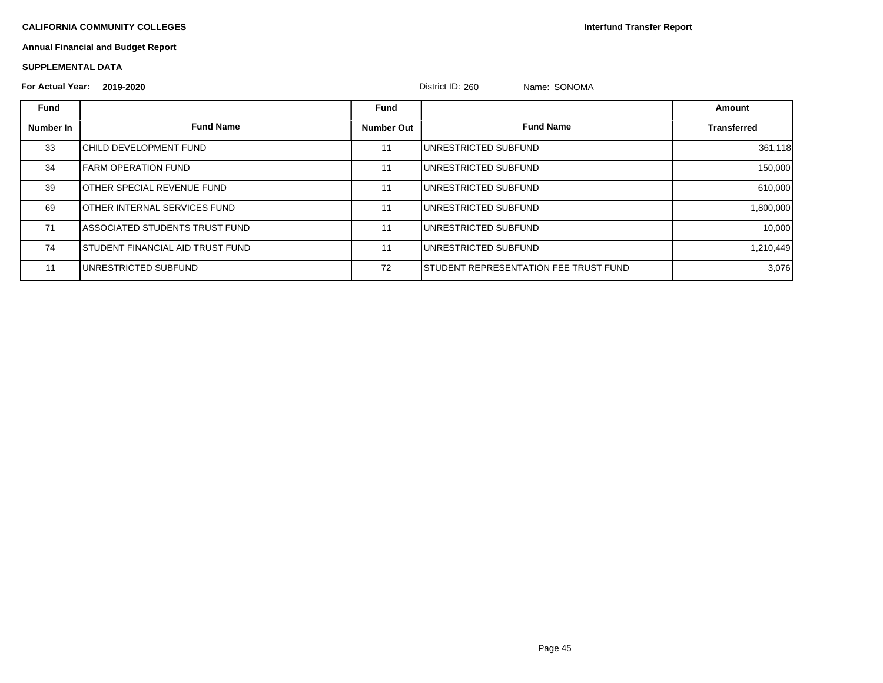**Interfund Transfer Report**

# **Annual Financial and Budget Report**

### **SUPPLEMENTAL DATA**

| <b>For Actual Year:</b> | 2019-2020                                |                   | District ID: 260<br>Name: SONOMA       |             |
|-------------------------|------------------------------------------|-------------------|----------------------------------------|-------------|
| <b>Fund</b>             |                                          | Fund              |                                        | Amount      |
| Number In               | <b>Fund Name</b>                         | <b>Number Out</b> | <b>Fund Name</b>                       | Transferred |
| 33                      | <b>ICHILD DEVELOPMENT FUND</b>           | 11                | IUNRESTRICTED SUBFUND                  | 361,118     |
| 34                      | <b>IFARM OPERATION FUND</b>              | 11                | UNRESTRICTED SUBFUND                   | 150,000     |
| 39                      | <b>JOTHER SPECIAL REVENUE FUND</b>       | 11                | UNRESTRICTED SUBFUND                   | 610,000     |
| 69                      | <b>JOTHER INTERNAL SERVICES FUND</b>     | 11                | IUNRESTRICTED SUBFUND                  | 1,800,000   |
| 71                      | <b>IASSOCIATED STUDENTS TRUST FUND</b>   | 11                | IUNRESTRICTED SUBFUND                  | 10,000      |
| 74                      | <b>ISTUDENT FINANCIAL AID TRUST FUND</b> | 11                | IUNRESTRICTED SUBFUND                  | 1,210,449   |
| 11                      | IUNRESTRICTED SUBFUND                    | 72                | ISTUDENT REPRESENTATION FEE TRUST FUND | 3,076       |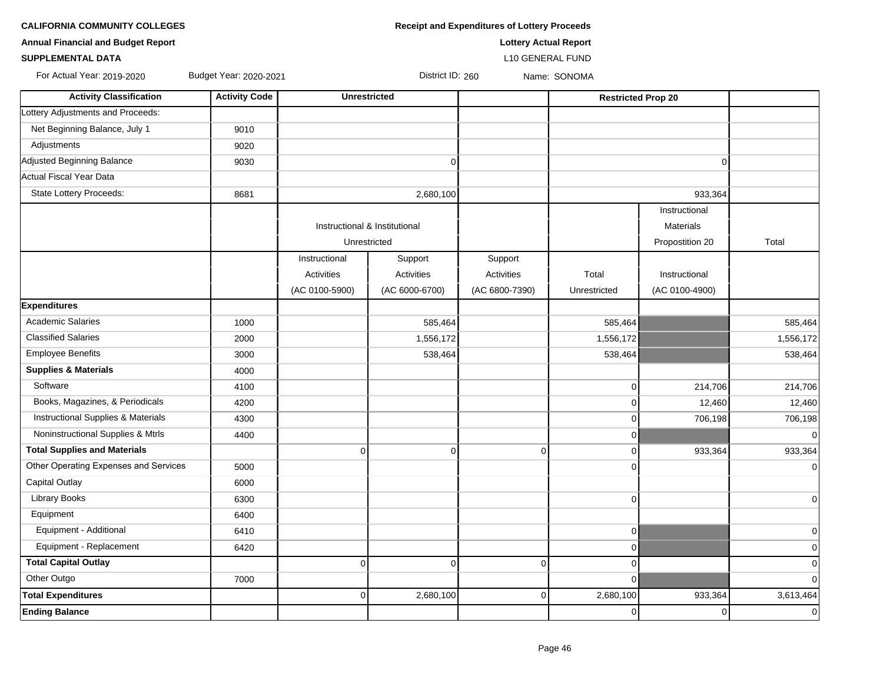| <b>Annual Financial and Budget Report</b> |                        |                |                               | <b>Lottery Actual Report</b> |                |                           |                |
|-------------------------------------------|------------------------|----------------|-------------------------------|------------------------------|----------------|---------------------------|----------------|
| <b>SUPPLEMENTAL DATA</b>                  |                        |                |                               | <b>L10 GENERAL FUND</b>      |                |                           |                |
| For Actual Year: 2019-2020                | Budget Year: 2020-2021 |                | District ID: 260              |                              | Name: SONOMA   |                           |                |
| <b>Activity Classification</b>            | <b>Activity Code</b>   |                | <b>Unrestricted</b>           |                              |                | <b>Restricted Prop 20</b> |                |
| Lottery Adjustments and Proceeds:         |                        |                |                               |                              |                |                           |                |
| Net Beginning Balance, July 1             | 9010                   |                |                               |                              |                |                           |                |
| Adjustments                               | 9020                   |                |                               |                              |                |                           |                |
| Adjusted Beginning Balance                | 9030                   |                | $\mathbf 0$                   |                              |                | $\mathbf 0$               |                |
| Actual Fiscal Year Data                   |                        |                |                               |                              |                |                           |                |
| State Lottery Proceeds:                   | 8681                   |                | 2,680,100                     |                              |                | 933,364                   |                |
|                                           |                        |                |                               |                              |                | Instructional             |                |
|                                           |                        |                | Instructional & Institutional |                              |                | <b>Materials</b>          |                |
|                                           |                        |                | Unrestricted                  |                              |                | Propostition 20           | Total          |
|                                           |                        | Instructional  | Support                       | Support                      |                |                           |                |
|                                           |                        | Activities     | Activities                    | Activities                   | Total          | Instructional             |                |
|                                           |                        | (AC 0100-5900) | (AC 6000-6700)                | (AC 6800-7390)               | Unrestricted   | (AC 0100-4900)            |                |
| <b>Expenditures</b>                       |                        |                |                               |                              |                |                           |                |
| <b>Academic Salaries</b>                  | 1000                   |                | 585,464                       |                              | 585,464        |                           | 585,464        |
| <b>Classified Salaries</b>                | 2000                   |                | 1,556,172                     |                              | 1,556,172      |                           | 1,556,172      |
| <b>Employee Benefits</b>                  | 3000                   |                | 538,464                       |                              | 538,464        |                           | 538,464        |
| <b>Supplies &amp; Materials</b>           | 4000                   |                |                               |                              |                |                           |                |
| Software                                  | 4100                   |                |                               |                              | $\overline{0}$ | 214,706                   | 214,706        |
| Books, Magazines, & Periodicals           | 4200                   |                |                               |                              | $\overline{0}$ | 12,460                    | 12,460         |
| Instructional Supplies & Materials        | 4300                   |                |                               |                              | $\overline{0}$ | 706,198                   | 706,198        |
| Noninstructional Supplies & Mtrls         | 4400                   |                |                               |                              | $\overline{0}$ |                           | $\overline{0}$ |
| <b>Total Supplies and Materials</b>       |                        | $\Omega$       | $\mathbf 0$                   | 0                            | $\overline{0}$ | 933,364                   | 933,364        |
| Other Operating Expenses and Services     | 5000                   |                |                               |                              | $\Omega$       |                           | $\overline{0}$ |
| Capital Outlay                            | 6000                   |                |                               |                              |                |                           |                |
| <b>Library Books</b>                      | 6300                   |                |                               |                              | $\overline{0}$ |                           | $\mathbf 0$    |
| Equipment                                 | 6400                   |                |                               |                              |                |                           |                |
| Equipment - Additional                    | 6410                   |                |                               |                              | $\overline{0}$ |                           | $\mathbf 0$    |
| Equipment - Replacement                   | 6420                   |                |                               |                              | $\overline{0}$ |                           | $\mathbf 0$    |
| <b>Total Capital Outlay</b>               |                        | $\overline{0}$ | $\mathbf 0$                   | $\mathbf 0$                  | $\overline{0}$ |                           | $\mathbf 0$    |
| Other Outgo                               | 7000                   |                |                               |                              | $\Omega$       |                           | $\mathbf 0$    |
| <b>Total Expenditures</b>                 |                        | $\Omega$       | 2,680,100                     | $\overline{0}$               | 2,680,100      | 933,364                   | 3,613,464      |

**CALIFORNIA COMMUNITY COLLEGES Receipt and Expenditures of Lottery Proceeds** 

**Ending Balance** 0 0 0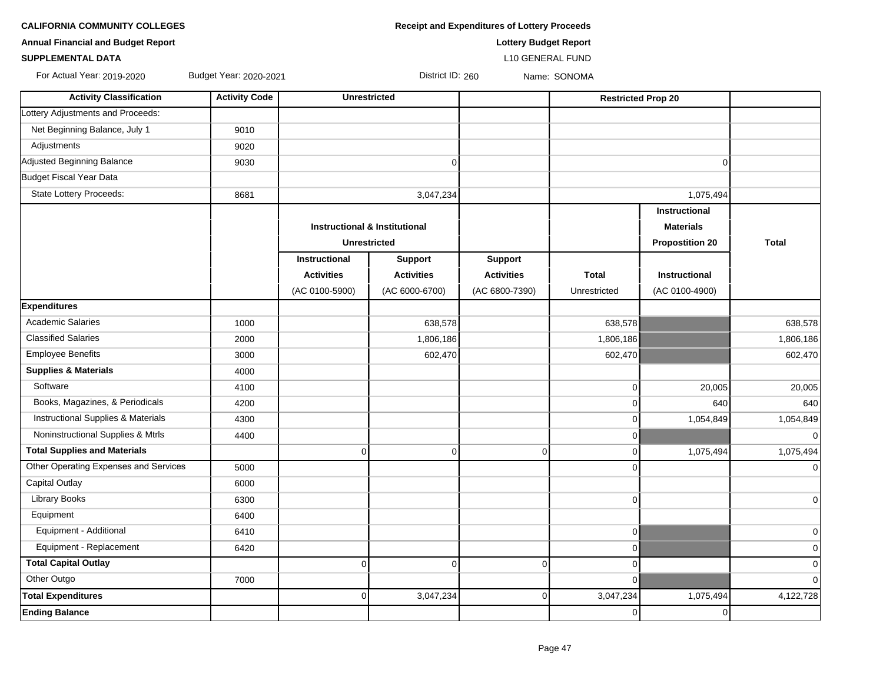| <b>Receipt and Expenditures of Lottery Proceeds</b> |
|-----------------------------------------------------|
|                                                     |

**Annual Financial and Budget Report Lottery Budget Report**

### **SUPPLEMENTAL DATA** L10 GENERAL FUND

For Actual Year: 2019-2020 Budget Year: 2020-2021 District ID: 260 Name: SONOMA

| <b>Activity Classification</b>                | <b>Activity Code</b> | <b>Unrestricted</b>                      |                   |                   | <b>Restricted Prop 20</b> |                        |                |
|-----------------------------------------------|----------------------|------------------------------------------|-------------------|-------------------|---------------------------|------------------------|----------------|
| Lottery Adjustments and Proceeds:             |                      |                                          |                   |                   |                           |                        |                |
| Net Beginning Balance, July 1                 | 9010                 |                                          |                   |                   |                           |                        |                |
| Adjustments                                   | 9020                 |                                          |                   |                   |                           |                        |                |
| Adjusted Beginning Balance                    | 9030                 |                                          | $\Omega$          |                   |                           | $\Omega$               |                |
| Budget Fiscal Year Data                       |                      |                                          |                   |                   |                           |                        |                |
| <b>State Lottery Proceeds:</b>                | 8681                 |                                          | 3,047,234         |                   |                           | 1,075,494              |                |
|                                               |                      |                                          |                   |                   |                           | Instructional          |                |
|                                               |                      | <b>Instructional &amp; Institutional</b> |                   |                   |                           | <b>Materials</b>       |                |
|                                               |                      | <b>Unrestricted</b>                      |                   |                   |                           | <b>Propostition 20</b> | <b>Total</b>   |
|                                               |                      | <b>Instructional</b>                     | <b>Support</b>    | <b>Support</b>    |                           |                        |                |
|                                               |                      | <b>Activities</b>                        | <b>Activities</b> | <b>Activities</b> | <b>Total</b>              | <b>Instructional</b>   |                |
|                                               |                      | (AC 0100-5900)                           | (AC 6000-6700)    | (AC 6800-7390)    | Unrestricted              | (AC 0100-4900)         |                |
| <b>Expenditures</b>                           |                      |                                          |                   |                   |                           |                        |                |
| <b>Academic Salaries</b>                      | 1000                 |                                          | 638,578           |                   | 638,578                   |                        | 638,578        |
| <b>Classified Salaries</b>                    | 2000                 |                                          | 1,806,186         |                   | 1,806,186                 |                        | 1,806,186      |
| <b>Employee Benefits</b>                      | 3000                 |                                          | 602,470           |                   | 602,470                   |                        | 602,470        |
| <b>Supplies &amp; Materials</b>               | 4000                 |                                          |                   |                   |                           |                        |                |
| Software                                      | 4100                 |                                          |                   |                   | $\Omega$                  | 20,005                 | 20,005         |
| Books, Magazines, & Periodicals               | 4200                 |                                          |                   |                   | $\Omega$                  | 640                    | 640            |
| <b>Instructional Supplies &amp; Materials</b> | 4300                 |                                          |                   |                   | $\Omega$                  | 1,054,849              | 1,054,849      |
| Noninstructional Supplies & Mtrls             | 4400                 |                                          |                   |                   | $\Omega$                  |                        | $\overline{0}$ |
| <b>Total Supplies and Materials</b>           |                      | $\overline{0}$                           | $\mathbf 0$       | $\Omega$          | $\overline{0}$            | 1,075,494              | 1,075,494      |
| Other Operating Expenses and Services         | 5000                 |                                          |                   |                   | $\Omega$                  |                        | $\Omega$       |
| <b>Capital Outlay</b>                         | 6000                 |                                          |                   |                   |                           |                        |                |
| <b>Library Books</b>                          | 6300                 |                                          |                   |                   | $\Omega$                  |                        | $\overline{0}$ |
| Equipment                                     | 6400                 |                                          |                   |                   |                           |                        |                |
| Equipment - Additional                        | 6410                 |                                          |                   |                   | $\overline{0}$            |                        | $\overline{0}$ |
| Equipment - Replacement                       | 6420                 |                                          |                   |                   | $\overline{0}$            |                        | $\mathbf 0$    |
| <b>Total Capital Outlay</b>                   |                      | $\overline{0}$                           | $\Omega$          | $\Omega$          | $\overline{0}$            |                        | $\mathbf 0$    |
| Other Outgo                                   | 7000                 |                                          |                   |                   | $\overline{0}$            |                        | $\mathbf 0$    |
| <b>Total Expenditures</b>                     |                      | $\overline{0}$                           | 3,047,234         | 0                 | 3,047,234                 | 1,075,494              | 4,122,728      |
| <b>Ending Balance</b>                         |                      |                                          |                   |                   | $\overline{0}$            | $\mathbf 0$            |                |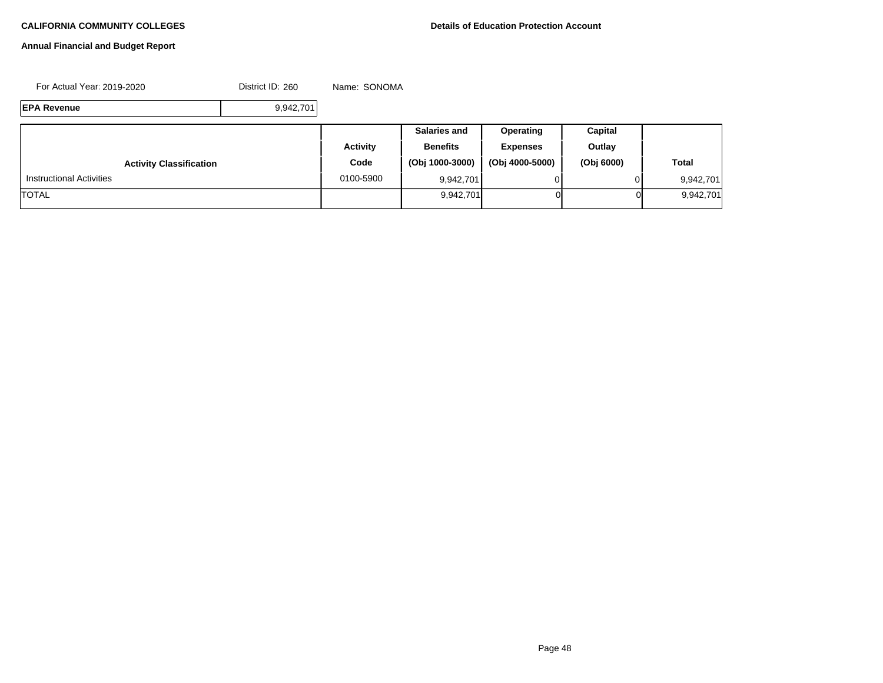# **Annual Financial and Budget Report**

For Actual Year: 2019-2020 District ID: 260 Name: SONOMA

**EPA Revenue** 9,942,701

|                                 |                 | <b>Salaries and</b> | <b>Operating</b> | Capital    |              |
|---------------------------------|-----------------|---------------------|------------------|------------|--------------|
|                                 | <b>Activity</b> | <b>Benefits</b>     | <b>Expenses</b>  | Outlay     |              |
| <b>Activity Classification</b>  | Code            | (Obj 1000-3000)     | (Obj 4000-5000)  | (Obj 6000) | <b>Total</b> |
| <b>Instructional Activities</b> | 0100-5900       | 9,942,701           |                  |            | 9,942,701    |
| <b>TOTAL</b>                    |                 | 9,942,701           | ΟI               | 01         | 9,942,701    |